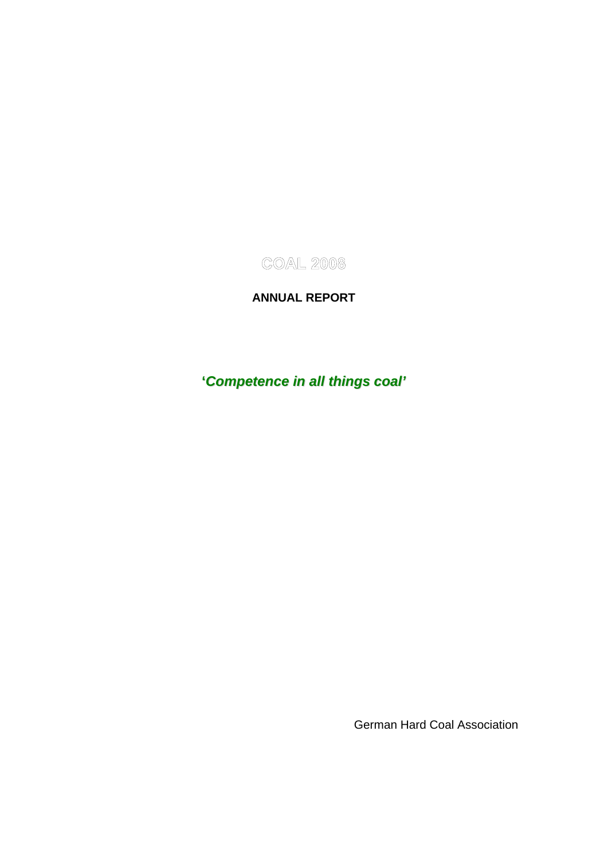**COAL 2008** 

## **ANNUAL REPORT**

# **'***Competence in all things coal'*

German Hard Coal Association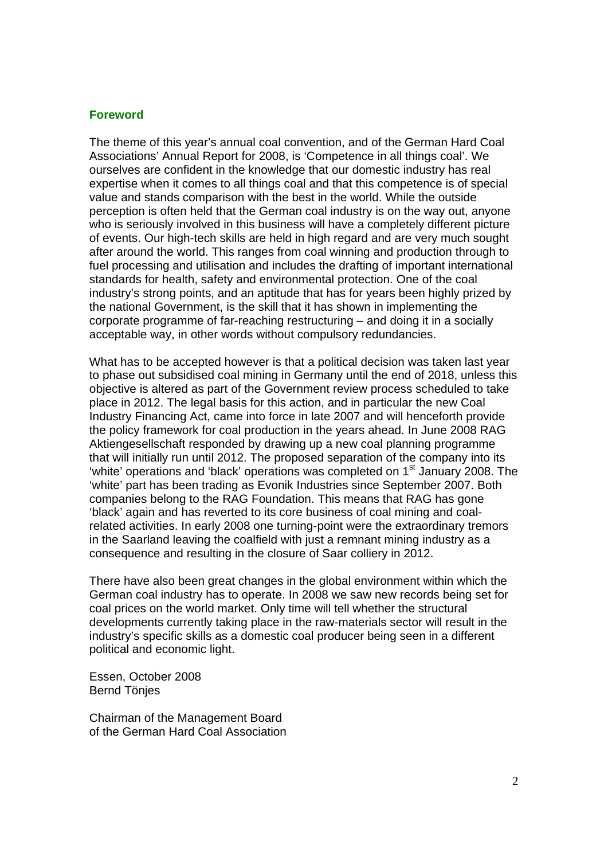#### **Foreword**

The theme of this year's annual coal convention, and of the German Hard Coal Associations' Annual Report for 2008, is 'Competence in all things coal'. We ourselves are confident in the knowledge that our domestic industry has real expertise when it comes to all things coal and that this competence is of special value and stands comparison with the best in the world. While the outside perception is often held that the German coal industry is on the way out, anyone who is seriously involved in this business will have a completely different picture of events. Our high-tech skills are held in high regard and are very much sought after around the world. This ranges from coal winning and production through to fuel processing and utilisation and includes the drafting of important international standards for health, safety and environmental protection. One of the coal industry's strong points, and an aptitude that has for years been highly prized by the national Government, is the skill that it has shown in implementing the corporate programme of far-reaching restructuring – and doing it in a socially acceptable way, in other words without compulsory redundancies.

What has to be accepted however is that a political decision was taken last year to phase out subsidised coal mining in Germany until the end of 2018, unless this objective is altered as part of the Government review process scheduled to take place in 2012. The legal basis for this action, and in particular the new Coal Industry Financing Act, came into force in late 2007 and will henceforth provide the policy framework for coal production in the years ahead. In June 2008 RAG Aktiengesellschaft responded by drawing up a new coal planning programme that will initially run until 2012. The proposed separation of the company into its 'white' operations and 'black' operations was completed on 1<sup>st</sup> January 2008. The 'white' part has been trading as Evonik Industries since September 2007. Both companies belong to the RAG Foundation. This means that RAG has gone 'black' again and has reverted to its core business of coal mining and coalrelated activities. In early 2008 one turning-point were the extraordinary tremors in the Saarland leaving the coalfield with just a remnant mining industry as a consequence and resulting in the closure of Saar colliery in 2012.

There have also been great changes in the global environment within which the German coal industry has to operate. In 2008 we saw new records being set for coal prices on the world market. Only time will tell whether the structural developments currently taking place in the raw-materials sector will result in the industry's specific skills as a domestic coal producer being seen in a different political and economic light.

Essen, October 2008 Bernd Tönjes

Chairman of the Management Board of the German Hard Coal Association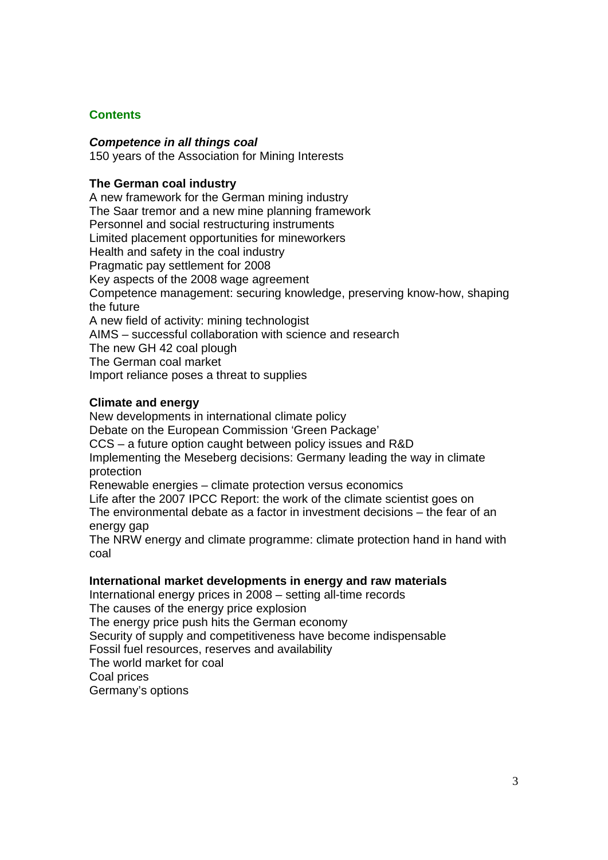#### **Contents**

#### *Competence in all things coal*

150 years of the Association for Mining Interests

#### **The German coal industry**

A new framework for the German mining industry The Saar tremor and a new mine planning framework Personnel and social restructuring instruments Limited placement opportunities for mineworkers Health and safety in the coal industry Pragmatic pay settlement for 2008 Key aspects of the 2008 wage agreement Competence management: securing knowledge, preserving know-how, shaping the future A new field of activity: mining technologist AIMS – successful collaboration with science and research The new GH 42 coal plough The German coal market Import reliance poses a threat to supplies

#### **Climate and energy**

New developments in international climate policy Debate on the European Commission 'Green Package' CCS – a future option caught between policy issues and R&D Implementing the Meseberg decisions: Germany leading the way in climate protection Renewable energies – climate protection versus economics

Life after the 2007 IPCC Report: the work of the climate scientist goes on The environmental debate as a factor in investment decisions – the fear of an energy gap

The NRW energy and climate programme: climate protection hand in hand with coal

#### **International market developments in energy and raw materials**

International energy prices in 2008 – setting all-time records The causes of the energy price explosion The energy price push hits the German economy Security of supply and competitiveness have become indispensable Fossil fuel resources, reserves and availability The world market for coal Coal prices Germany's options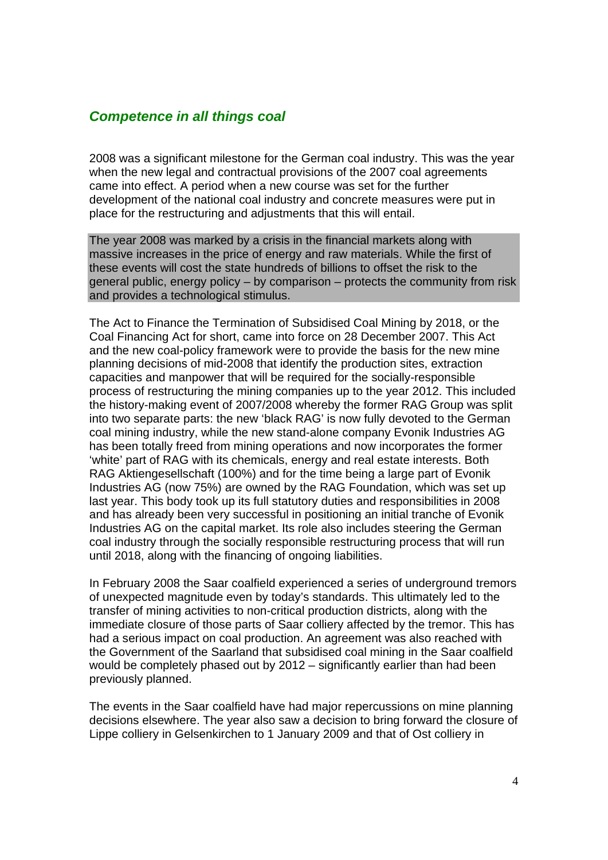## *Competence in all things coal*

2008 was a significant milestone for the German coal industry. This was the year when the new legal and contractual provisions of the 2007 coal agreements came into effect. A period when a new course was set for the further development of the national coal industry and concrete measures were put in place for the restructuring and adjustments that this will entail.

The year 2008 was marked by a crisis in the financial markets along with massive increases in the price of energy and raw materials. While the first of these events will cost the state hundreds of billions to offset the risk to the general public, energy policy – by comparison – protects the community from risk and provides a technological stimulus.

The Act to Finance the Termination of Subsidised Coal Mining by 2018, or the Coal Financing Act for short, came into force on 28 December 2007. This Act and the new coal-policy framework were to provide the basis for the new mine planning decisions of mid-2008 that identify the production sites, extraction capacities and manpower that will be required for the socially-responsible process of restructuring the mining companies up to the year 2012. This included the history-making event of 2007/2008 whereby the former RAG Group was split into two separate parts: the new 'black RAG' is now fully devoted to the German coal mining industry, while the new stand-alone company Evonik Industries AG has been totally freed from mining operations and now incorporates the former 'white' part of RAG with its chemicals, energy and real estate interests. Both RAG Aktiengesellschaft (100%) and for the time being a large part of Evonik Industries AG (now 75%) are owned by the RAG Foundation, which was set up last year. This body took up its full statutory duties and responsibilities in 2008 and has already been very successful in positioning an initial tranche of Evonik Industries AG on the capital market. Its role also includes steering the German coal industry through the socially responsible restructuring process that will run until 2018, along with the financing of ongoing liabilities.

In February 2008 the Saar coalfield experienced a series of underground tremors of unexpected magnitude even by today's standards. This ultimately led to the transfer of mining activities to non-critical production districts, along with the immediate closure of those parts of Saar colliery affected by the tremor. This has had a serious impact on coal production. An agreement was also reached with the Government of the Saarland that subsidised coal mining in the Saar coalfield would be completely phased out by 2012 – significantly earlier than had been previously planned.

The events in the Saar coalfield have had major repercussions on mine planning decisions elsewhere. The year also saw a decision to bring forward the closure of Lippe colliery in Gelsenkirchen to 1 January 2009 and that of Ost colliery in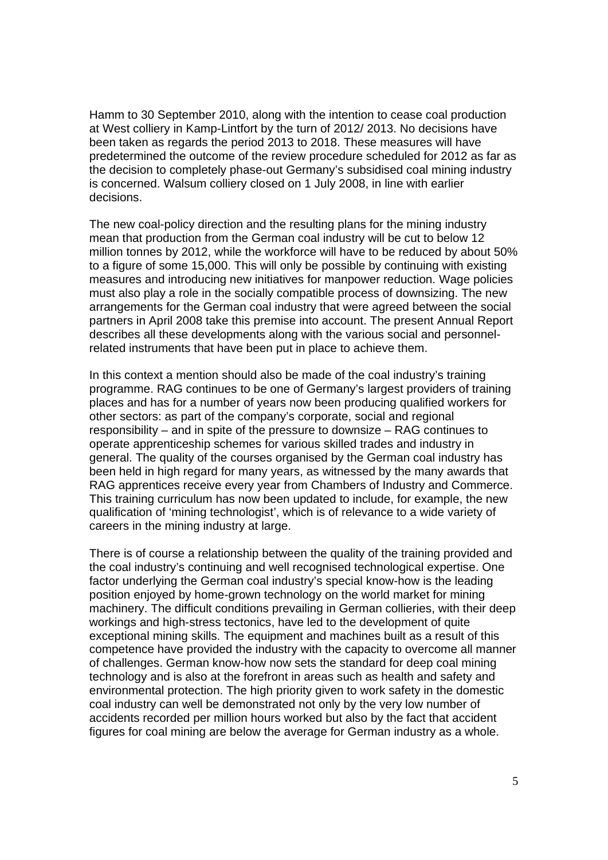Hamm to 30 September 2010, along with the intention to cease coal production at West colliery in Kamp-Lintfort by the turn of 2012/ 2013. No decisions have been taken as regards the period 2013 to 2018. These measures will have predetermined the outcome of the review procedure scheduled for 2012 as far as the decision to completely phase-out Germany's subsidised coal mining industry is concerned. Walsum colliery closed on 1 July 2008, in line with earlier decisions.

The new coal-policy direction and the resulting plans for the mining industry mean that production from the German coal industry will be cut to below 12 million tonnes by 2012, while the workforce will have to be reduced by about 50% to a figure of some 15,000. This will only be possible by continuing with existing measures and introducing new initiatives for manpower reduction. Wage policies must also play a role in the socially compatible process of downsizing. The new arrangements for the German coal industry that were agreed between the social partners in April 2008 take this premise into account. The present Annual Report describes all these developments along with the various social and personnelrelated instruments that have been put in place to achieve them.

In this context a mention should also be made of the coal industry's training programme. RAG continues to be one of Germany's largest providers of training places and has for a number of years now been producing qualified workers for other sectors: as part of the company's corporate, social and regional responsibility – and in spite of the pressure to downsize – RAG continues to operate apprenticeship schemes for various skilled trades and industry in general. The quality of the courses organised by the German coal industry has been held in high regard for many years, as witnessed by the many awards that RAG apprentices receive every year from Chambers of Industry and Commerce. This training curriculum has now been updated to include, for example, the new qualification of 'mining technologist', which is of relevance to a wide variety of careers in the mining industry at large.

There is of course a relationship between the quality of the training provided and the coal industry's continuing and well recognised technological expertise. One factor underlying the German coal industry's special know-how is the leading position enjoyed by home-grown technology on the world market for mining machinery. The difficult conditions prevailing in German collieries, with their deep workings and high-stress tectonics, have led to the development of quite exceptional mining skills. The equipment and machines built as a result of this competence have provided the industry with the capacity to overcome all manner of challenges. German know-how now sets the standard for deep coal mining technology and is also at the forefront in areas such as health and safety and environmental protection. The high priority given to work safety in the domestic coal industry can well be demonstrated not only by the very low number of accidents recorded per million hours worked but also by the fact that accident figures for coal mining are below the average for German industry as a whole.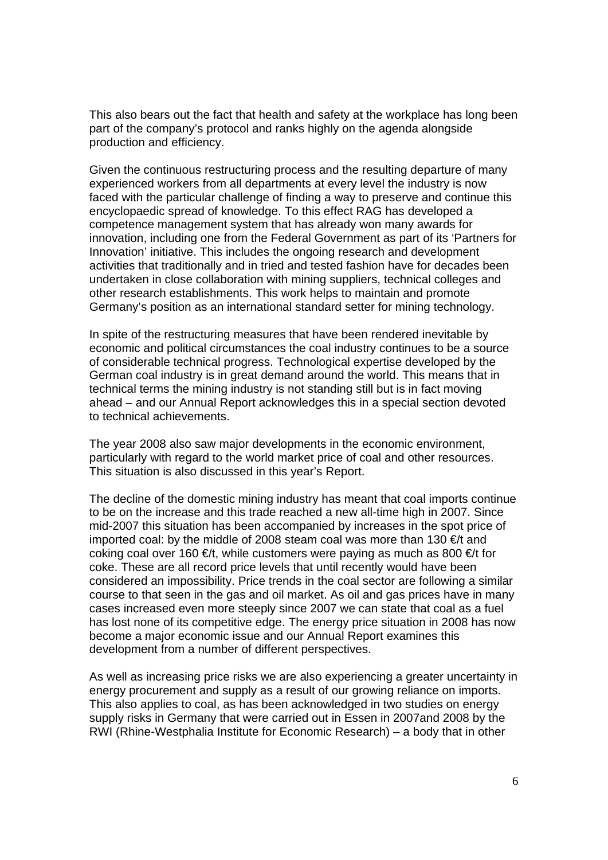This also bears out the fact that health and safety at the workplace has long been part of the company's protocol and ranks highly on the agenda alongside production and efficiency.

Given the continuous restructuring process and the resulting departure of many experienced workers from all departments at every level the industry is now faced with the particular challenge of finding a way to preserve and continue this encyclopaedic spread of knowledge. To this effect RAG has developed a competence management system that has already won many awards for innovation, including one from the Federal Government as part of its 'Partners for Innovation' initiative. This includes the ongoing research and development activities that traditionally and in tried and tested fashion have for decades been undertaken in close collaboration with mining suppliers, technical colleges and other research establishments. This work helps to maintain and promote Germany's position as an international standard setter for mining technology.

In spite of the restructuring measures that have been rendered inevitable by economic and political circumstances the coal industry continues to be a source of considerable technical progress. Technological expertise developed by the German coal industry is in great demand around the world. This means that in technical terms the mining industry is not standing still but is in fact moving ahead – and our Annual Report acknowledges this in a special section devoted to technical achievements.

The year 2008 also saw major developments in the economic environment, particularly with regard to the world market price of coal and other resources. This situation is also discussed in this year's Report.

The decline of the domestic mining industry has meant that coal imports continue to be on the increase and this trade reached a new all-time high in 2007. Since mid-2007 this situation has been accompanied by increases in the spot price of imported coal: by the middle of 2008 steam coal was more than 130  $\in$ /t and coking coal over 160  $\in \mathcal{C}$ t, while customers were paying as much as 800  $\in \mathcal{C}$ t for coke. These are all record price levels that until recently would have been considered an impossibility. Price trends in the coal sector are following a similar course to that seen in the gas and oil market. As oil and gas prices have in many cases increased even more steeply since 2007 we can state that coal as a fuel has lost none of its competitive edge. The energy price situation in 2008 has now become a major economic issue and our Annual Report examines this development from a number of different perspectives.

As well as increasing price risks we are also experiencing a greater uncertainty in energy procurement and supply as a result of our growing reliance on imports. This also applies to coal, as has been acknowledged in two studies on energy supply risks in Germany that were carried out in Essen in 2007and 2008 by the RWI (Rhine-Westphalia Institute for Economic Research) – a body that in other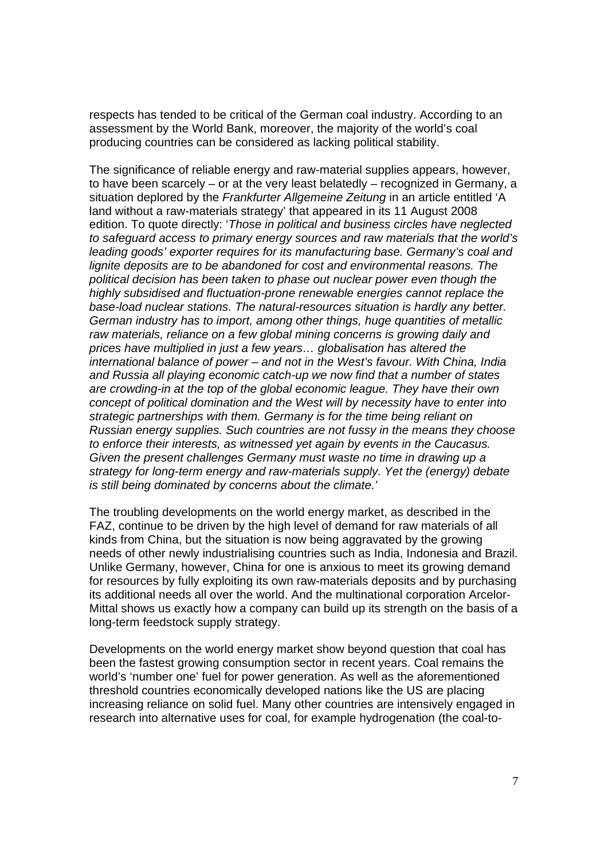respects has tended to be critical of the German coal industry. According to an assessment by the World Bank, moreover, the majority of the world's coal producing countries can be considered as lacking political stability.

The significance of reliable energy and raw-material supplies appears, however, to have been scarcely – or at the very least belatedly – recognized in Germany, a situation deplored by the *Frankfurter Allgemeine Zeitung* in an article entitled 'A land without a raw-materials strategy' that appeared in its 11 August 2008 edition. To quote directly: '*Those in political and business circles have neglected to safeguard access to primary energy sources and raw materials that the world's leading goods' exporter requires for its manufacturing base. Germany's coal and lignite deposits are to be abandoned for cost and environmental reasons. The political decision has been taken to phase out nuclear power even though the highly subsidised and fluctuation-prone renewable energies cannot replace the base-load nuclear stations. The natural-resources situation is hardly any better. German industry has to import, among other things, huge quantities of metallic raw materials, reliance on a few global mining concerns is growing daily and prices have multiplied in just a few years… globalisation has altered the international balance of power – and not in the West's favour. With China, India and Russia all playing economic catch-up we now find that a number of states are crowding-in at the top of the global economic league. They have their own concept of political domination and the West will by necessity have to enter into strategic partnerships with them. Germany is for the time being reliant on Russian energy supplies. Such countries are not fussy in the means they choose to enforce their interests, as witnessed yet again by events in the Caucasus. Given the present challenges Germany must waste no time in drawing up a strategy for long-term energy and raw-materials supply. Yet the (energy) debate is still being dominated by concerns about the climate.'* 

The troubling developments on the world energy market, as described in the FAZ, continue to be driven by the high level of demand for raw materials of all kinds from China, but the situation is now being aggravated by the growing needs of other newly industrialising countries such as India, Indonesia and Brazil. Unlike Germany, however, China for one is anxious to meet its growing demand for resources by fully exploiting its own raw-materials deposits and by purchasing its additional needs all over the world. And the multinational corporation Arcelor-Mittal shows us exactly how a company can build up its strength on the basis of a long-term feedstock supply strategy.

Developments on the world energy market show beyond question that coal has been the fastest growing consumption sector in recent years. Coal remains the world's 'number one' fuel for power generation. As well as the aforementioned threshold countries economically developed nations like the US are placing increasing reliance on solid fuel. Many other countries are intensively engaged in research into alternative uses for coal, for example hydrogenation (the coal-to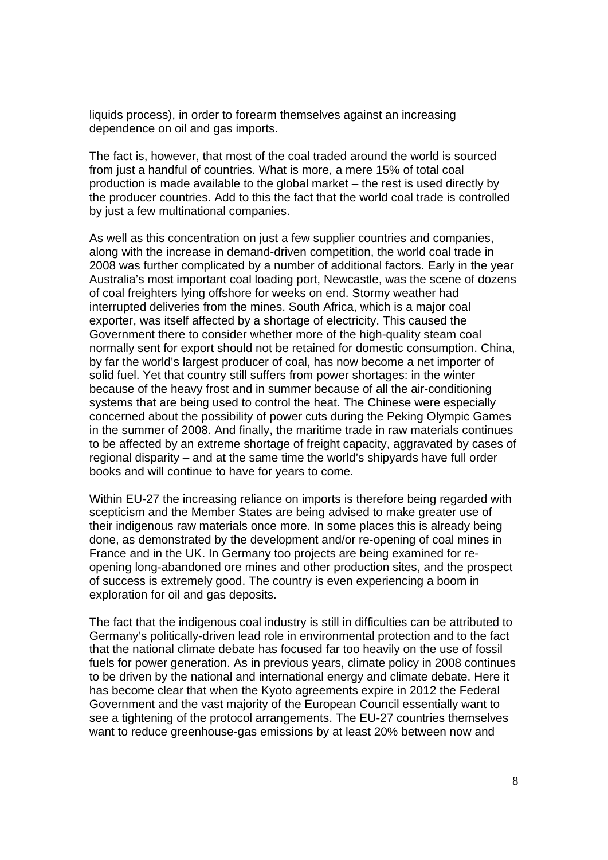liquids process), in order to forearm themselves against an increasing dependence on oil and gas imports.

The fact is, however, that most of the coal traded around the world is sourced from just a handful of countries. What is more, a mere 15% of total coal production is made available to the global market – the rest is used directly by the producer countries. Add to this the fact that the world coal trade is controlled by just a few multinational companies.

As well as this concentration on just a few supplier countries and companies, along with the increase in demand-driven competition, the world coal trade in 2008 was further complicated by a number of additional factors. Early in the year Australia's most important coal loading port, Newcastle, was the scene of dozens of coal freighters lying offshore for weeks on end. Stormy weather had interrupted deliveries from the mines. South Africa, which is a major coal exporter, was itself affected by a shortage of electricity. This caused the Government there to consider whether more of the high-quality steam coal normally sent for export should not be retained for domestic consumption. China, by far the world's largest producer of coal, has now become a net importer of solid fuel. Yet that country still suffers from power shortages: in the winter because of the heavy frost and in summer because of all the air-conditioning systems that are being used to control the heat. The Chinese were especially concerned about the possibility of power cuts during the Peking Olympic Games in the summer of 2008. And finally, the maritime trade in raw materials continues to be affected by an extreme shortage of freight capacity, aggravated by cases of regional disparity – and at the same time the world's shipyards have full order books and will continue to have for years to come.

Within EU-27 the increasing reliance on imports is therefore being regarded with scepticism and the Member States are being advised to make greater use of their indigenous raw materials once more. In some places this is already being done, as demonstrated by the development and/or re-opening of coal mines in France and in the UK. In Germany too projects are being examined for reopening long-abandoned ore mines and other production sites, and the prospect of success is extremely good. The country is even experiencing a boom in exploration for oil and gas deposits.

The fact that the indigenous coal industry is still in difficulties can be attributed to Germany's politically-driven lead role in environmental protection and to the fact that the national climate debate has focused far too heavily on the use of fossil fuels for power generation. As in previous years, climate policy in 2008 continues to be driven by the national and international energy and climate debate. Here it has become clear that when the Kyoto agreements expire in 2012 the Federal Government and the vast majority of the European Council essentially want to see a tightening of the protocol arrangements. The EU-27 countries themselves want to reduce greenhouse-gas emissions by at least 20% between now and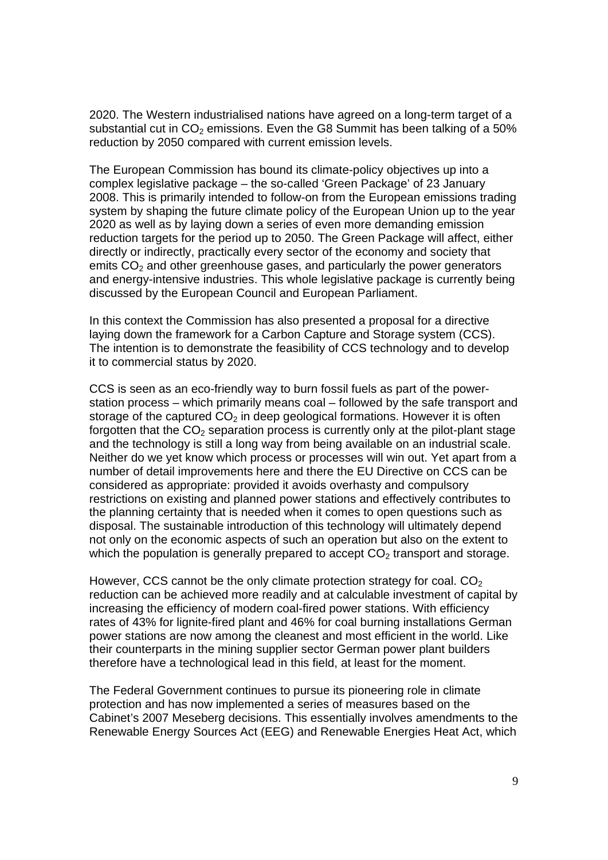2020. The Western industrialised nations have agreed on a long-term target of a substantial cut in  $CO<sub>2</sub>$  emissions. Even the G8 Summit has been talking of a 50% reduction by 2050 compared with current emission levels.

The European Commission has bound its climate-policy objectives up into a complex legislative package – the so-called 'Green Package' of 23 January 2008. This is primarily intended to follow-on from the European emissions trading system by shaping the future climate policy of the European Union up to the year 2020 as well as by laying down a series of even more demanding emission reduction targets for the period up to 2050. The Green Package will affect, either directly or indirectly, practically every sector of the economy and society that emits  $CO<sub>2</sub>$  and other greenhouse gases, and particularly the power generators and energy-intensive industries. This whole legislative package is currently being discussed by the European Council and European Parliament.

In this context the Commission has also presented a proposal for a directive laying down the framework for a Carbon Capture and Storage system (CCS). The intention is to demonstrate the feasibility of CCS technology and to develop it to commercial status by 2020.

CCS is seen as an eco-friendly way to burn fossil fuels as part of the powerstation process – which primarily means coal – followed by the safe transport and storage of the captured  $CO<sub>2</sub>$  in deep geological formations. However it is often forgotten that the  $CO<sub>2</sub>$  separation process is currently only at the pilot-plant stage and the technology is still a long way from being available on an industrial scale. Neither do we yet know which process or processes will win out. Yet apart from a number of detail improvements here and there the EU Directive on CCS can be considered as appropriate: provided it avoids overhasty and compulsory restrictions on existing and planned power stations and effectively contributes to the planning certainty that is needed when it comes to open questions such as disposal. The sustainable introduction of this technology will ultimately depend not only on the economic aspects of such an operation but also on the extent to which the population is generally prepared to accept  $CO<sub>2</sub>$  transport and storage.

However, CCS cannot be the only climate protection strategy for coal.  $CO<sub>2</sub>$ reduction can be achieved more readily and at calculable investment of capital by increasing the efficiency of modern coal-fired power stations. With efficiency rates of 43% for lignite-fired plant and 46% for coal burning installations German power stations are now among the cleanest and most efficient in the world. Like their counterparts in the mining supplier sector German power plant builders therefore have a technological lead in this field, at least for the moment.

The Federal Government continues to pursue its pioneering role in climate protection and has now implemented a series of measures based on the Cabinet's 2007 Meseberg decisions. This essentially involves amendments to the Renewable Energy Sources Act (EEG) and Renewable Energies Heat Act, which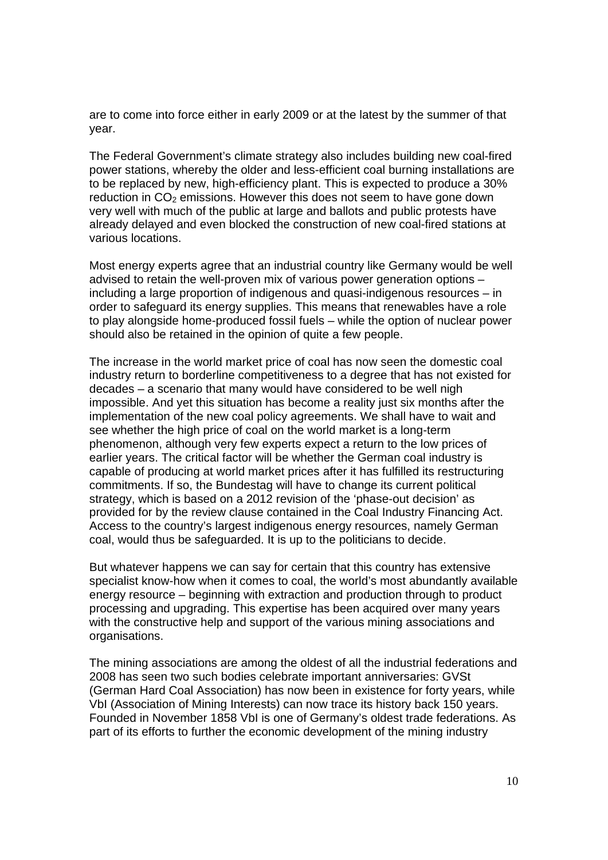are to come into force either in early 2009 or at the latest by the summer of that year.

The Federal Government's climate strategy also includes building new coal-fired power stations, whereby the older and less-efficient coal burning installations are to be replaced by new, high-efficiency plant. This is expected to produce a 30% reduction in  $CO<sub>2</sub>$  emissions. However this does not seem to have gone down very well with much of the public at large and ballots and public protests have already delayed and even blocked the construction of new coal-fired stations at various locations.

Most energy experts agree that an industrial country like Germany would be well advised to retain the well-proven mix of various power generation options – including a large proportion of indigenous and quasi-indigenous resources – in order to safeguard its energy supplies. This means that renewables have a role to play alongside home-produced fossil fuels – while the option of nuclear power should also be retained in the opinion of quite a few people.

The increase in the world market price of coal has now seen the domestic coal industry return to borderline competitiveness to a degree that has not existed for decades – a scenario that many would have considered to be well nigh impossible. And yet this situation has become a reality just six months after the implementation of the new coal policy agreements. We shall have to wait and see whether the high price of coal on the world market is a long-term phenomenon, although very few experts expect a return to the low prices of earlier years. The critical factor will be whether the German coal industry is capable of producing at world market prices after it has fulfilled its restructuring commitments. If so, the Bundestag will have to change its current political strategy, which is based on a 2012 revision of the 'phase-out decision' as provided for by the review clause contained in the Coal Industry Financing Act. Access to the country's largest indigenous energy resources, namely German coal, would thus be safeguarded. It is up to the politicians to decide.

But whatever happens we can say for certain that this country has extensive specialist know-how when it comes to coal, the world's most abundantly available energy resource – beginning with extraction and production through to product processing and upgrading. This expertise has been acquired over many years with the constructive help and support of the various mining associations and organisations.

The mining associations are among the oldest of all the industrial federations and 2008 has seen two such bodies celebrate important anniversaries: GVSt (German Hard Coal Association) has now been in existence for forty years, while VbI (Association of Mining Interests) can now trace its history back 150 years. Founded in November 1858 VbI is one of Germany's oldest trade federations. As part of its efforts to further the economic development of the mining industry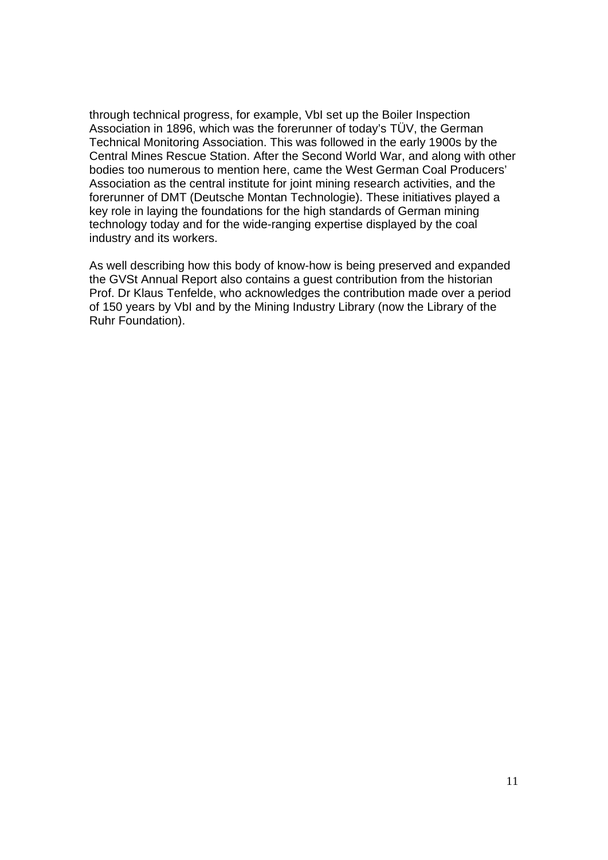through technical progress, for example, VbI set up the Boiler Inspection Association in 1896, which was the forerunner of today's TÜV, the German Technical Monitoring Association. This was followed in the early 1900s by the Central Mines Rescue Station. After the Second World War, and along with other bodies too numerous to mention here, came the West German Coal Producers' Association as the central institute for joint mining research activities, and the forerunner of DMT (Deutsche Montan Technologie). These initiatives played a key role in laying the foundations for the high standards of German mining technology today and for the wide-ranging expertise displayed by the coal industry and its workers.

As well describing how this body of know-how is being preserved and expanded the GVSt Annual Report also contains a guest contribution from the historian Prof. Dr Klaus Tenfelde, who acknowledges the contribution made over a period of 150 years by VbI and by the Mining Industry Library (now the Library of the Ruhr Foundation).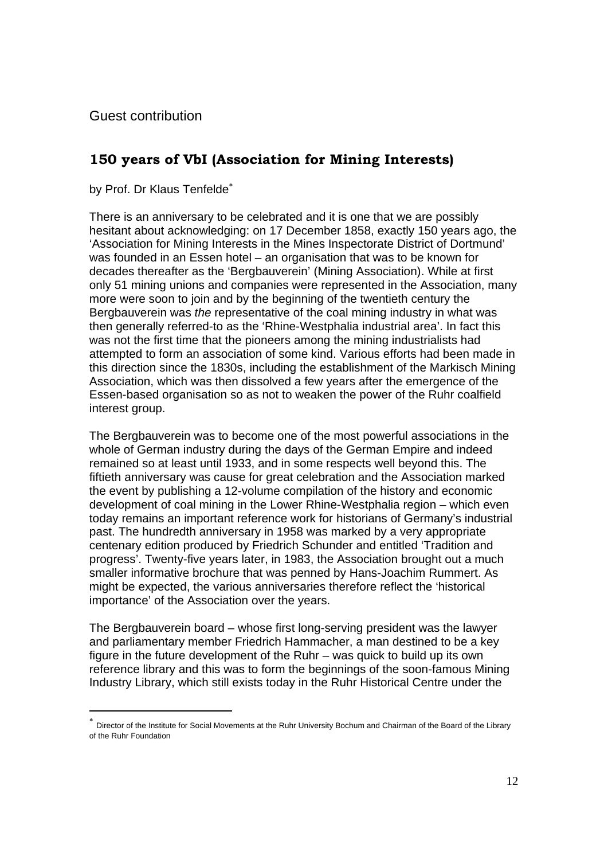Guest contribution

## **150 years of VbI (Association for Mining Interests)**

by Prof. Dr Klaus Tenfelde<sup>\*</sup>

There is an anniversary to be celebrated and it is one that we are possibly hesitant about acknowledging: on 17 December 1858, exactly 150 years ago, the 'Association for Mining Interests in the Mines Inspectorate District of Dortmund' was founded in an Essen hotel – an organisation that was to be known for decades thereafter as the 'Bergbauverein' (Mining Association). While at first only 51 mining unions and companies were represented in the Association, many more were soon to join and by the beginning of the twentieth century the Bergbauverein was *the* representative of the coal mining industry in what was then generally referred-to as the 'Rhine-Westphalia industrial area'. In fact this was not the first time that the pioneers among the mining industrialists had attempted to form an association of some kind. Various efforts had been made in this direction since the 1830s, including the establishment of the Markisch Mining Association, which was then dissolved a few years after the emergence of the Essen-based organisation so as not to weaken the power of the Ruhr coalfield interest group.

The Bergbauverein was to become one of the most powerful associations in the whole of German industry during the days of the German Empire and indeed remained so at least until 1933, and in some respects well beyond this. The fiftieth anniversary was cause for great celebration and the Association marked the event by publishing a 12-volume compilation of the history and economic development of coal mining in the Lower Rhine-Westphalia region – which even today remains an important reference work for historians of Germany's industrial past. The hundredth anniversary in 1958 was marked by a very appropriate centenary edition produced by Friedrich Schunder and entitled 'Tradition and progress'. Twenty-five years later, in 1983, the Association brought out a much smaller informative brochure that was penned by Hans-Joachim Rummert. As might be expected, the various anniversaries therefore reflect the 'historical importance' of the Association over the years.

The Bergbauverein board – whose first long-serving president was the lawyer and parliamentary member Friedrich Hammacher, a man destined to be a key figure in the future development of the Ruhr – was quick to build up its own reference library and this was to form the beginnings of the soon-famous Mining Industry Library, which still exists today in the Ruhr Historical Centre under the

<sup>∗</sup> Director of the Institute for Social Movements at the Ruhr University Bochum and Chairman of the Board of the Library of the Ruhr Foundation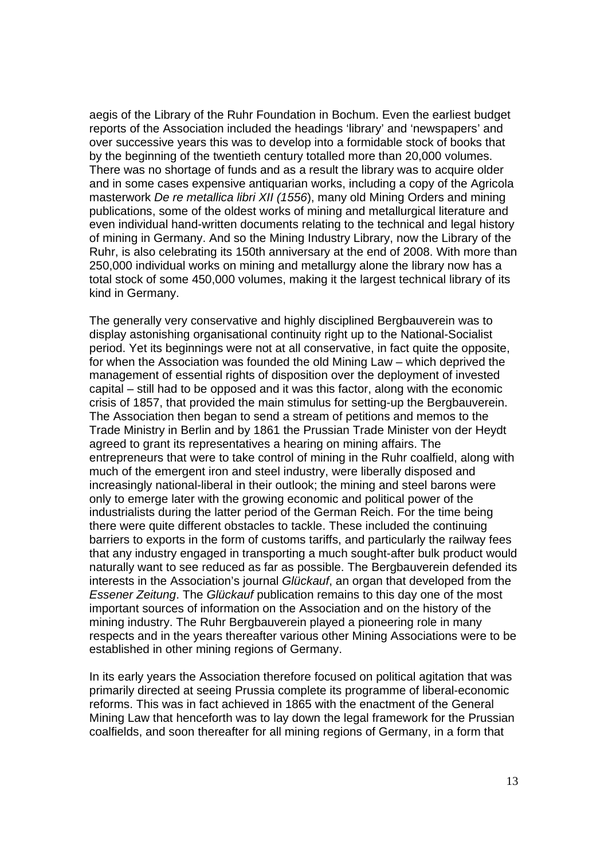aegis of the Library of the Ruhr Foundation in Bochum. Even the earliest budget reports of the Association included the headings 'library' and 'newspapers' and over successive years this was to develop into a formidable stock of books that by the beginning of the twentieth century totalled more than 20,000 volumes. There was no shortage of funds and as a result the library was to acquire older and in some cases expensive antiquarian works, including a copy of the Agricola masterwork *De re metallica libri XII (1556*), many old Mining Orders and mining publications, some of the oldest works of mining and metallurgical literature and even individual hand-written documents relating to the technical and legal history of mining in Germany. And so the Mining Industry Library, now the Library of the Ruhr, is also celebrating its 150th anniversary at the end of 2008. With more than 250,000 individual works on mining and metallurgy alone the library now has a total stock of some 450,000 volumes, making it the largest technical library of its kind in Germany.

The generally very conservative and highly disciplined Bergbauverein was to display astonishing organisational continuity right up to the National-Socialist period. Yet its beginnings were not at all conservative, in fact quite the opposite, for when the Association was founded the old Mining Law – which deprived the management of essential rights of disposition over the deployment of invested capital – still had to be opposed and it was this factor, along with the economic crisis of 1857, that provided the main stimulus for setting-up the Bergbauverein. The Association then began to send a stream of petitions and memos to the Trade Ministry in Berlin and by 1861 the Prussian Trade Minister von der Heydt agreed to grant its representatives a hearing on mining affairs. The entrepreneurs that were to take control of mining in the Ruhr coalfield, along with much of the emergent iron and steel industry, were liberally disposed and increasingly national-liberal in their outlook; the mining and steel barons were only to emerge later with the growing economic and political power of the industrialists during the latter period of the German Reich. For the time being there were quite different obstacles to tackle. These included the continuing barriers to exports in the form of customs tariffs, and particularly the railway fees that any industry engaged in transporting a much sought-after bulk product would naturally want to see reduced as far as possible. The Bergbauverein defended its interests in the Association's journal *Glückauf*, an organ that developed from the *Essener Zeitung*. The *Glückauf* publication remains to this day one of the most important sources of information on the Association and on the history of the mining industry. The Ruhr Bergbauverein played a pioneering role in many respects and in the years thereafter various other Mining Associations were to be established in other mining regions of Germany.

In its early years the Association therefore focused on political agitation that was primarily directed at seeing Prussia complete its programme of liberal-economic reforms. This was in fact achieved in 1865 with the enactment of the General Mining Law that henceforth was to lay down the legal framework for the Prussian coalfields, and soon thereafter for all mining regions of Germany, in a form that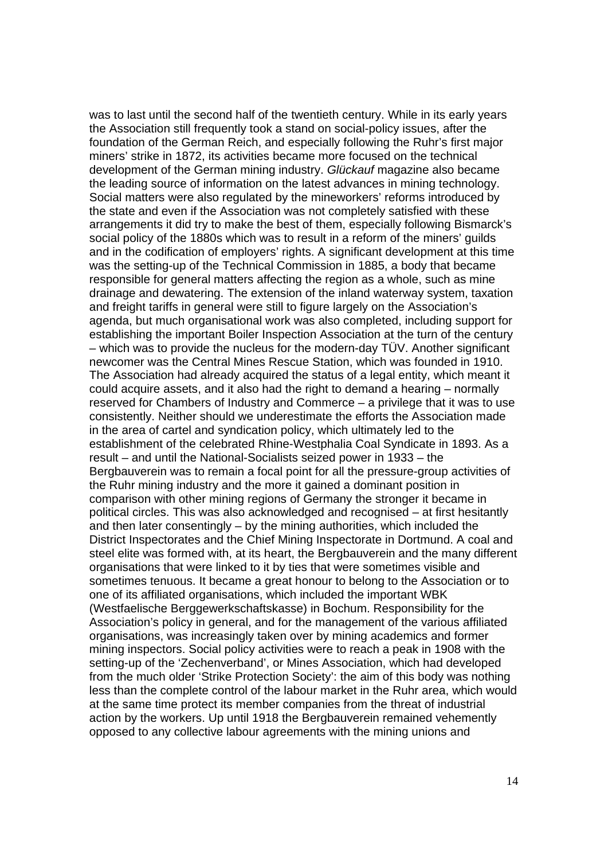was to last until the second half of the twentieth century. While in its early years the Association still frequently took a stand on social-policy issues, after the foundation of the German Reich, and especially following the Ruhr's first major miners' strike in 1872, its activities became more focused on the technical development of the German mining industry. *Glückauf* magazine also became the leading source of information on the latest advances in mining technology. Social matters were also regulated by the mineworkers' reforms introduced by the state and even if the Association was not completely satisfied with these arrangements it did try to make the best of them, especially following Bismarck's social policy of the 1880s which was to result in a reform of the miners' guilds and in the codification of employers' rights. A significant development at this time was the setting-up of the Technical Commission in 1885, a body that became responsible for general matters affecting the region as a whole, such as mine drainage and dewatering. The extension of the inland waterway system, taxation and freight tariffs in general were still to figure largely on the Association's agenda, but much organisational work was also completed, including support for establishing the important Boiler Inspection Association at the turn of the century – which was to provide the nucleus for the modern-day TÜV. Another significant newcomer was the Central Mines Rescue Station, which was founded in 1910. The Association had already acquired the status of a legal entity, which meant it could acquire assets, and it also had the right to demand a hearing – normally reserved for Chambers of Industry and Commerce – a privilege that it was to use consistently. Neither should we underestimate the efforts the Association made in the area of cartel and syndication policy, which ultimately led to the establishment of the celebrated Rhine-Westphalia Coal Syndicate in 1893. As a result – and until the National-Socialists seized power in 1933 – the Bergbauverein was to remain a focal point for all the pressure-group activities of the Ruhr mining industry and the more it gained a dominant position in comparison with other mining regions of Germany the stronger it became in political circles. This was also acknowledged and recognised – at first hesitantly and then later consentingly – by the mining authorities, which included the District Inspectorates and the Chief Mining Inspectorate in Dortmund. A coal and steel elite was formed with, at its heart, the Bergbauverein and the many different organisations that were linked to it by ties that were sometimes visible and sometimes tenuous. It became a great honour to belong to the Association or to one of its affiliated organisations, which included the important WBK (Westfaelische Berggewerkschaftskasse) in Bochum. Responsibility for the Association's policy in general, and for the management of the various affiliated organisations, was increasingly taken over by mining academics and former mining inspectors. Social policy activities were to reach a peak in 1908 with the setting-up of the 'Zechenverband', or Mines Association, which had developed from the much older 'Strike Protection Society': the aim of this body was nothing less than the complete control of the labour market in the Ruhr area, which would at the same time protect its member companies from the threat of industrial action by the workers. Up until 1918 the Bergbauverein remained vehemently opposed to any collective labour agreements with the mining unions and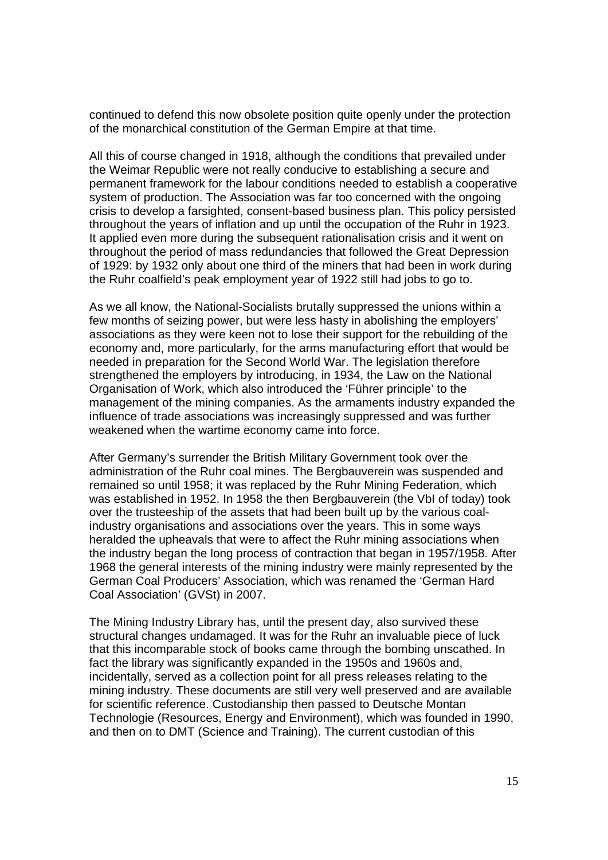continued to defend this now obsolete position quite openly under the protection of the monarchical constitution of the German Empire at that time.

All this of course changed in 1918, although the conditions that prevailed under the Weimar Republic were not really conducive to establishing a secure and permanent framework for the labour conditions needed to establish a cooperative system of production. The Association was far too concerned with the ongoing crisis to develop a farsighted, consent-based business plan. This policy persisted throughout the years of inflation and up until the occupation of the Ruhr in 1923. It applied even more during the subsequent rationalisation crisis and it went on throughout the period of mass redundancies that followed the Great Depression of 1929: by 1932 only about one third of the miners that had been in work during the Ruhr coalfield's peak employment year of 1922 still had jobs to go to.

As we all know, the National-Socialists brutally suppressed the unions within a few months of seizing power, but were less hasty in abolishing the employers' associations as they were keen not to lose their support for the rebuilding of the economy and, more particularly, for the arms manufacturing effort that would be needed in preparation for the Second World War. The legislation therefore strengthened the employers by introducing, in 1934, the Law on the National Organisation of Work, which also introduced the 'Führer principle' to the management of the mining companies. As the armaments industry expanded the influence of trade associations was increasingly suppressed and was further weakened when the wartime economy came into force.

After Germany's surrender the British Military Government took over the administration of the Ruhr coal mines. The Bergbauverein was suspended and remained so until 1958; it was replaced by the Ruhr Mining Federation, which was established in 1952. In 1958 the then Bergbauverein (the VbI of today) took over the trusteeship of the assets that had been built up by the various coalindustry organisations and associations over the years. This in some ways heralded the upheavals that were to affect the Ruhr mining associations when the industry began the long process of contraction that began in 1957/1958. After 1968 the general interests of the mining industry were mainly represented by the German Coal Producers' Association, which was renamed the 'German Hard Coal Association' (GVSt) in 2007.

The Mining Industry Library has, until the present day, also survived these structural changes undamaged. It was for the Ruhr an invaluable piece of luck that this incomparable stock of books came through the bombing unscathed. In fact the library was significantly expanded in the 1950s and 1960s and, incidentally, served as a collection point for all press releases relating to the mining industry. These documents are still very well preserved and are available for scientific reference. Custodianship then passed to Deutsche Montan Technologie (Resources, Energy and Environment), which was founded in 1990, and then on to DMT (Science and Training). The current custodian of this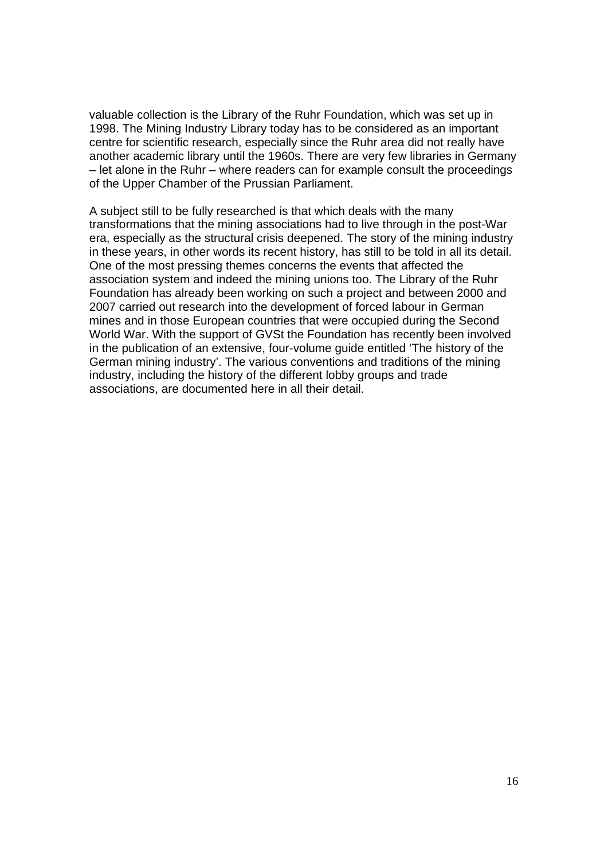valuable collection is the Library of the Ruhr Foundation, which was set up in 1998. The Mining Industry Library today has to be considered as an important centre for scientific research, especially since the Ruhr area did not really have another academic library until the 1960s. There are very few libraries in Germany – let alone in the Ruhr – where readers can for example consult the proceedings of the Upper Chamber of the Prussian Parliament.

A subject still to be fully researched is that which deals with the many transformations that the mining associations had to live through in the post-War era, especially as the structural crisis deepened. The story of the mining industry in these years, in other words its recent history, has still to be told in all its detail. One of the most pressing themes concerns the events that affected the association system and indeed the mining unions too. The Library of the Ruhr Foundation has already been working on such a project and between 2000 and 2007 carried out research into the development of forced labour in German mines and in those European countries that were occupied during the Second World War. With the support of GVSt the Foundation has recently been involved in the publication of an extensive, four-volume guide entitled 'The history of the German mining industry'. The various conventions and traditions of the mining industry, including the history of the different lobby groups and trade associations, are documented here in all their detail.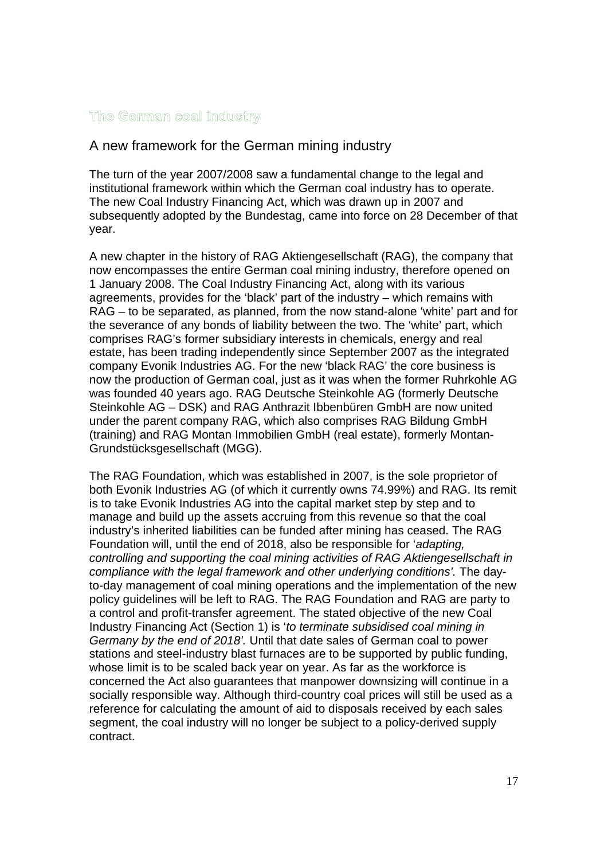#### The German coal industry

## A new framework for the German mining industry

The turn of the year 2007/2008 saw a fundamental change to the legal and institutional framework within which the German coal industry has to operate. The new Coal Industry Financing Act, which was drawn up in 2007 and subsequently adopted by the Bundestag, came into force on 28 December of that year.

A new chapter in the history of RAG Aktiengesellschaft (RAG), the company that now encompasses the entire German coal mining industry, therefore opened on 1 January 2008. The Coal Industry Financing Act, along with its various agreements, provides for the 'black' part of the industry – which remains with RAG – to be separated, as planned, from the now stand-alone 'white' part and for the severance of any bonds of liability between the two. The 'white' part, which comprises RAG's former subsidiary interests in chemicals, energy and real estate, has been trading independently since September 2007 as the integrated company Evonik Industries AG. For the new 'black RAG' the core business is now the production of German coal, just as it was when the former Ruhrkohle AG was founded 40 years ago. RAG Deutsche Steinkohle AG (formerly Deutsche Steinkohle AG – DSK) and RAG Anthrazit Ibbenbüren GmbH are now united under the parent company RAG, which also comprises RAG Bildung GmbH (training) and RAG Montan Immobilien GmbH (real estate), formerly Montan-Grundstücksgesellschaft (MGG).

The RAG Foundation, which was established in 2007, is the sole proprietor of both Evonik Industries AG (of which it currently owns 74.99%) and RAG. Its remit is to take Evonik Industries AG into the capital market step by step and to manage and build up the assets accruing from this revenue so that the coal industry's inherited liabilities can be funded after mining has ceased. The RAG Foundation will, until the end of 2018, also be responsible for '*adapting, controlling and supporting the coal mining activities of RAG Aktiengesellschaft in compliance with the legal framework and other underlying conditions'.* The dayto-day management of coal mining operations and the implementation of the new policy guidelines will be left to RAG. The RAG Foundation and RAG are party to a control and profit-transfer agreement. The stated objective of the new Coal Industry Financing Act (Section 1) is '*to terminate subsidised coal mining in Germany by the end of 2018'.* Until that date sales of German coal to power stations and steel-industry blast furnaces are to be supported by public funding, whose limit is to be scaled back year on year. As far as the workforce is concerned the Act also guarantees that manpower downsizing will continue in a socially responsible way. Although third-country coal prices will still be used as a reference for calculating the amount of aid to disposals received by each sales segment, the coal industry will no longer be subject to a policy-derived supply contract.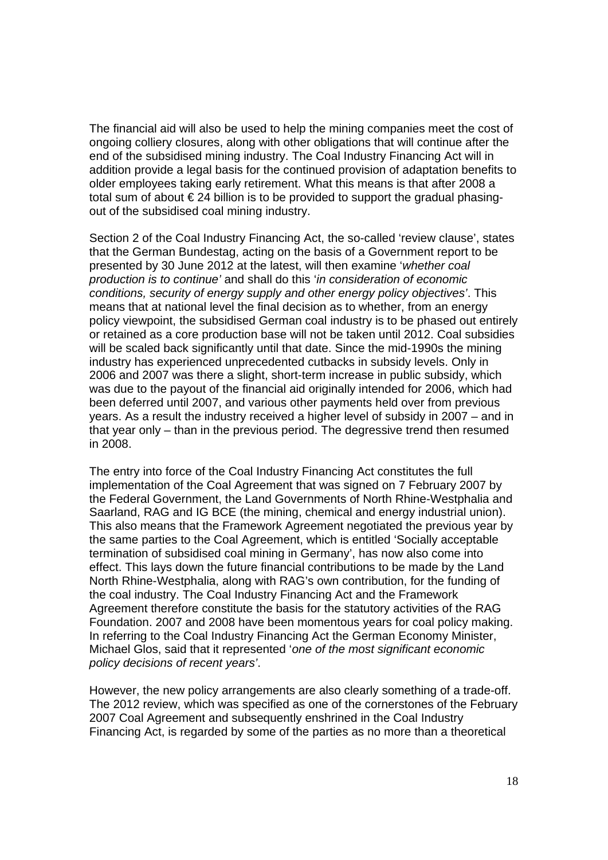The financial aid will also be used to help the mining companies meet the cost of ongoing colliery closures, along with other obligations that will continue after the end of the subsidised mining industry. The Coal Industry Financing Act will in addition provide a legal basis for the continued provision of adaptation benefits to older employees taking early retirement. What this means is that after 2008 a total sum of about € 24 billion is to be provided to support the gradual phasingout of the subsidised coal mining industry.

Section 2 of the Coal Industry Financing Act, the so-called 'review clause', states that the German Bundestag, acting on the basis of a Government report to be presented by 30 June 2012 at the latest, will then examine '*whether coal production is to continue'* and shall do this '*in consideration of economic conditions, security of energy supply and other energy policy objectives'*. This means that at national level the final decision as to whether, from an energy policy viewpoint, the subsidised German coal industry is to be phased out entirely or retained as a core production base will not be taken until 2012. Coal subsidies will be scaled back significantly until that date. Since the mid-1990s the mining industry has experienced unprecedented cutbacks in subsidy levels. Only in 2006 and 2007 was there a slight, short-term increase in public subsidy, which was due to the payout of the financial aid originally intended for 2006, which had been deferred until 2007, and various other payments held over from previous years. As a result the industry received a higher level of subsidy in 2007 – and in that year only – than in the previous period. The degressive trend then resumed in 2008.

The entry into force of the Coal Industry Financing Act constitutes the full implementation of the Coal Agreement that was signed on 7 February 2007 by the Federal Government, the Land Governments of North Rhine-Westphalia and Saarland, RAG and IG BCE (the mining, chemical and energy industrial union). This also means that the Framework Agreement negotiated the previous year by the same parties to the Coal Agreement, which is entitled 'Socially acceptable termination of subsidised coal mining in Germany', has now also come into effect. This lays down the future financial contributions to be made by the Land North Rhine-Westphalia, along with RAG's own contribution, for the funding of the coal industry. The Coal Industry Financing Act and the Framework Agreement therefore constitute the basis for the statutory activities of the RAG Foundation. 2007 and 2008 have been momentous years for coal policy making. In referring to the Coal Industry Financing Act the German Economy Minister, Michael Glos, said that it represented '*one of the most significant economic policy decisions of recent years'*.

However, the new policy arrangements are also clearly something of a trade-off. The 2012 review, which was specified as one of the cornerstones of the February 2007 Coal Agreement and subsequently enshrined in the Coal Industry Financing Act, is regarded by some of the parties as no more than a theoretical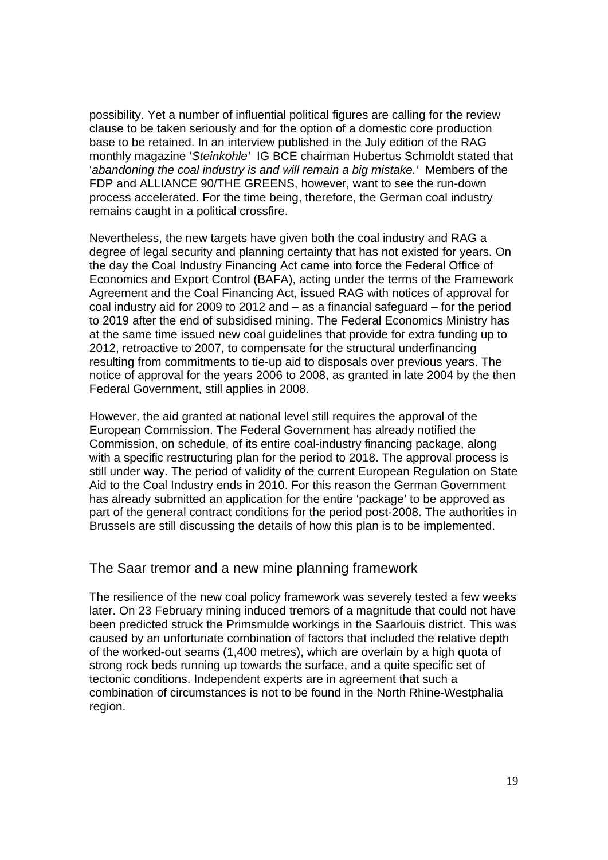possibility. Yet a number of influential political figures are calling for the review clause to be taken seriously and for the option of a domestic core production base to be retained. In an interview published in the July edition of the RAG monthly magazine '*Steinkohle'* IG BCE chairman Hubertus Schmoldt stated that '*abandoning the coal industry is and will remain a big mistake.'* Members of the FDP and ALLIANCE 90/THE GREENS, however, want to see the run-down process accelerated. For the time being, therefore, the German coal industry remains caught in a political crossfire.

Nevertheless, the new targets have given both the coal industry and RAG a degree of legal security and planning certainty that has not existed for years. On the day the Coal Industry Financing Act came into force the Federal Office of Economics and Export Control (BAFA), acting under the terms of the Framework Agreement and the Coal Financing Act, issued RAG with notices of approval for coal industry aid for 2009 to 2012 and – as a financial safeguard – for the period to 2019 after the end of subsidised mining. The Federal Economics Ministry has at the same time issued new coal guidelines that provide for extra funding up to 2012, retroactive to 2007, to compensate for the structural underfinancing resulting from commitments to tie-up aid to disposals over previous years. The notice of approval for the years 2006 to 2008, as granted in late 2004 by the then Federal Government, still applies in 2008.

However, the aid granted at national level still requires the approval of the European Commission. The Federal Government has already notified the Commission, on schedule, of its entire coal-industry financing package, along with a specific restructuring plan for the period to 2018. The approval process is still under way. The period of validity of the current European Regulation on State Aid to the Coal Industry ends in 2010. For this reason the German Government has already submitted an application for the entire 'package' to be approved as part of the general contract conditions for the period post-2008. The authorities in Brussels are still discussing the details of how this plan is to be implemented.

#### The Saar tremor and a new mine planning framework

The resilience of the new coal policy framework was severely tested a few weeks later. On 23 February mining induced tremors of a magnitude that could not have been predicted struck the Primsmulde workings in the Saarlouis district. This was caused by an unfortunate combination of factors that included the relative depth of the worked-out seams (1,400 metres), which are overlain by a high quota of strong rock beds running up towards the surface, and a quite specific set of tectonic conditions. Independent experts are in agreement that such a combination of circumstances is not to be found in the North Rhine-Westphalia region.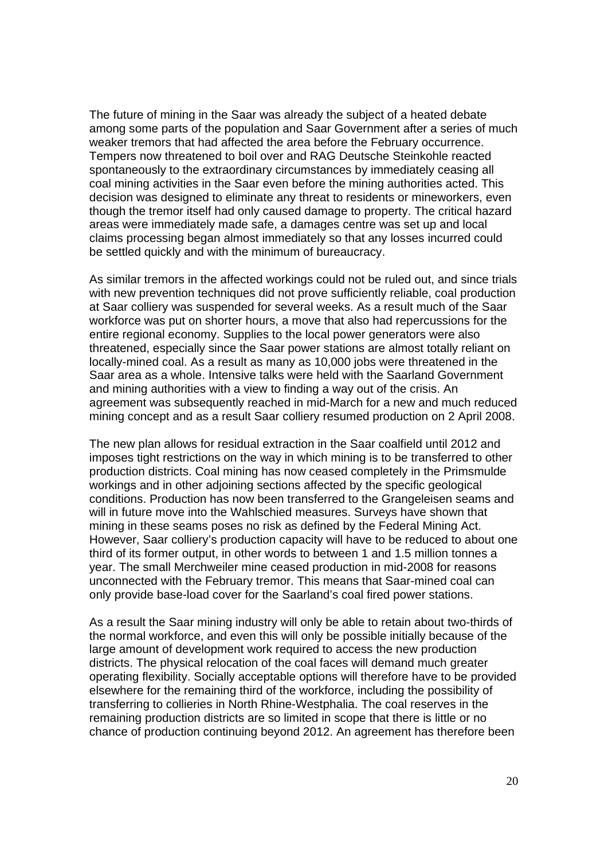The future of mining in the Saar was already the subject of a heated debate among some parts of the population and Saar Government after a series of much weaker tremors that had affected the area before the February occurrence. Tempers now threatened to boil over and RAG Deutsche Steinkohle reacted spontaneously to the extraordinary circumstances by immediately ceasing all coal mining activities in the Saar even before the mining authorities acted. This decision was designed to eliminate any threat to residents or mineworkers, even though the tremor itself had only caused damage to property. The critical hazard areas were immediately made safe, a damages centre was set up and local claims processing began almost immediately so that any losses incurred could be settled quickly and with the minimum of bureaucracy.

As similar tremors in the affected workings could not be ruled out, and since trials with new prevention techniques did not prove sufficiently reliable, coal production at Saar colliery was suspended for several weeks. As a result much of the Saar workforce was put on shorter hours, a move that also had repercussions for the entire regional economy. Supplies to the local power generators were also threatened, especially since the Saar power stations are almost totally reliant on locally-mined coal. As a result as many as 10,000 jobs were threatened in the Saar area as a whole. Intensive talks were held with the Saarland Government and mining authorities with a view to finding a way out of the crisis. An agreement was subsequently reached in mid-March for a new and much reduced mining concept and as a result Saar colliery resumed production on 2 April 2008.

The new plan allows for residual extraction in the Saar coalfield until 2012 and imposes tight restrictions on the way in which mining is to be transferred to other production districts. Coal mining has now ceased completely in the Primsmulde workings and in other adjoining sections affected by the specific geological conditions. Production has now been transferred to the Grangeleisen seams and will in future move into the Wahlschied measures. Surveys have shown that mining in these seams poses no risk as defined by the Federal Mining Act. However, Saar colliery's production capacity will have to be reduced to about one third of its former output, in other words to between 1 and 1.5 million tonnes a year. The small Merchweiler mine ceased production in mid-2008 for reasons unconnected with the February tremor. This means that Saar-mined coal can only provide base-load cover for the Saarland's coal fired power stations.

As a result the Saar mining industry will only be able to retain about two-thirds of the normal workforce, and even this will only be possible initially because of the large amount of development work required to access the new production districts. The physical relocation of the coal faces will demand much greater operating flexibility. Socially acceptable options will therefore have to be provided elsewhere for the remaining third of the workforce, including the possibility of transferring to collieries in North Rhine-Westphalia. The coal reserves in the remaining production districts are so limited in scope that there is little or no chance of production continuing beyond 2012. An agreement has therefore been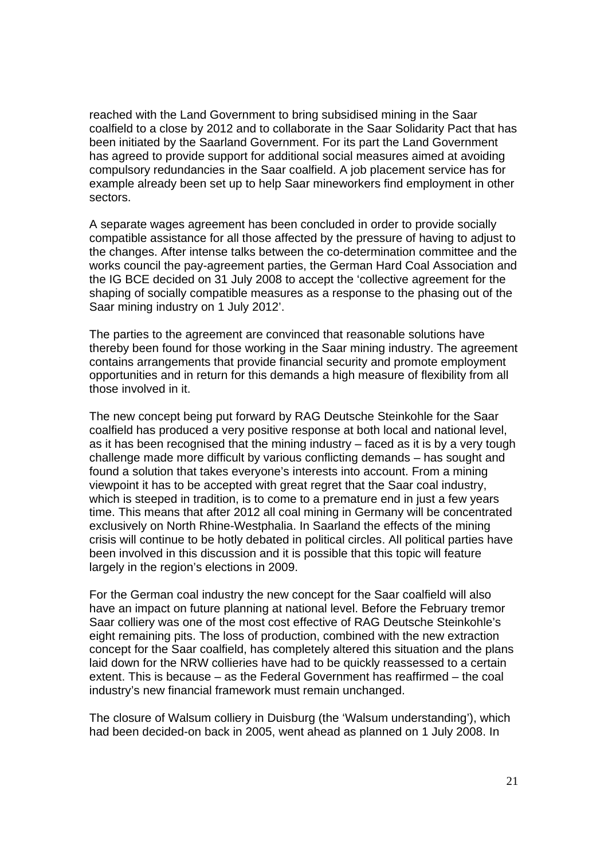reached with the Land Government to bring subsidised mining in the Saar coalfield to a close by 2012 and to collaborate in the Saar Solidarity Pact that has been initiated by the Saarland Government. For its part the Land Government has agreed to provide support for additional social measures aimed at avoiding compulsory redundancies in the Saar coalfield. A job placement service has for example already been set up to help Saar mineworkers find employment in other sectors.

A separate wages agreement has been concluded in order to provide socially compatible assistance for all those affected by the pressure of having to adjust to the changes. After intense talks between the co-determination committee and the works council the pay-agreement parties, the German Hard Coal Association and the IG BCE decided on 31 July 2008 to accept the 'collective agreement for the shaping of socially compatible measures as a response to the phasing out of the Saar mining industry on 1 July 2012'.

The parties to the agreement are convinced that reasonable solutions have thereby been found for those working in the Saar mining industry. The agreement contains arrangements that provide financial security and promote employment opportunities and in return for this demands a high measure of flexibility from all those involved in it.

The new concept being put forward by RAG Deutsche Steinkohle for the Saar coalfield has produced a very positive response at both local and national level, as it has been recognised that the mining industry – faced as it is by a very tough challenge made more difficult by various conflicting demands – has sought and found a solution that takes everyone's interests into account. From a mining viewpoint it has to be accepted with great regret that the Saar coal industry, which is steeped in tradition, is to come to a premature end in just a few years time. This means that after 2012 all coal mining in Germany will be concentrated exclusively on North Rhine-Westphalia. In Saarland the effects of the mining crisis will continue to be hotly debated in political circles. All political parties have been involved in this discussion and it is possible that this topic will feature largely in the region's elections in 2009.

For the German coal industry the new concept for the Saar coalfield will also have an impact on future planning at national level. Before the February tremor Saar colliery was one of the most cost effective of RAG Deutsche Steinkohle's eight remaining pits. The loss of production, combined with the new extraction concept for the Saar coalfield, has completely altered this situation and the plans laid down for the NRW collieries have had to be quickly reassessed to a certain extent. This is because – as the Federal Government has reaffirmed – the coal industry's new financial framework must remain unchanged.

The closure of Walsum colliery in Duisburg (the 'Walsum understanding'), which had been decided-on back in 2005, went ahead as planned on 1 July 2008. In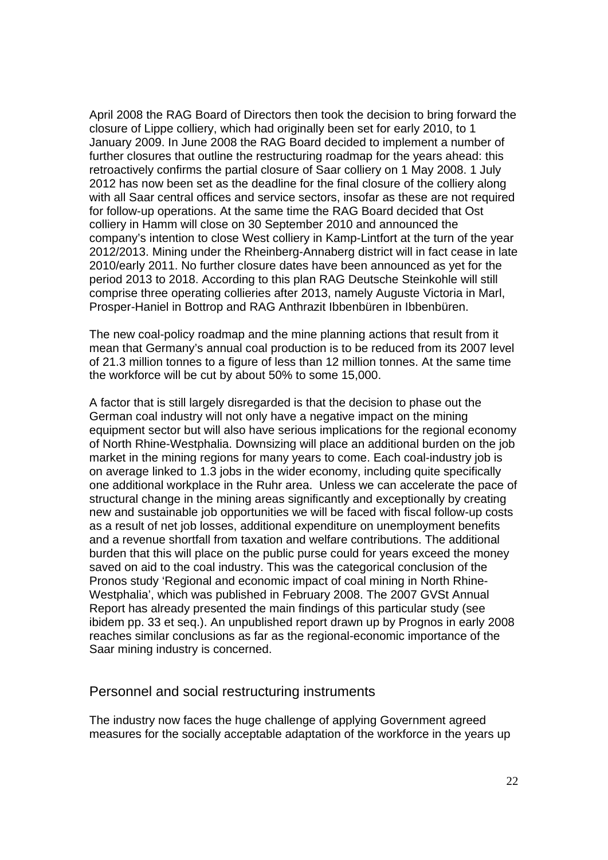April 2008 the RAG Board of Directors then took the decision to bring forward the closure of Lippe colliery, which had originally been set for early 2010, to 1 January 2009. In June 2008 the RAG Board decided to implement a number of further closures that outline the restructuring roadmap for the years ahead: this retroactively confirms the partial closure of Saar colliery on 1 May 2008. 1 July 2012 has now been set as the deadline for the final closure of the colliery along with all Saar central offices and service sectors, insofar as these are not required for follow-up operations. At the same time the RAG Board decided that Ost colliery in Hamm will close on 30 September 2010 and announced the company's intention to close West colliery in Kamp-Lintfort at the turn of the year 2012/2013. Mining under the Rheinberg-Annaberg district will in fact cease in late 2010/early 2011. No further closure dates have been announced as yet for the period 2013 to 2018. According to this plan RAG Deutsche Steinkohle will still comprise three operating collieries after 2013, namely Auguste Victoria in Marl, Prosper-Haniel in Bottrop and RAG Anthrazit Ibbenbüren in Ibbenbüren.

The new coal-policy roadmap and the mine planning actions that result from it mean that Germany's annual coal production is to be reduced from its 2007 level of 21.3 million tonnes to a figure of less than 12 million tonnes. At the same time the workforce will be cut by about 50% to some 15,000.

A factor that is still largely disregarded is that the decision to phase out the German coal industry will not only have a negative impact on the mining equipment sector but will also have serious implications for the regional economy of North Rhine-Westphalia. Downsizing will place an additional burden on the job market in the mining regions for many years to come. Each coal-industry job is on average linked to 1.3 jobs in the wider economy, including quite specifically one additional workplace in the Ruhr area. Unless we can accelerate the pace of structural change in the mining areas significantly and exceptionally by creating new and sustainable job opportunities we will be faced with fiscal follow-up costs as a result of net job losses, additional expenditure on unemployment benefits and a revenue shortfall from taxation and welfare contributions. The additional burden that this will place on the public purse could for years exceed the money saved on aid to the coal industry. This was the categorical conclusion of the Pronos study 'Regional and economic impact of coal mining in North Rhine-Westphalia', which was published in February 2008. The 2007 GVSt Annual Report has already presented the main findings of this particular study (see ibidem pp. 33 et seq.). An unpublished report drawn up by Prognos in early 2008 reaches similar conclusions as far as the regional-economic importance of the Saar mining industry is concerned.

#### Personnel and social restructuring instruments

The industry now faces the huge challenge of applying Government agreed measures for the socially acceptable adaptation of the workforce in the years up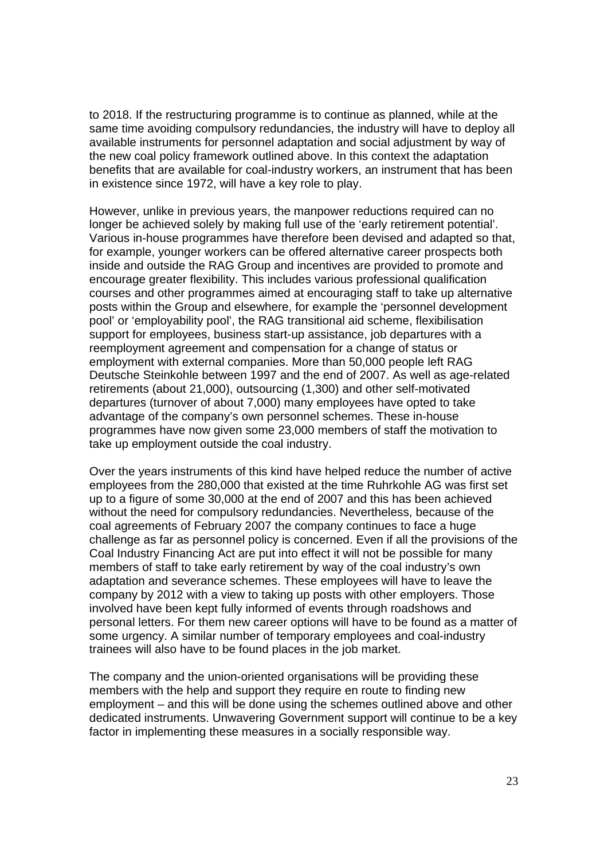to 2018. If the restructuring programme is to continue as planned, while at the same time avoiding compulsory redundancies, the industry will have to deploy all available instruments for personnel adaptation and social adjustment by way of the new coal policy framework outlined above. In this context the adaptation benefits that are available for coal-industry workers, an instrument that has been in existence since 1972, will have a key role to play.

However, unlike in previous years, the manpower reductions required can no longer be achieved solely by making full use of the 'early retirement potential'. Various in-house programmes have therefore been devised and adapted so that, for example, younger workers can be offered alternative career prospects both inside and outside the RAG Group and incentives are provided to promote and encourage greater flexibility. This includes various professional qualification courses and other programmes aimed at encouraging staff to take up alternative posts within the Group and elsewhere, for example the 'personnel development pool' or 'employability pool', the RAG transitional aid scheme, flexibilisation support for employees, business start-up assistance, job departures with a reemployment agreement and compensation for a change of status or employment with external companies. More than 50,000 people left RAG Deutsche Steinkohle between 1997 and the end of 2007. As well as age-related retirements (about 21,000), outsourcing (1,300) and other self-motivated departures (turnover of about 7,000) many employees have opted to take advantage of the company's own personnel schemes. These in-house programmes have now given some 23,000 members of staff the motivation to take up employment outside the coal industry.

Over the years instruments of this kind have helped reduce the number of active employees from the 280,000 that existed at the time Ruhrkohle AG was first set up to a figure of some 30,000 at the end of 2007 and this has been achieved without the need for compulsory redundancies. Nevertheless, because of the coal agreements of February 2007 the company continues to face a huge challenge as far as personnel policy is concerned. Even if all the provisions of the Coal Industry Financing Act are put into effect it will not be possible for many members of staff to take early retirement by way of the coal industry's own adaptation and severance schemes. These employees will have to leave the company by 2012 with a view to taking up posts with other employers. Those involved have been kept fully informed of events through roadshows and personal letters. For them new career options will have to be found as a matter of some urgency. A similar number of temporary employees and coal-industry trainees will also have to be found places in the job market.

The company and the union-oriented organisations will be providing these members with the help and support they require en route to finding new employment – and this will be done using the schemes outlined above and other dedicated instruments. Unwavering Government support will continue to be a key factor in implementing these measures in a socially responsible way.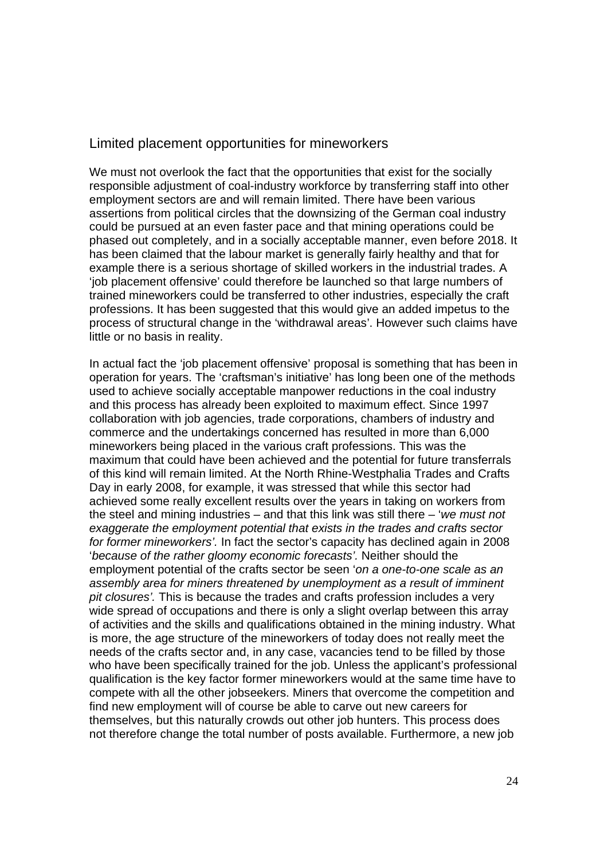#### Limited placement opportunities for mineworkers

We must not overlook the fact that the opportunities that exist for the socially responsible adjustment of coal-industry workforce by transferring staff into other employment sectors are and will remain limited. There have been various assertions from political circles that the downsizing of the German coal industry could be pursued at an even faster pace and that mining operations could be phased out completely, and in a socially acceptable manner, even before 2018. It has been claimed that the labour market is generally fairly healthy and that for example there is a serious shortage of skilled workers in the industrial trades. A 'job placement offensive' could therefore be launched so that large numbers of trained mineworkers could be transferred to other industries, especially the craft professions. It has been suggested that this would give an added impetus to the process of structural change in the 'withdrawal areas'. However such claims have little or no basis in reality.

In actual fact the 'job placement offensive' proposal is something that has been in operation for years. The 'craftsman's initiative' has long been one of the methods used to achieve socially acceptable manpower reductions in the coal industry and this process has already been exploited to maximum effect. Since 1997 collaboration with job agencies, trade corporations, chambers of industry and commerce and the undertakings concerned has resulted in more than 6,000 mineworkers being placed in the various craft professions. This was the maximum that could have been achieved and the potential for future transferrals of this kind will remain limited. At the North Rhine-Westphalia Trades and Crafts Day in early 2008, for example, it was stressed that while this sector had achieved some really excellent results over the years in taking on workers from the steel and mining industries – and that this link was still there – '*we must not exaggerate the employment potential that exists in the trades and crafts sector for former mineworkers'.* In fact the sector's capacity has declined again in 2008 '*because of the rather gloomy economic forecasts'.* Neither should the employment potential of the crafts sector be seen '*on a one-to-one scale as an assembly area for miners threatened by unemployment as a result of imminent pit closures'.* This is because the trades and crafts profession includes a very wide spread of occupations and there is only a slight overlap between this array of activities and the skills and qualifications obtained in the mining industry. What is more, the age structure of the mineworkers of today does not really meet the needs of the crafts sector and, in any case, vacancies tend to be filled by those who have been specifically trained for the job. Unless the applicant's professional qualification is the key factor former mineworkers would at the same time have to compete with all the other jobseekers. Miners that overcome the competition and find new employment will of course be able to carve out new careers for themselves, but this naturally crowds out other job hunters. This process does not therefore change the total number of posts available. Furthermore, a new job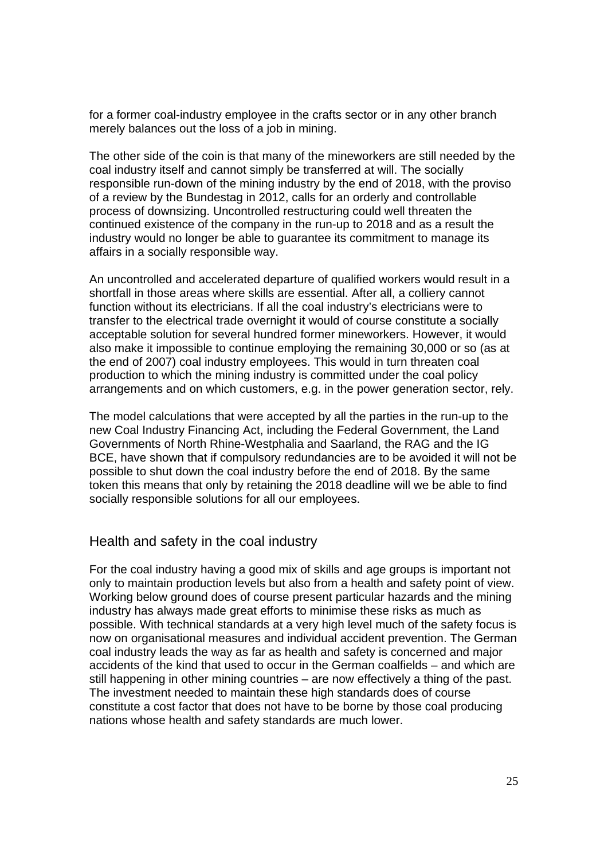for a former coal-industry employee in the crafts sector or in any other branch merely balances out the loss of a job in mining.

The other side of the coin is that many of the mineworkers are still needed by the coal industry itself and cannot simply be transferred at will. The socially responsible run-down of the mining industry by the end of 2018, with the proviso of a review by the Bundestag in 2012, calls for an orderly and controllable process of downsizing. Uncontrolled restructuring could well threaten the continued existence of the company in the run-up to 2018 and as a result the industry would no longer be able to guarantee its commitment to manage its affairs in a socially responsible way.

An uncontrolled and accelerated departure of qualified workers would result in a shortfall in those areas where skills are essential. After all, a colliery cannot function without its electricians. If all the coal industry's electricians were to transfer to the electrical trade overnight it would of course constitute a socially acceptable solution for several hundred former mineworkers. However, it would also make it impossible to continue employing the remaining 30,000 or so (as at the end of 2007) coal industry employees. This would in turn threaten coal production to which the mining industry is committed under the coal policy arrangements and on which customers, e.g. in the power generation sector, rely.

The model calculations that were accepted by all the parties in the run-up to the new Coal Industry Financing Act, including the Federal Government, the Land Governments of North Rhine-Westphalia and Saarland, the RAG and the IG BCE, have shown that if compulsory redundancies are to be avoided it will not be possible to shut down the coal industry before the end of 2018. By the same token this means that only by retaining the 2018 deadline will we be able to find socially responsible solutions for all our employees.

## Health and safety in the coal industry

For the coal industry having a good mix of skills and age groups is important not only to maintain production levels but also from a health and safety point of view. Working below ground does of course present particular hazards and the mining industry has always made great efforts to minimise these risks as much as possible. With technical standards at a very high level much of the safety focus is now on organisational measures and individual accident prevention. The German coal industry leads the way as far as health and safety is concerned and major accidents of the kind that used to occur in the German coalfields – and which are still happening in other mining countries – are now effectively a thing of the past. The investment needed to maintain these high standards does of course constitute a cost factor that does not have to be borne by those coal producing nations whose health and safety standards are much lower.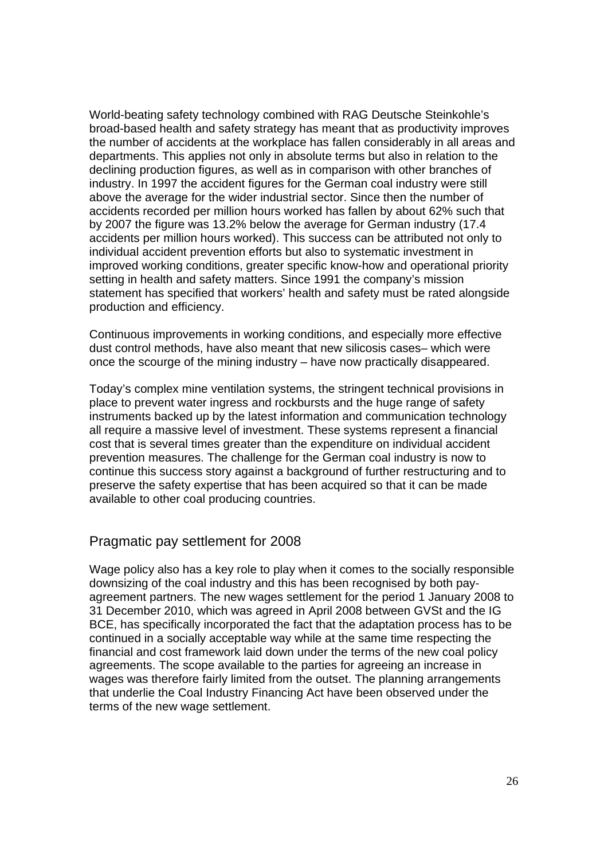World-beating safety technology combined with RAG Deutsche Steinkohle's broad-based health and safety strategy has meant that as productivity improves the number of accidents at the workplace has fallen considerably in all areas and departments. This applies not only in absolute terms but also in relation to the declining production figures, as well as in comparison with other branches of industry. In 1997 the accident figures for the German coal industry were still above the average for the wider industrial sector. Since then the number of accidents recorded per million hours worked has fallen by about 62% such that by 2007 the figure was 13.2% below the average for German industry (17.4 accidents per million hours worked). This success can be attributed not only to individual accident prevention efforts but also to systematic investment in improved working conditions, greater specific know-how and operational priority setting in health and safety matters. Since 1991 the company's mission statement has specified that workers' health and safety must be rated alongside production and efficiency.

Continuous improvements in working conditions, and especially more effective dust control methods, have also meant that new silicosis cases– which were once the scourge of the mining industry – have now practically disappeared.

Today's complex mine ventilation systems, the stringent technical provisions in place to prevent water ingress and rockbursts and the huge range of safety instruments backed up by the latest information and communication technology all require a massive level of investment. These systems represent a financial cost that is several times greater than the expenditure on individual accident prevention measures. The challenge for the German coal industry is now to continue this success story against a background of further restructuring and to preserve the safety expertise that has been acquired so that it can be made available to other coal producing countries.

## Pragmatic pay settlement for 2008

Wage policy also has a key role to play when it comes to the socially responsible downsizing of the coal industry and this has been recognised by both payagreement partners. The new wages settlement for the period 1 January 2008 to 31 December 2010, which was agreed in April 2008 between GVSt and the IG BCE, has specifically incorporated the fact that the adaptation process has to be continued in a socially acceptable way while at the same time respecting the financial and cost framework laid down under the terms of the new coal policy agreements. The scope available to the parties for agreeing an increase in wages was therefore fairly limited from the outset. The planning arrangements that underlie the Coal Industry Financing Act have been observed under the terms of the new wage settlement.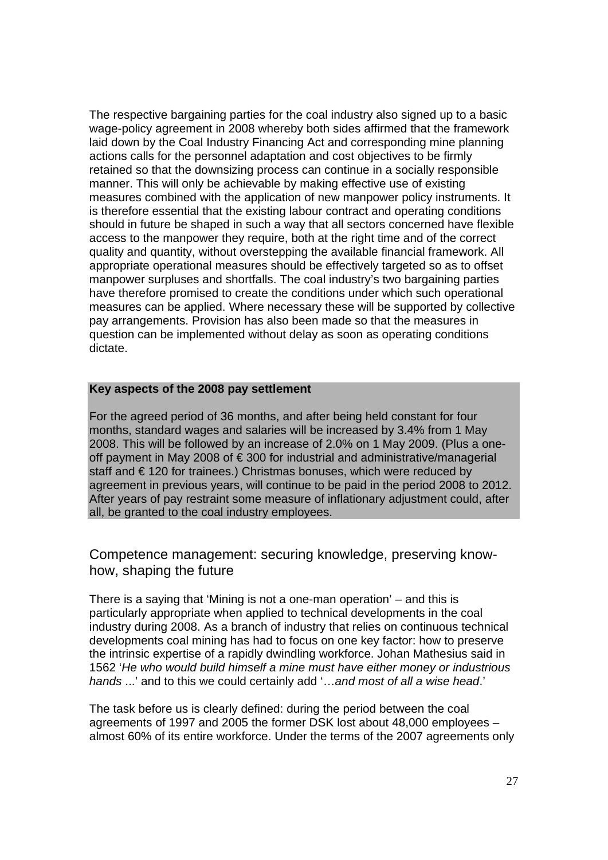The respective bargaining parties for the coal industry also signed up to a basic wage-policy agreement in 2008 whereby both sides affirmed that the framework laid down by the Coal Industry Financing Act and corresponding mine planning actions calls for the personnel adaptation and cost objectives to be firmly retained so that the downsizing process can continue in a socially responsible manner. This will only be achievable by making effective use of existing measures combined with the application of new manpower policy instruments. It is therefore essential that the existing labour contract and operating conditions should in future be shaped in such a way that all sectors concerned have flexible access to the manpower they require, both at the right time and of the correct quality and quantity, without overstepping the available financial framework. All appropriate operational measures should be effectively targeted so as to offset manpower surpluses and shortfalls. The coal industry's two bargaining parties have therefore promised to create the conditions under which such operational measures can be applied. Where necessary these will be supported by collective pay arrangements. Provision has also been made so that the measures in question can be implemented without delay as soon as operating conditions dictate.

#### **Key aspects of the 2008 pay settlement**

For the agreed period of 36 months, and after being held constant for four months, standard wages and salaries will be increased by 3.4% from 1 May 2008. This will be followed by an increase of 2.0% on 1 May 2009. (Plus a oneoff payment in May 2008 of € 300 for industrial and administrative/managerial staff and €120 for trainees.) Christmas bonuses, which were reduced by agreement in previous years, will continue to be paid in the period 2008 to 2012. After years of pay restraint some measure of inflationary adjustment could, after all, be granted to the coal industry employees.

Competence management: securing knowledge, preserving knowhow, shaping the future

There is a saying that 'Mining is not a one-man operation' – and this is particularly appropriate when applied to technical developments in the coal industry during 2008. As a branch of industry that relies on continuous technical developments coal mining has had to focus on one key factor: how to preserve the intrinsic expertise of a rapidly dwindling workforce. Johan Mathesius said in 1562 '*He who would build himself a mine must have either money or industrious hands* ...' and to this we could certainly add '…*and most of all a wise head*.'

The task before us is clearly defined: during the period between the coal agreements of 1997 and 2005 the former DSK lost about 48,000 employees – almost 60% of its entire workforce. Under the terms of the 2007 agreements only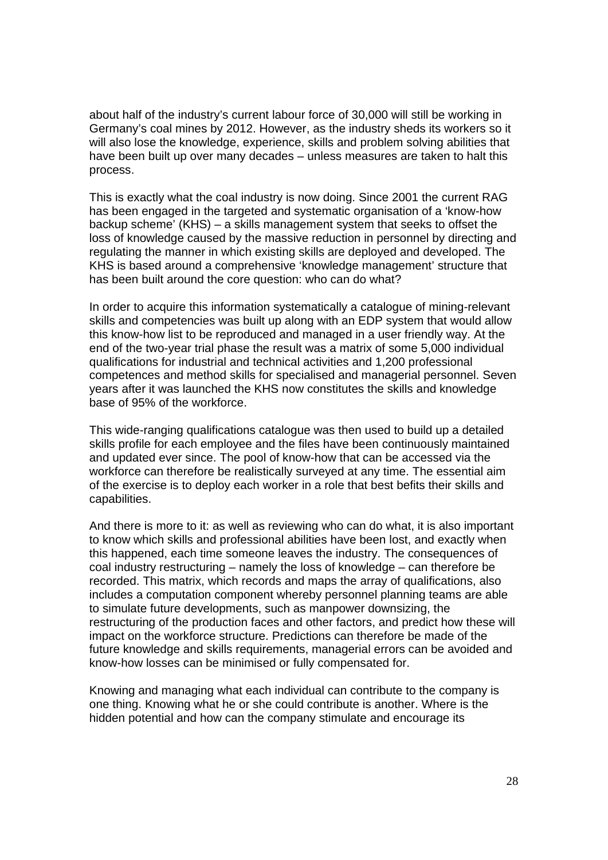about half of the industry's current labour force of 30,000 will still be working in Germany's coal mines by 2012. However, as the industry sheds its workers so it will also lose the knowledge, experience, skills and problem solving abilities that have been built up over many decades – unless measures are taken to halt this process.

This is exactly what the coal industry is now doing. Since 2001 the current RAG has been engaged in the targeted and systematic organisation of a 'know-how backup scheme' (KHS) – a skills management system that seeks to offset the loss of knowledge caused by the massive reduction in personnel by directing and regulating the manner in which existing skills are deployed and developed. The KHS is based around a comprehensive 'knowledge management' structure that has been built around the core question: who can do what?

In order to acquire this information systematically a catalogue of mining-relevant skills and competencies was built up along with an EDP system that would allow this know-how list to be reproduced and managed in a user friendly way. At the end of the two-year trial phase the result was a matrix of some 5,000 individual qualifications for industrial and technical activities and 1,200 professional competences and method skills for specialised and managerial personnel. Seven years after it was launched the KHS now constitutes the skills and knowledge base of 95% of the workforce.

This wide-ranging qualifications catalogue was then used to build up a detailed skills profile for each employee and the files have been continuously maintained and updated ever since. The pool of know-how that can be accessed via the workforce can therefore be realistically surveyed at any time. The essential aim of the exercise is to deploy each worker in a role that best befits their skills and capabilities.

And there is more to it: as well as reviewing who can do what, it is also important to know which skills and professional abilities have been lost, and exactly when this happened, each time someone leaves the industry. The consequences of coal industry restructuring – namely the loss of knowledge – can therefore be recorded. This matrix, which records and maps the array of qualifications, also includes a computation component whereby personnel planning teams are able to simulate future developments, such as manpower downsizing, the restructuring of the production faces and other factors, and predict how these will impact on the workforce structure. Predictions can therefore be made of the future knowledge and skills requirements, managerial errors can be avoided and know-how losses can be minimised or fully compensated for.

Knowing and managing what each individual can contribute to the company is one thing. Knowing what he or she could contribute is another. Where is the hidden potential and how can the company stimulate and encourage its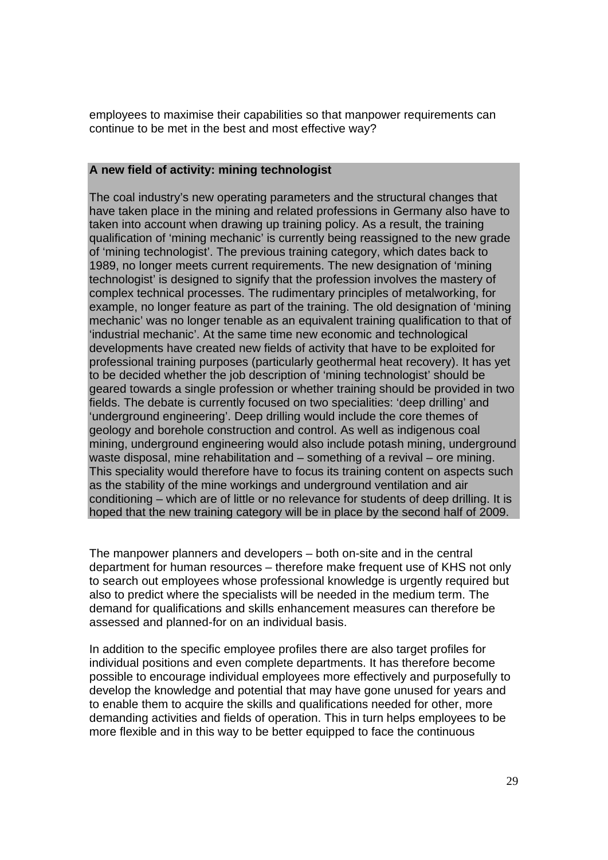employees to maximise their capabilities so that manpower requirements can continue to be met in the best and most effective way?

#### **A new field of activity: mining technologist**

The coal industry's new operating parameters and the structural changes that have taken place in the mining and related professions in Germany also have to taken into account when drawing up training policy. As a result, the training qualification of 'mining mechanic' is currently being reassigned to the new grade of 'mining technologist'. The previous training category, which dates back to 1989, no longer meets current requirements. The new designation of 'mining technologist' is designed to signify that the profession involves the mastery of complex technical processes. The rudimentary principles of metalworking, for example, no longer feature as part of the training. The old designation of 'mining mechanic' was no longer tenable as an equivalent training qualification to that of 'industrial mechanic'. At the same time new economic and technological developments have created new fields of activity that have to be exploited for professional training purposes (particularly geothermal heat recovery). It has yet to be decided whether the job description of 'mining technologist' should be geared towards a single profession or whether training should be provided in two fields. The debate is currently focused on two specialities: 'deep drilling' and 'underground engineering'. Deep drilling would include the core themes of geology and borehole construction and control. As well as indigenous coal mining, underground engineering would also include potash mining, underground waste disposal, mine rehabilitation and – something of a revival – ore mining. This speciality would therefore have to focus its training content on aspects such as the stability of the mine workings and underground ventilation and air conditioning – which are of little or no relevance for students of deep drilling. It is hoped that the new training category will be in place by the second half of 2009.

The manpower planners and developers – both on-site and in the central department for human resources – therefore make frequent use of KHS not only to search out employees whose professional knowledge is urgently required but also to predict where the specialists will be needed in the medium term. The demand for qualifications and skills enhancement measures can therefore be assessed and planned-for on an individual basis.

In addition to the specific employee profiles there are also target profiles for individual positions and even complete departments. It has therefore become possible to encourage individual employees more effectively and purposefully to develop the knowledge and potential that may have gone unused for years and to enable them to acquire the skills and qualifications needed for other, more demanding activities and fields of operation. This in turn helps employees to be more flexible and in this way to be better equipped to face the continuous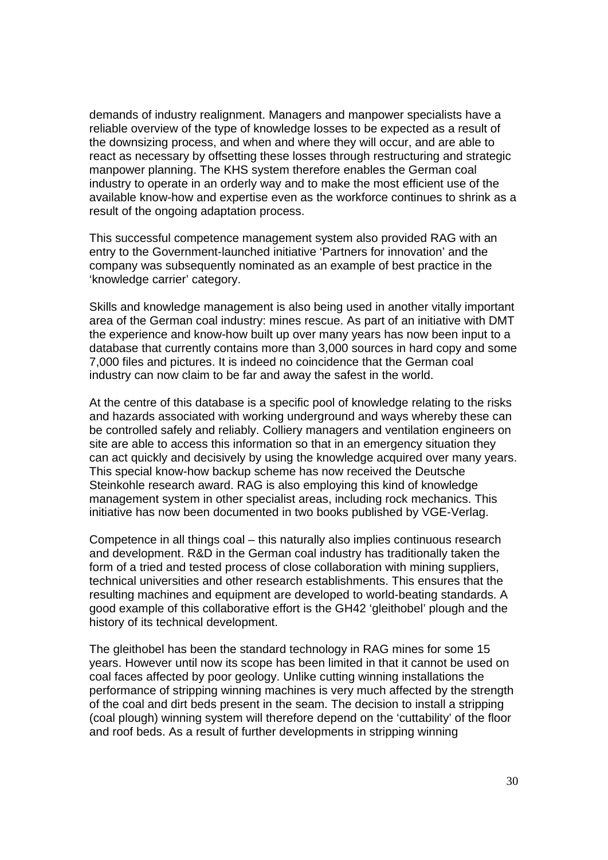demands of industry realignment. Managers and manpower specialists have a reliable overview of the type of knowledge losses to be expected as a result of the downsizing process, and when and where they will occur, and are able to react as necessary by offsetting these losses through restructuring and strategic manpower planning. The KHS system therefore enables the German coal industry to operate in an orderly way and to make the most efficient use of the available know-how and expertise even as the workforce continues to shrink as a result of the ongoing adaptation process.

This successful competence management system also provided RAG with an entry to the Government-launched initiative 'Partners for innovation' and the company was subsequently nominated as an example of best practice in the 'knowledge carrier' category.

Skills and knowledge management is also being used in another vitally important area of the German coal industry: mines rescue. As part of an initiative with DMT the experience and know-how built up over many years has now been input to a database that currently contains more than 3,000 sources in hard copy and some 7,000 files and pictures. It is indeed no coincidence that the German coal industry can now claim to be far and away the safest in the world.

At the centre of this database is a specific pool of knowledge relating to the risks and hazards associated with working underground and ways whereby these can be controlled safely and reliably. Colliery managers and ventilation engineers on site are able to access this information so that in an emergency situation they can act quickly and decisively by using the knowledge acquired over many years. This special know-how backup scheme has now received the Deutsche Steinkohle research award. RAG is also employing this kind of knowledge management system in other specialist areas, including rock mechanics. This initiative has now been documented in two books published by VGE-Verlag.

Competence in all things coal – this naturally also implies continuous research and development. R&D in the German coal industry has traditionally taken the form of a tried and tested process of close collaboration with mining suppliers, technical universities and other research establishments. This ensures that the resulting machines and equipment are developed to world-beating standards. A good example of this collaborative effort is the GH42 'gleithobel' plough and the history of its technical development.

The gleithobel has been the standard technology in RAG mines for some 15 years. However until now its scope has been limited in that it cannot be used on coal faces affected by poor geology. Unlike cutting winning installations the performance of stripping winning machines is very much affected by the strength of the coal and dirt beds present in the seam. The decision to install a stripping (coal plough) winning system will therefore depend on the 'cuttability' of the floor and roof beds. As a result of further developments in stripping winning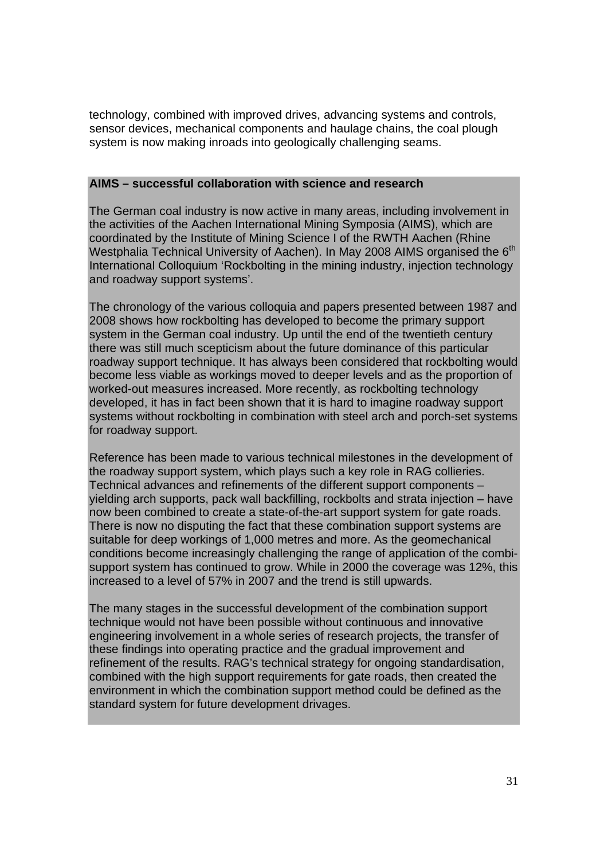technology, combined with improved drives, advancing systems and controls, sensor devices, mechanical components and haulage chains, the coal plough system is now making inroads into geologically challenging seams.

#### **AIMS – successful collaboration with science and research**

The German coal industry is now active in many areas, including involvement in the activities of the Aachen International Mining Symposia (AIMS), which are coordinated by the Institute of Mining Science I of the RWTH Aachen (Rhine Westphalia Technical University of Aachen). In May 2008 AIMS organised the 6<sup>th</sup> International Colloquium 'Rockbolting in the mining industry, injection technology and roadway support systems'.

The chronology of the various colloquia and papers presented between 1987 and 2008 shows how rockbolting has developed to become the primary support system in the German coal industry. Up until the end of the twentieth century there was still much scepticism about the future dominance of this particular roadway support technique. It has always been considered that rockbolting would become less viable as workings moved to deeper levels and as the proportion of worked-out measures increased. More recently, as rockbolting technology developed, it has in fact been shown that it is hard to imagine roadway support systems without rockbolting in combination with steel arch and porch-set systems for roadway support.

Reference has been made to various technical milestones in the development of the roadway support system, which plays such a key role in RAG collieries. Technical advances and refinements of the different support components – yielding arch supports, pack wall backfilling, rockbolts and strata injection – have now been combined to create a state-of-the-art support system for gate roads. There is now no disputing the fact that these combination support systems are suitable for deep workings of 1,000 metres and more. As the geomechanical conditions become increasingly challenging the range of application of the combisupport system has continued to grow. While in 2000 the coverage was 12%, this increased to a level of 57% in 2007 and the trend is still upwards.

The many stages in the successful development of the combination support technique would not have been possible without continuous and innovative engineering involvement in a whole series of research projects, the transfer of these findings into operating practice and the gradual improvement and refinement of the results. RAG's technical strategy for ongoing standardisation, combined with the high support requirements for gate roads, then created the environment in which the combination support method could be defined as the standard system for future development drivages.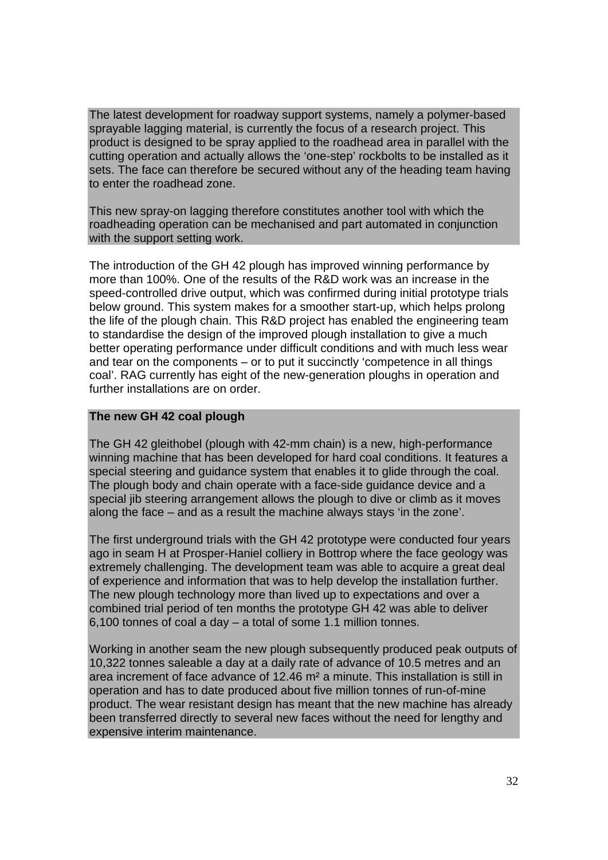The latest development for roadway support systems, namely a polymer-based sprayable lagging material, is currently the focus of a research project. This product is designed to be spray applied to the roadhead area in parallel with the cutting operation and actually allows the 'one-step' rockbolts to be installed as it sets. The face can therefore be secured without any of the heading team having to enter the roadhead zone.

This new spray-on lagging therefore constitutes another tool with which the roadheading operation can be mechanised and part automated in conjunction with the support setting work.

The introduction of the GH 42 plough has improved winning performance by more than 100%. One of the results of the R&D work was an increase in the speed-controlled drive output, which was confirmed during initial prototype trials below ground. This system makes for a smoother start-up, which helps prolong the life of the plough chain. This R&D project has enabled the engineering team to standardise the design of the improved plough installation to give a much better operating performance under difficult conditions and with much less wear and tear on the components – or to put it succinctly 'competence in all things coal'. RAG currently has eight of the new-generation ploughs in operation and further installations are on order.

#### **The new GH 42 coal plough**

The GH 42 gleithobel (plough with 42-mm chain) is a new, high-performance winning machine that has been developed for hard coal conditions. It features a special steering and guidance system that enables it to glide through the coal. The plough body and chain operate with a face-side guidance device and a special jib steering arrangement allows the plough to dive or climb as it moves along the face – and as a result the machine always stays 'in the zone'.

The first underground trials with the GH 42 prototype were conducted four years ago in seam H at Prosper-Haniel colliery in Bottrop where the face geology was extremely challenging. The development team was able to acquire a great deal of experience and information that was to help develop the installation further. The new plough technology more than lived up to expectations and over a combined trial period of ten months the prototype GH 42 was able to deliver 6,100 tonnes of coal a day – a total of some 1.1 million tonnes.

Working in another seam the new plough subsequently produced peak outputs of 10,322 tonnes saleable a day at a daily rate of advance of 10.5 metres and an area increment of face advance of 12.46 m² a minute. This installation is still in operation and has to date produced about five million tonnes of run-of-mine product. The wear resistant design has meant that the new machine has already been transferred directly to several new faces without the need for lengthy and expensive interim maintenance.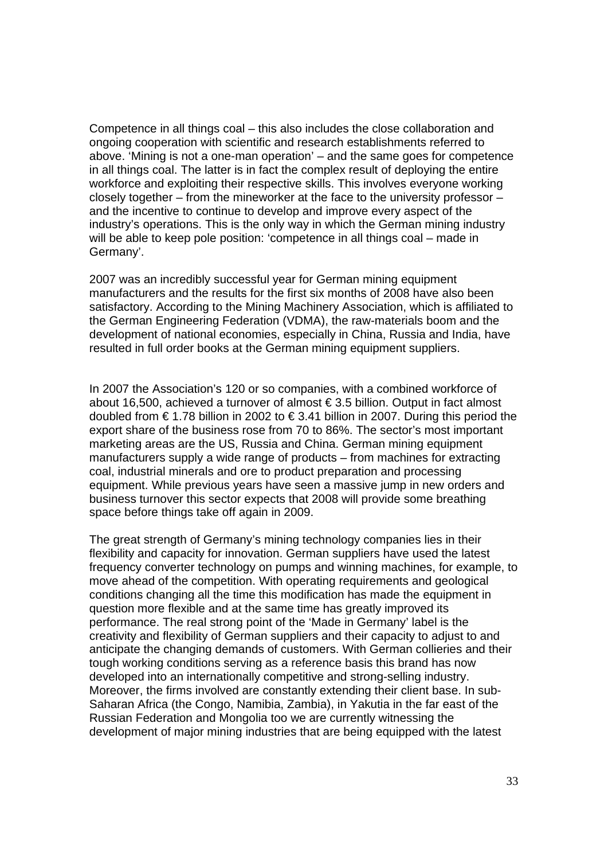Competence in all things coal – this also includes the close collaboration and ongoing cooperation with scientific and research establishments referred to above. 'Mining is not a one-man operation' – and the same goes for competence in all things coal. The latter is in fact the complex result of deploying the entire workforce and exploiting their respective skills. This involves everyone working closely together – from the mineworker at the face to the university professor – and the incentive to continue to develop and improve every aspect of the industry's operations. This is the only way in which the German mining industry will be able to keep pole position: 'competence in all things coal – made in Germany'.

2007 was an incredibly successful year for German mining equipment manufacturers and the results for the first six months of 2008 have also been satisfactory. According to the Mining Machinery Association, which is affiliated to the German Engineering Federation (VDMA), the raw-materials boom and the development of national economies, especially in China, Russia and India, have resulted in full order books at the German mining equipment suppliers.

In 2007 the Association's 120 or so companies, with a combined workforce of about 16,500, achieved a turnover of almost € 3.5 billion. Output in fact almost doubled from € 1.78 billion in 2002 to € 3.41 billion in 2007. During this period the export share of the business rose from 70 to 86%. The sector's most important marketing areas are the US, Russia and China. German mining equipment manufacturers supply a wide range of products – from machines for extracting coal, industrial minerals and ore to product preparation and processing equipment. While previous years have seen a massive jump in new orders and business turnover this sector expects that 2008 will provide some breathing space before things take off again in 2009.

The great strength of Germany's mining technology companies lies in their flexibility and capacity for innovation. German suppliers have used the latest frequency converter technology on pumps and winning machines, for example, to move ahead of the competition. With operating requirements and geological conditions changing all the time this modification has made the equipment in question more flexible and at the same time has greatly improved its performance. The real strong point of the 'Made in Germany' label is the creativity and flexibility of German suppliers and their capacity to adjust to and anticipate the changing demands of customers. With German collieries and their tough working conditions serving as a reference basis this brand has now developed into an internationally competitive and strong-selling industry. Moreover, the firms involved are constantly extending their client base. In sub-Saharan Africa (the Congo, Namibia, Zambia), in Yakutia in the far east of the Russian Federation and Mongolia too we are currently witnessing the development of major mining industries that are being equipped with the latest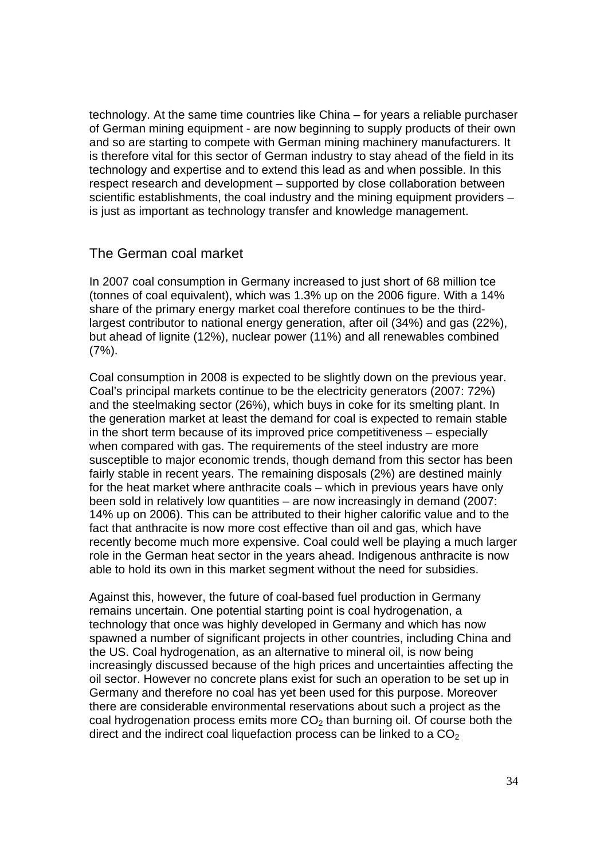technology. At the same time countries like China – for years a reliable purchaser of German mining equipment - are now beginning to supply products of their own and so are starting to compete with German mining machinery manufacturers. It is therefore vital for this sector of German industry to stay ahead of the field in its technology and expertise and to extend this lead as and when possible. In this respect research and development – supported by close collaboration between scientific establishments, the coal industry and the mining equipment providers – is just as important as technology transfer and knowledge management.

#### The German coal market

In 2007 coal consumption in Germany increased to just short of 68 million tce (tonnes of coal equivalent), which was 1.3% up on the 2006 figure. With a 14% share of the primary energy market coal therefore continues to be the thirdlargest contributor to national energy generation, after oil (34%) and gas (22%), but ahead of lignite (12%), nuclear power (11%) and all renewables combined (7%).

Coal consumption in 2008 is expected to be slightly down on the previous year. Coal's principal markets continue to be the electricity generators (2007: 72%) and the steelmaking sector (26%), which buys in coke for its smelting plant. In the generation market at least the demand for coal is expected to remain stable in the short term because of its improved price competitiveness – especially when compared with gas. The requirements of the steel industry are more susceptible to major economic trends, though demand from this sector has been fairly stable in recent years. The remaining disposals (2%) are destined mainly for the heat market where anthracite coals – which in previous years have only been sold in relatively low quantities – are now increasingly in demand (2007: 14% up on 2006). This can be attributed to their higher calorific value and to the fact that anthracite is now more cost effective than oil and gas, which have recently become much more expensive. Coal could well be playing a much larger role in the German heat sector in the years ahead. Indigenous anthracite is now able to hold its own in this market segment without the need for subsidies.

Against this, however, the future of coal-based fuel production in Germany remains uncertain. One potential starting point is coal hydrogenation, a technology that once was highly developed in Germany and which has now spawned a number of significant projects in other countries, including China and the US. Coal hydrogenation, as an alternative to mineral oil, is now being increasingly discussed because of the high prices and uncertainties affecting the oil sector. However no concrete plans exist for such an operation to be set up in Germany and therefore no coal has yet been used for this purpose. Moreover there are considerable environmental reservations about such a project as the coal hydrogenation process emits more  $CO<sub>2</sub>$  than burning oil. Of course both the direct and the indirect coal liquefaction process can be linked to a  $CO<sub>2</sub>$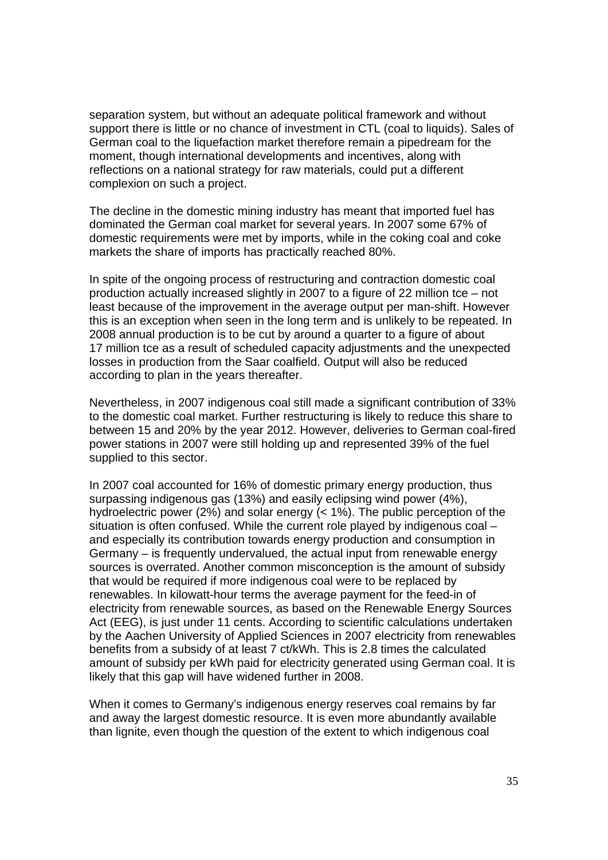separation system, but without an adequate political framework and without support there is little or no chance of investment in CTL (coal to liquids). Sales of German coal to the liquefaction market therefore remain a pipedream for the moment, though international developments and incentives, along with reflections on a national strategy for raw materials, could put a different complexion on such a project.

The decline in the domestic mining industry has meant that imported fuel has dominated the German coal market for several years. In 2007 some 67% of domestic requirements were met by imports, while in the coking coal and coke markets the share of imports has practically reached 80%.

In spite of the ongoing process of restructuring and contraction domestic coal production actually increased slightly in 2007 to a figure of 22 million tce – not least because of the improvement in the average output per man-shift. However this is an exception when seen in the long term and is unlikely to be repeated. In 2008 annual production is to be cut by around a quarter to a figure of about 17 million tce as a result of scheduled capacity adjustments and the unexpected losses in production from the Saar coalfield. Output will also be reduced according to plan in the years thereafter.

Nevertheless, in 2007 indigenous coal still made a significant contribution of 33% to the domestic coal market. Further restructuring is likely to reduce this share to between 15 and 20% by the year 2012. However, deliveries to German coal-fired power stations in 2007 were still holding up and represented 39% of the fuel supplied to this sector.

In 2007 coal accounted for 16% of domestic primary energy production, thus surpassing indigenous gas (13%) and easily eclipsing wind power (4%), hydroelectric power (2%) and solar energy (< 1%). The public perception of the situation is often confused. While the current role played by indigenous coal – and especially its contribution towards energy production and consumption in Germany – is frequently undervalued, the actual input from renewable energy sources is overrated. Another common misconception is the amount of subsidy that would be required if more indigenous coal were to be replaced by renewables. In kilowatt-hour terms the average payment for the feed-in of electricity from renewable sources, as based on the Renewable Energy Sources Act (EEG), is just under 11 cents. According to scientific calculations undertaken by the Aachen University of Applied Sciences in 2007 electricity from renewables benefits from a subsidy of at least 7 ct/kWh. This is 2.8 times the calculated amount of subsidy per kWh paid for electricity generated using German coal. It is likely that this gap will have widened further in 2008.

When it comes to Germany's indigenous energy reserves coal remains by far and away the largest domestic resource. It is even more abundantly available than lignite, even though the question of the extent to which indigenous coal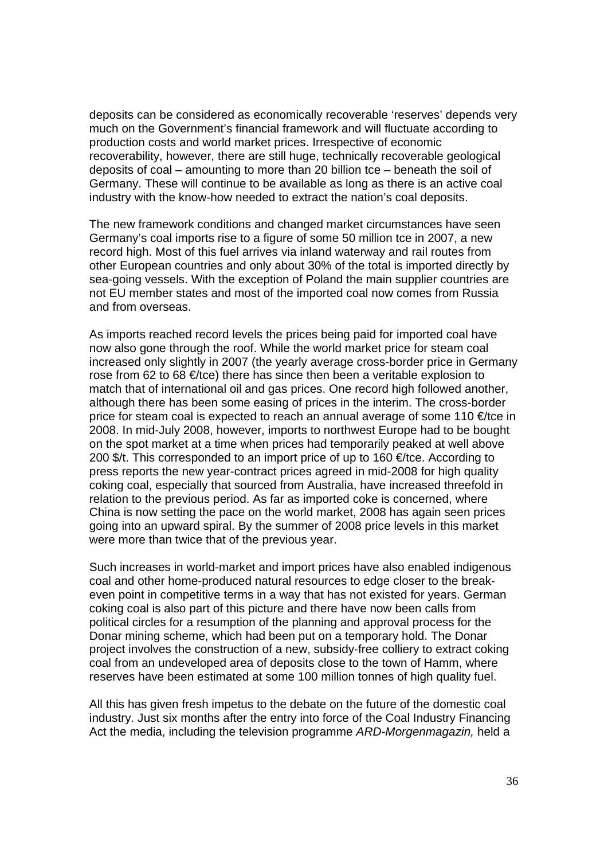deposits can be considered as economically recoverable 'reserves' depends very much on the Government's financial framework and will fluctuate according to production costs and world market prices. Irrespective of economic recoverability, however, there are still huge, technically recoverable geological deposits of coal – amounting to more than 20 billion tce – beneath the soil of Germany. These will continue to be available as long as there is an active coal industry with the know-how needed to extract the nation's coal deposits.

The new framework conditions and changed market circumstances have seen Germany's coal imports rise to a figure of some 50 million tce in 2007, a new record high. Most of this fuel arrives via inland waterway and rail routes from other European countries and only about 30% of the total is imported directly by sea-going vessels. With the exception of Poland the main supplier countries are not EU member states and most of the imported coal now comes from Russia and from overseas.

As imports reached record levels the prices being paid for imported coal have now also gone through the roof. While the world market price for steam coal increased only slightly in 2007 (the yearly average cross-border price in Germany rose from 62 to 68  $\in$ /tce) there has since then been a veritable explosion to match that of international oil and gas prices. One record high followed another, although there has been some easing of prices in the interim. The cross-border price for steam coal is expected to reach an annual average of some 110 €/tce in 2008. In mid-July 2008, however, imports to northwest Europe had to be bought on the spot market at a time when prices had temporarily peaked at well above 200 \$/t. This corresponded to an import price of up to 160  $\in$ /tce. According to press reports the new year-contract prices agreed in mid-2008 for high quality coking coal, especially that sourced from Australia, have increased threefold in relation to the previous period. As far as imported coke is concerned, where China is now setting the pace on the world market, 2008 has again seen prices going into an upward spiral. By the summer of 2008 price levels in this market were more than twice that of the previous year.

Such increases in world-market and import prices have also enabled indigenous coal and other home-produced natural resources to edge closer to the breakeven point in competitive terms in a way that has not existed for years. German coking coal is also part of this picture and there have now been calls from political circles for a resumption of the planning and approval process for the Donar mining scheme, which had been put on a temporary hold. The Donar project involves the construction of a new, subsidy-free colliery to extract coking coal from an undeveloped area of deposits close to the town of Hamm, where reserves have been estimated at some 100 million tonnes of high quality fuel.

All this has given fresh impetus to the debate on the future of the domestic coal industry. Just six months after the entry into force of the Coal Industry Financing Act the media, including the television programme *ARD-Morgenmagazin,* held a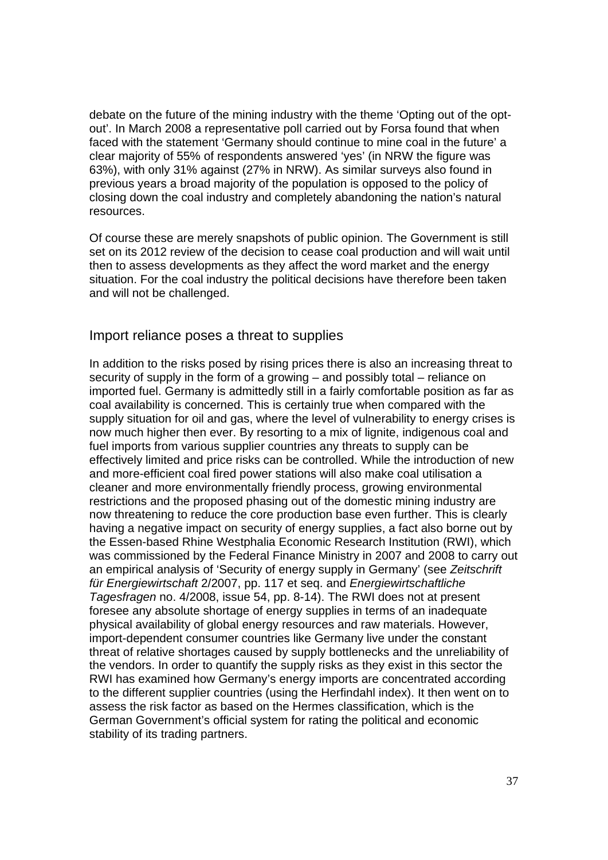debate on the future of the mining industry with the theme 'Opting out of the optout'. In March 2008 a representative poll carried out by Forsa found that when faced with the statement 'Germany should continue to mine coal in the future' a clear majority of 55% of respondents answered 'yes' (in NRW the figure was 63%), with only 31% against (27% in NRW). As similar surveys also found in previous years a broad majority of the population is opposed to the policy of closing down the coal industry and completely abandoning the nation's natural resources.

Of course these are merely snapshots of public opinion. The Government is still set on its 2012 review of the decision to cease coal production and will wait until then to assess developments as they affect the word market and the energy situation. For the coal industry the political decisions have therefore been taken and will not be challenged.

#### Import reliance poses a threat to supplies

In addition to the risks posed by rising prices there is also an increasing threat to security of supply in the form of a growing – and possibly total – reliance on imported fuel. Germany is admittedly still in a fairly comfortable position as far as coal availability is concerned. This is certainly true when compared with the supply situation for oil and gas, where the level of vulnerability to energy crises is now much higher then ever. By resorting to a mix of lignite, indigenous coal and fuel imports from various supplier countries any threats to supply can be effectively limited and price risks can be controlled. While the introduction of new and more-efficient coal fired power stations will also make coal utilisation a cleaner and more environmentally friendly process, growing environmental restrictions and the proposed phasing out of the domestic mining industry are now threatening to reduce the core production base even further. This is clearly having a negative impact on security of energy supplies, a fact also borne out by the Essen-based Rhine Westphalia Economic Research Institution (RWI), which was commissioned by the Federal Finance Ministry in 2007 and 2008 to carry out an empirical analysis of 'Security of energy supply in Germany' (see *Zeitschrift für Energiewirtschaft* 2/2007, pp. 117 et seq. and *Energiewirtschaftliche Tagesfragen* no. 4/2008, issue 54, pp. 8-14). The RWI does not at present foresee any absolute shortage of energy supplies in terms of an inadequate physical availability of global energy resources and raw materials. However, import-dependent consumer countries like Germany live under the constant threat of relative shortages caused by supply bottlenecks and the unreliability of the vendors. In order to quantify the supply risks as they exist in this sector the RWI has examined how Germany's energy imports are concentrated according to the different supplier countries (using the Herfindahl index). It then went on to assess the risk factor as based on the Hermes classification, which is the German Government's official system for rating the political and economic stability of its trading partners.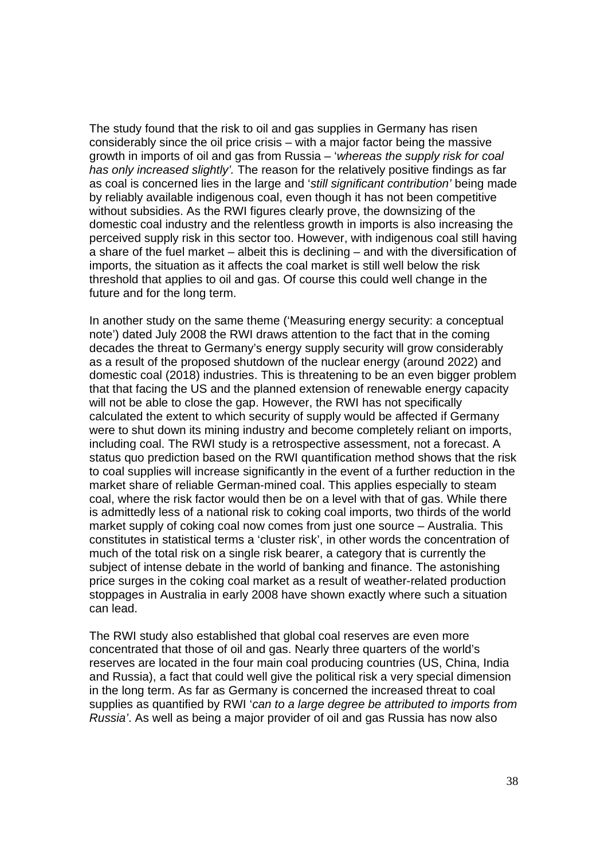The study found that the risk to oil and gas supplies in Germany has risen considerably since the oil price crisis – with a major factor being the massive growth in imports of oil and gas from Russia – '*whereas the supply risk for coal has only increased slightly'.* The reason for the relatively positive findings as far as coal is concerned lies in the large and '*still significant contribution'* being made by reliably available indigenous coal, even though it has not been competitive without subsidies. As the RWI figures clearly prove, the downsizing of the domestic coal industry and the relentless growth in imports is also increasing the perceived supply risk in this sector too. However, with indigenous coal still having a share of the fuel market – albeit this is declining – and with the diversification of imports, the situation as it affects the coal market is still well below the risk threshold that applies to oil and gas. Of course this could well change in the future and for the long term.

In another study on the same theme ('Measuring energy security: a conceptual note') dated July 2008 the RWI draws attention to the fact that in the coming decades the threat to Germany's energy supply security will grow considerably as a result of the proposed shutdown of the nuclear energy (around 2022) and domestic coal (2018) industries. This is threatening to be an even bigger problem that that facing the US and the planned extension of renewable energy capacity will not be able to close the gap. However, the RWI has not specifically calculated the extent to which security of supply would be affected if Germany were to shut down its mining industry and become completely reliant on imports, including coal. The RWI study is a retrospective assessment, not a forecast. A status quo prediction based on the RWI quantification method shows that the risk to coal supplies will increase significantly in the event of a further reduction in the market share of reliable German-mined coal. This applies especially to steam coal, where the risk factor would then be on a level with that of gas. While there is admittedly less of a national risk to coking coal imports, two thirds of the world market supply of coking coal now comes from just one source – Australia. This constitutes in statistical terms a 'cluster risk', in other words the concentration of much of the total risk on a single risk bearer, a category that is currently the subject of intense debate in the world of banking and finance. The astonishing price surges in the coking coal market as a result of weather-related production stoppages in Australia in early 2008 have shown exactly where such a situation can lead.

The RWI study also established that global coal reserves are even more concentrated that those of oil and gas. Nearly three quarters of the world's reserves are located in the four main coal producing countries (US, China, India and Russia), a fact that could well give the political risk a very special dimension in the long term. As far as Germany is concerned the increased threat to coal supplies as quantified by RWI '*can to a large degree be attributed to imports from Russia'*. As well as being a major provider of oil and gas Russia has now also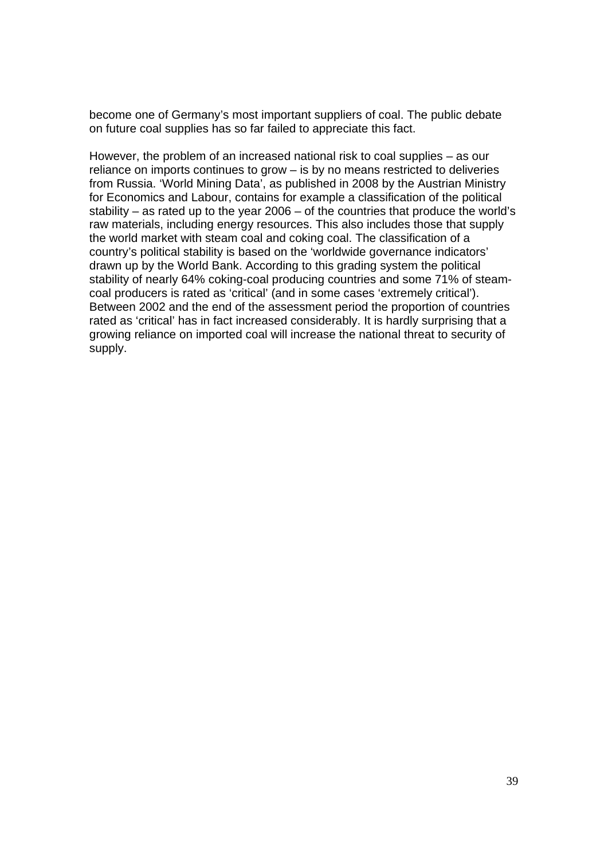become one of Germany's most important suppliers of coal. The public debate on future coal supplies has so far failed to appreciate this fact.

However, the problem of an increased national risk to coal supplies – as our reliance on imports continues to grow – is by no means restricted to deliveries from Russia. 'World Mining Data', as published in 2008 by the Austrian Ministry for Economics and Labour, contains for example a classification of the political stability – as rated up to the year 2006 – of the countries that produce the world's raw materials, including energy resources. This also includes those that supply the world market with steam coal and coking coal. The classification of a country's political stability is based on the 'worldwide governance indicators' drawn up by the World Bank. According to this grading system the political stability of nearly 64% coking-coal producing countries and some 71% of steamcoal producers is rated as 'critical' (and in some cases 'extremely critical'). Between 2002 and the end of the assessment period the proportion of countries rated as 'critical' has in fact increased considerably. It is hardly surprising that a growing reliance on imported coal will increase the national threat to security of supply.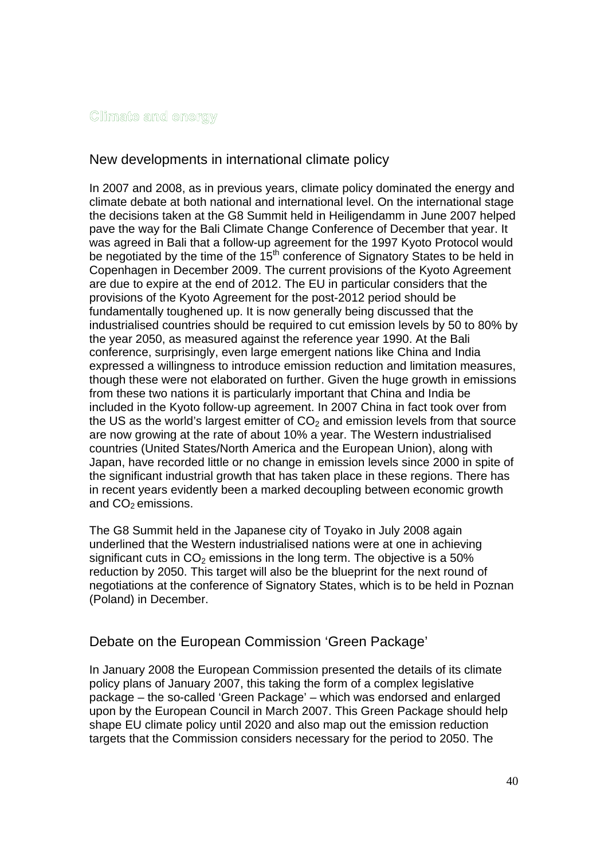#### Climate and energy

## New developments in international climate policy

In 2007 and 2008, as in previous years, climate policy dominated the energy and climate debate at both national and international level. On the international stage the decisions taken at the G8 Summit held in Heiligendamm in June 2007 helped pave the way for the Bali Climate Change Conference of December that year. It was agreed in Bali that a follow-up agreement for the 1997 Kyoto Protocol would be negotiated by the time of the  $15<sup>th</sup>$  conference of Signatory States to be held in Copenhagen in December 2009. The current provisions of the Kyoto Agreement are due to expire at the end of 2012. The EU in particular considers that the provisions of the Kyoto Agreement for the post-2012 period should be fundamentally toughened up. It is now generally being discussed that the industrialised countries should be required to cut emission levels by 50 to 80% by the year 2050, as measured against the reference year 1990. At the Bali conference, surprisingly, even large emergent nations like China and India expressed a willingness to introduce emission reduction and limitation measures, though these were not elaborated on further. Given the huge growth in emissions from these two nations it is particularly important that China and India be included in the Kyoto follow-up agreement. In 2007 China in fact took over from the US as the world's largest emitter of  $CO<sub>2</sub>$  and emission levels from that source are now growing at the rate of about 10% a year. The Western industrialised countries (United States/North America and the European Union), along with Japan, have recorded little or no change in emission levels since 2000 in spite of the significant industrial growth that has taken place in these regions. There has in recent years evidently been a marked decoupling between economic growth and  $CO<sub>2</sub>$  emissions.

The G8 Summit held in the Japanese city of Toyako in July 2008 again underlined that the Western industrialised nations were at one in achieving significant cuts in  $CO<sub>2</sub>$  emissions in the long term. The objective is a 50% reduction by 2050. This target will also be the blueprint for the next round of negotiations at the conference of Signatory States, which is to be held in Poznan (Poland) in December.

## Debate on the European Commission 'Green Package'

In January 2008 the European Commission presented the details of its climate policy plans of January 2007, this taking the form of a complex legislative package – the so-called 'Green Package' – which was endorsed and enlarged upon by the European Council in March 2007. This Green Package should help shape EU climate policy until 2020 and also map out the emission reduction targets that the Commission considers necessary for the period to 2050. The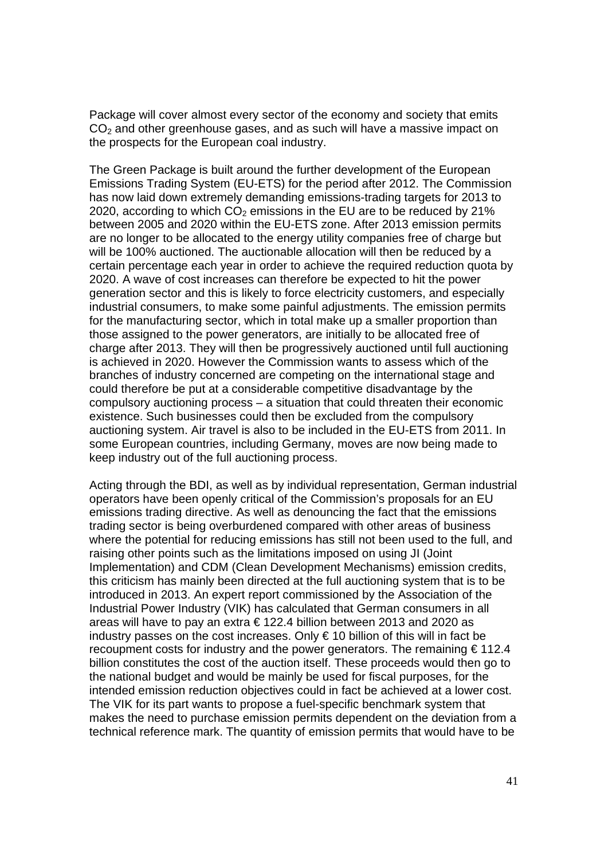Package will cover almost every sector of the economy and society that emits CO<sub>2</sub> and other greenhouse gases, and as such will have a massive impact on the prospects for the European coal industry.

The Green Package is built around the further development of the European Emissions Trading System (EU-ETS) for the period after 2012. The Commission has now laid down extremely demanding emissions-trading targets for 2013 to 2020, according to which  $CO<sub>2</sub>$  emissions in the EU are to be reduced by 21% between 2005 and 2020 within the EU-ETS zone. After 2013 emission permits are no longer to be allocated to the energy utility companies free of charge but will be 100% auctioned. The auctionable allocation will then be reduced by a certain percentage each year in order to achieve the required reduction quota by 2020. A wave of cost increases can therefore be expected to hit the power generation sector and this is likely to force electricity customers, and especially industrial consumers, to make some painful adjustments. The emission permits for the manufacturing sector, which in total make up a smaller proportion than those assigned to the power generators, are initially to be allocated free of charge after 2013. They will then be progressively auctioned until full auctioning is achieved in 2020. However the Commission wants to assess which of the branches of industry concerned are competing on the international stage and could therefore be put at a considerable competitive disadvantage by the compulsory auctioning process – a situation that could threaten their economic existence. Such businesses could then be excluded from the compulsory auctioning system. Air travel is also to be included in the EU-ETS from 2011. In some European countries, including Germany, moves are now being made to keep industry out of the full auctioning process.

Acting through the BDI, as well as by individual representation, German industrial operators have been openly critical of the Commission's proposals for an EU emissions trading directive. As well as denouncing the fact that the emissions trading sector is being overburdened compared with other areas of business where the potential for reducing emissions has still not been used to the full, and raising other points such as the limitations imposed on using JI (Joint Implementation) and CDM (Clean Development Mechanisms) emission credits, this criticism has mainly been directed at the full auctioning system that is to be introduced in 2013. An expert report commissioned by the Association of the Industrial Power Industry (VIK) has calculated that German consumers in all areas will have to pay an extra  $\epsilon$  122.4 billion between 2013 and 2020 as industry passes on the cost increases. Only € 10 billion of this will in fact be recoupment costs for industry and the power generators. The remaining € 112.4 billion constitutes the cost of the auction itself. These proceeds would then go to the national budget and would be mainly be used for fiscal purposes, for the intended emission reduction objectives could in fact be achieved at a lower cost. The VIK for its part wants to propose a fuel-specific benchmark system that makes the need to purchase emission permits dependent on the deviation from a technical reference mark. The quantity of emission permits that would have to be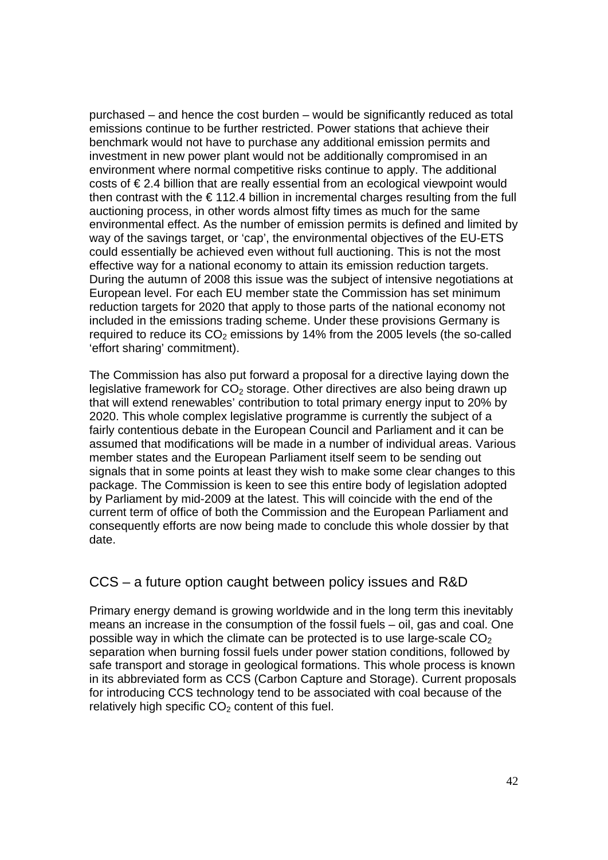purchased – and hence the cost burden – would be significantly reduced as total emissions continue to be further restricted. Power stations that achieve their benchmark would not have to purchase any additional emission permits and investment in new power plant would not be additionally compromised in an environment where normal competitive risks continue to apply. The additional costs of € 2.4 billion that are really essential from an ecological viewpoint would then contrast with the  $\epsilon$  112.4 billion in incremental charges resulting from the full auctioning process, in other words almost fifty times as much for the same environmental effect. As the number of emission permits is defined and limited by way of the savings target, or 'cap', the environmental objectives of the EU-ETS could essentially be achieved even without full auctioning. This is not the most effective way for a national economy to attain its emission reduction targets. During the autumn of 2008 this issue was the subject of intensive negotiations at European level. For each EU member state the Commission has set minimum reduction targets for 2020 that apply to those parts of the national economy not included in the emissions trading scheme. Under these provisions Germany is required to reduce its  $CO<sub>2</sub>$  emissions by 14% from the 2005 levels (the so-called 'effort sharing' commitment).

The Commission has also put forward a proposal for a directive laying down the legislative framework for  $CO<sub>2</sub>$  storage. Other directives are also being drawn up that will extend renewables' contribution to total primary energy input to 20% by 2020. This whole complex legislative programme is currently the subject of a fairly contentious debate in the European Council and Parliament and it can be assumed that modifications will be made in a number of individual areas. Various member states and the European Parliament itself seem to be sending out signals that in some points at least they wish to make some clear changes to this package. The Commission is keen to see this entire body of legislation adopted by Parliament by mid-2009 at the latest. This will coincide with the end of the current term of office of both the Commission and the European Parliament and consequently efforts are now being made to conclude this whole dossier by that date.

## CCS – a future option caught between policy issues and R&D

Primary energy demand is growing worldwide and in the long term this inevitably means an increase in the consumption of the fossil fuels – oil, gas and coal. One possible way in which the climate can be protected is to use large-scale  $CO<sub>2</sub>$ separation when burning fossil fuels under power station conditions, followed by safe transport and storage in geological formations. This whole process is known in its abbreviated form as CCS (Carbon Capture and Storage). Current proposals for introducing CCS technology tend to be associated with coal because of the relatively high specific  $CO<sub>2</sub>$  content of this fuel.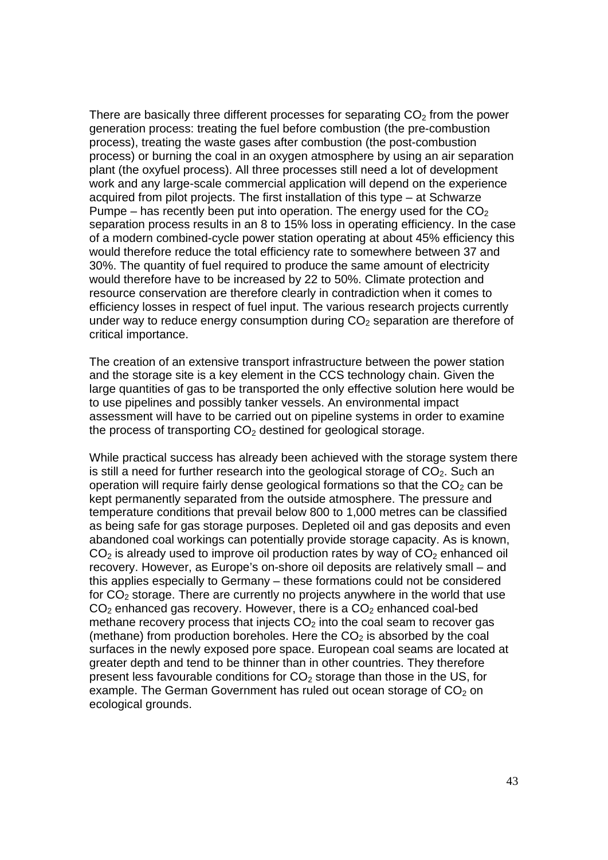There are basically three different processes for separating  $CO<sub>2</sub>$  from the power generation process: treating the fuel before combustion (the pre-combustion process), treating the waste gases after combustion (the post-combustion process) or burning the coal in an oxygen atmosphere by using an air separation plant (the oxyfuel process). All three processes still need a lot of development work and any large-scale commercial application will depend on the experience acquired from pilot projects. The first installation of this type – at Schwarze Pumpe – has recently been put into operation. The energy used for the  $CO<sub>2</sub>$ separation process results in an 8 to 15% loss in operating efficiency. In the case of a modern combined-cycle power station operating at about 45% efficiency this would therefore reduce the total efficiency rate to somewhere between 37 and 30%. The quantity of fuel required to produce the same amount of electricity would therefore have to be increased by 22 to 50%. Climate protection and resource conservation are therefore clearly in contradiction when it comes to efficiency losses in respect of fuel input. The various research projects currently under way to reduce energy consumption during  $CO<sub>2</sub>$  separation are therefore of critical importance.

The creation of an extensive transport infrastructure between the power station and the storage site is a key element in the CCS technology chain. Given the large quantities of gas to be transported the only effective solution here would be to use pipelines and possibly tanker vessels. An environmental impact assessment will have to be carried out on pipeline systems in order to examine the process of transporting  $CO<sub>2</sub>$  destined for geological storage.

While practical success has already been achieved with the storage system there is still a need for further research into the geological storage of  $CO<sub>2</sub>$ . Such an operation will require fairly dense geological formations so that the  $CO<sub>2</sub>$  can be kept permanently separated from the outside atmosphere. The pressure and temperature conditions that prevail below 800 to 1,000 metres can be classified as being safe for gas storage purposes. Depleted oil and gas deposits and even abandoned coal workings can potentially provide storage capacity. As is known,  $CO<sub>2</sub>$  is already used to improve oil production rates by way of  $CO<sub>2</sub>$  enhanced oil recovery. However, as Europe's on-shore oil deposits are relatively small – and this applies especially to Germany – these formations could not be considered for  $CO<sub>2</sub>$  storage. There are currently no projects anywhere in the world that use  $CO<sub>2</sub>$  enhanced gas recovery. However, there is a  $CO<sub>2</sub>$  enhanced coal-bed methane recovery process that injects  $CO<sub>2</sub>$  into the coal seam to recover gas (methane) from production boreholes. Here the  $CO<sub>2</sub>$  is absorbed by the coal surfaces in the newly exposed pore space. European coal seams are located at greater depth and tend to be thinner than in other countries. They therefore present less favourable conditions for  $CO<sub>2</sub>$  storage than those in the US, for example. The German Government has ruled out ocean storage of  $CO<sub>2</sub>$  on ecological grounds.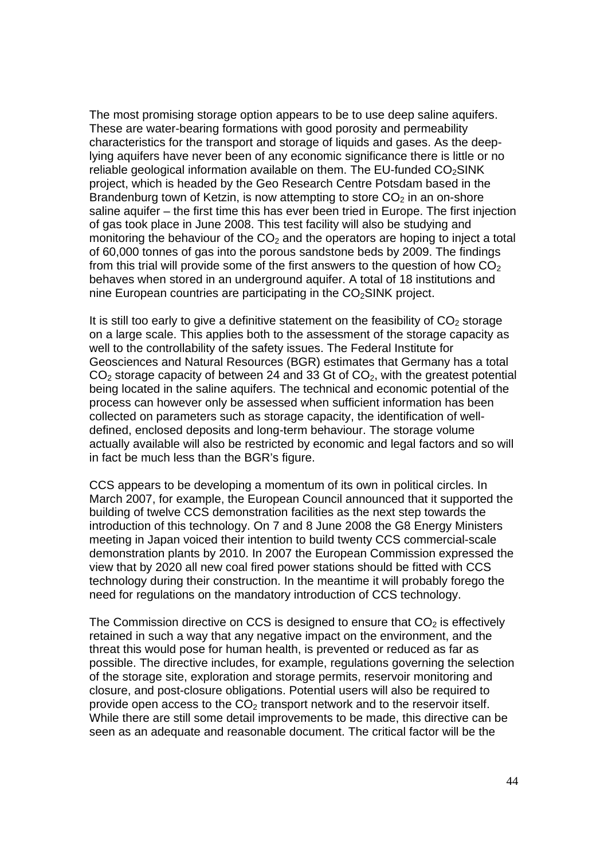The most promising storage option appears to be to use deep saline aquifers. These are water-bearing formations with good porosity and permeability characteristics for the transport and storage of liquids and gases. As the deeplying aquifers have never been of any economic significance there is little or no reliable geological information available on them. The EU-funded  $CO<sub>2</sub>$ SINK project, which is headed by the Geo Research Centre Potsdam based in the Brandenburg town of Ketzin, is now attempting to store  $CO<sub>2</sub>$  in an on-shore saline aquifer – the first time this has ever been tried in Europe. The first injection of gas took place in June 2008. This test facility will also be studying and monitoring the behaviour of the  $CO<sub>2</sub>$  and the operators are hoping to inject a total of 60,000 tonnes of gas into the porous sandstone beds by 2009. The findings from this trial will provide some of the first answers to the question of how  $CO<sub>2</sub>$ behaves when stored in an underground aquifer. A total of 18 institutions and nine European countries are participating in the  $CO<sub>2</sub>$ SINK project.

It is still too early to give a definitive statement on the feasibility of  $CO<sub>2</sub>$  storage on a large scale. This applies both to the assessment of the storage capacity as well to the controllability of the safety issues. The Federal Institute for Geosciences and Natural Resources (BGR) estimates that Germany has a total  $CO<sub>2</sub>$  storage capacity of between 24 and 33 Gt of  $CO<sub>2</sub>$ , with the greatest potential being located in the saline aquifers. The technical and economic potential of the process can however only be assessed when sufficient information has been collected on parameters such as storage capacity, the identification of welldefined, enclosed deposits and long-term behaviour. The storage volume actually available will also be restricted by economic and legal factors and so will in fact be much less than the BGR's figure.

CCS appears to be developing a momentum of its own in political circles. In March 2007, for example, the European Council announced that it supported the building of twelve CCS demonstration facilities as the next step towards the introduction of this technology. On 7 and 8 June 2008 the G8 Energy Ministers meeting in Japan voiced their intention to build twenty CCS commercial-scale demonstration plants by 2010. In 2007 the European Commission expressed the view that by 2020 all new coal fired power stations should be fitted with CCS technology during their construction. In the meantime it will probably forego the need for regulations on the mandatory introduction of CCS technology.

The Commission directive on CCS is designed to ensure that  $CO<sub>2</sub>$  is effectively retained in such a way that any negative impact on the environment, and the threat this would pose for human health, is prevented or reduced as far as possible. The directive includes, for example, regulations governing the selection of the storage site, exploration and storage permits, reservoir monitoring and closure, and post-closure obligations. Potential users will also be required to provide open access to the  $CO<sub>2</sub>$  transport network and to the reservoir itself. While there are still some detail improvements to be made, this directive can be seen as an adequate and reasonable document. The critical factor will be the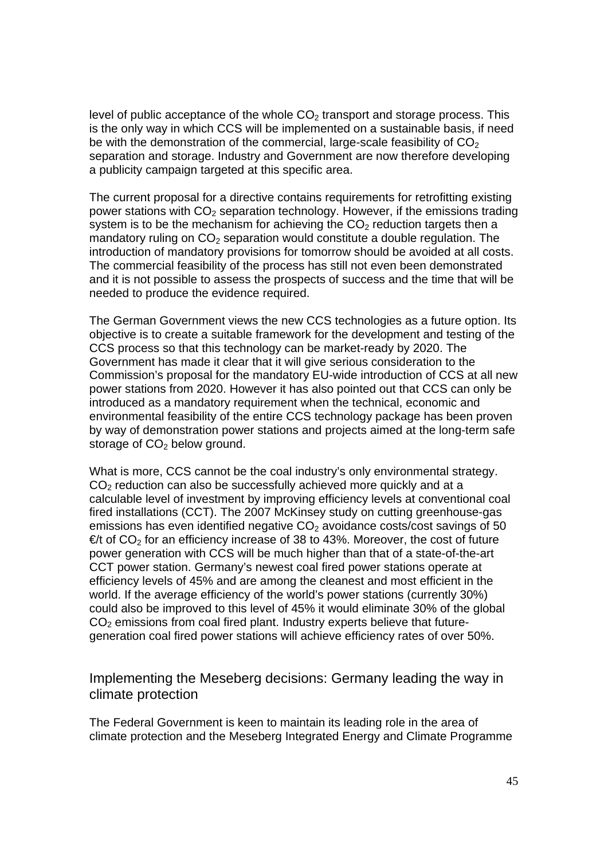level of public acceptance of the whole  $CO<sub>2</sub>$  transport and storage process. This is the only way in which CCS will be implemented on a sustainable basis, if need be with the demonstration of the commercial, large-scale feasibility of  $CO<sub>2</sub>$ separation and storage. Industry and Government are now therefore developing a publicity campaign targeted at this specific area.

The current proposal for a directive contains requirements for retrofitting existing power stations with  $CO<sub>2</sub>$  separation technology. However, if the emissions trading system is to be the mechanism for achieving the  $CO<sub>2</sub>$  reduction targets then a mandatory ruling on  $CO<sub>2</sub>$  separation would constitute a double regulation. The introduction of mandatory provisions for tomorrow should be avoided at all costs. The commercial feasibility of the process has still not even been demonstrated and it is not possible to assess the prospects of success and the time that will be needed to produce the evidence required.

The German Government views the new CCS technologies as a future option. Its objective is to create a suitable framework for the development and testing of the CCS process so that this technology can be market-ready by 2020. The Government has made it clear that it will give serious consideration to the Commission's proposal for the mandatory EU-wide introduction of CCS at all new power stations from 2020. However it has also pointed out that CCS can only be introduced as a mandatory requirement when the technical, economic and environmental feasibility of the entire CCS technology package has been proven by way of demonstration power stations and projects aimed at the long-term safe storage of  $CO<sub>2</sub>$  below ground.

What is more, CCS cannot be the coal industry's only environmental strategy.  $CO<sub>2</sub>$  reduction can also be successfully achieved more quickly and at a calculable level of investment by improving efficiency levels at conventional coal fired installations (CCT). The 2007 McKinsey study on cutting greenhouse-gas emissions has even identified negative  $CO<sub>2</sub>$  avoidance costs/cost savings of 50  $\epsilon$ t of CO<sub>2</sub> for an efficiency increase of 38 to 43%. Moreover, the cost of future power generation with CCS will be much higher than that of a state-of-the-art CCT power station. Germany's newest coal fired power stations operate at efficiency levels of 45% and are among the cleanest and most efficient in the world. If the average efficiency of the world's power stations (currently 30%) could also be improved to this level of 45% it would eliminate 30% of the global  $CO<sub>2</sub>$  emissions from coal fired plant. Industry experts believe that futuregeneration coal fired power stations will achieve efficiency rates of over 50%.

Implementing the Meseberg decisions: Germany leading the way in climate protection

The Federal Government is keen to maintain its leading role in the area of climate protection and the Meseberg Integrated Energy and Climate Programme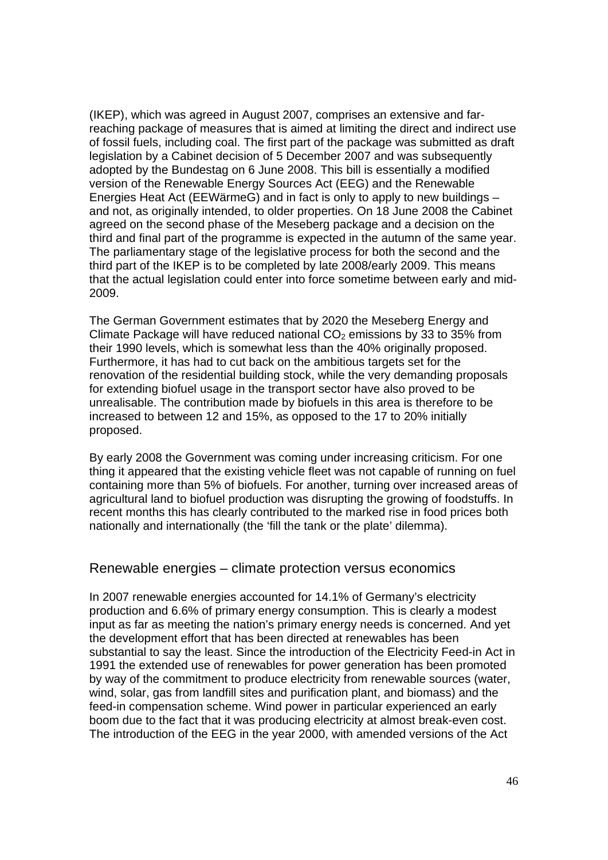(IKEP), which was agreed in August 2007, comprises an extensive and farreaching package of measures that is aimed at limiting the direct and indirect use of fossil fuels, including coal. The first part of the package was submitted as draft legislation by a Cabinet decision of 5 December 2007 and was subsequently adopted by the Bundestag on 6 June 2008. This bill is essentially a modified version of the Renewable Energy Sources Act (EEG) and the Renewable Energies Heat Act (EEWärmeG) and in fact is only to apply to new buildings – and not, as originally intended, to older properties. On 18 June 2008 the Cabinet agreed on the second phase of the Meseberg package and a decision on the third and final part of the programme is expected in the autumn of the same year. The parliamentary stage of the legislative process for both the second and the third part of the IKEP is to be completed by late 2008/early 2009. This means that the actual legislation could enter into force sometime between early and mid-2009.

The German Government estimates that by 2020 the Meseberg Energy and Climate Package will have reduced national  $CO<sub>2</sub>$  emissions by 33 to 35% from their 1990 levels, which is somewhat less than the 40% originally proposed. Furthermore, it has had to cut back on the ambitious targets set for the renovation of the residential building stock, while the very demanding proposals for extending biofuel usage in the transport sector have also proved to be unrealisable. The contribution made by biofuels in this area is therefore to be increased to between 12 and 15%, as opposed to the 17 to 20% initially proposed.

By early 2008 the Government was coming under increasing criticism. For one thing it appeared that the existing vehicle fleet was not capable of running on fuel containing more than 5% of biofuels. For another, turning over increased areas of agricultural land to biofuel production was disrupting the growing of foodstuffs. In recent months this has clearly contributed to the marked rise in food prices both nationally and internationally (the 'fill the tank or the plate' dilemma).

#### Renewable energies – climate protection versus economics

In 2007 renewable energies accounted for 14.1% of Germany's electricity production and 6.6% of primary energy consumption. This is clearly a modest input as far as meeting the nation's primary energy needs is concerned. And yet the development effort that has been directed at renewables has been substantial to say the least. Since the introduction of the Electricity Feed-in Act in 1991 the extended use of renewables for power generation has been promoted by way of the commitment to produce electricity from renewable sources (water, wind, solar, gas from landfill sites and purification plant, and biomass) and the feed-in compensation scheme. Wind power in particular experienced an early boom due to the fact that it was producing electricity at almost break-even cost. The introduction of the EEG in the year 2000, with amended versions of the Act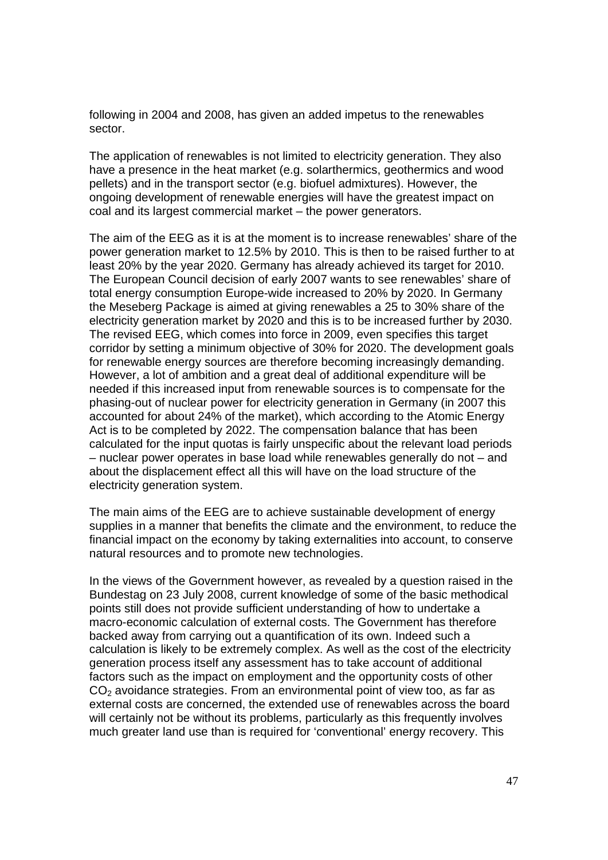following in 2004 and 2008, has given an added impetus to the renewables sector.

The application of renewables is not limited to electricity generation. They also have a presence in the heat market (e.g. solarthermics, geothermics and wood pellets) and in the transport sector (e.g. biofuel admixtures). However, the ongoing development of renewable energies will have the greatest impact on coal and its largest commercial market – the power generators.

The aim of the EEG as it is at the moment is to increase renewables' share of the power generation market to 12.5% by 2010. This is then to be raised further to at least 20% by the year 2020. Germany has already achieved its target for 2010. The European Council decision of early 2007 wants to see renewables' share of total energy consumption Europe-wide increased to 20% by 2020. In Germany the Meseberg Package is aimed at giving renewables a 25 to 30% share of the electricity generation market by 2020 and this is to be increased further by 2030. The revised EEG, which comes into force in 2009, even specifies this target corridor by setting a minimum objective of 30% for 2020. The development goals for renewable energy sources are therefore becoming increasingly demanding. However, a lot of ambition and a great deal of additional expenditure will be needed if this increased input from renewable sources is to compensate for the phasing-out of nuclear power for electricity generation in Germany (in 2007 this accounted for about 24% of the market), which according to the Atomic Energy Act is to be completed by 2022. The compensation balance that has been calculated for the input quotas is fairly unspecific about the relevant load periods – nuclear power operates in base load while renewables generally do not – and about the displacement effect all this will have on the load structure of the electricity generation system.

The main aims of the EEG are to achieve sustainable development of energy supplies in a manner that benefits the climate and the environment, to reduce the financial impact on the economy by taking externalities into account, to conserve natural resources and to promote new technologies.

In the views of the Government however, as revealed by a question raised in the Bundestag on 23 July 2008, current knowledge of some of the basic methodical points still does not provide sufficient understanding of how to undertake a macro-economic calculation of external costs. The Government has therefore backed away from carrying out a quantification of its own. Indeed such a calculation is likely to be extremely complex. As well as the cost of the electricity generation process itself any assessment has to take account of additional factors such as the impact on employment and the opportunity costs of other  $CO<sub>2</sub>$  avoidance strategies. From an environmental point of view too, as far as external costs are concerned, the extended use of renewables across the board will certainly not be without its problems, particularly as this frequently involves much greater land use than is required for 'conventional' energy recovery. This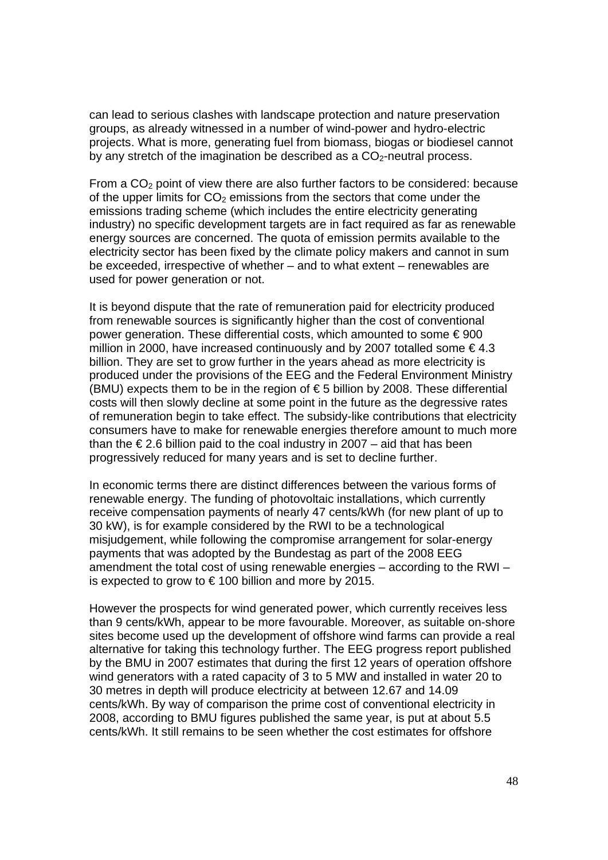can lead to serious clashes with landscape protection and nature preservation groups, as already witnessed in a number of wind-power and hydro-electric projects. What is more, generating fuel from biomass, biogas or biodiesel cannot by any stretch of the imagination be described as a  $CO<sub>2</sub>$ -neutral process.

From a  $CO<sub>2</sub>$  point of view there are also further factors to be considered: because of the upper limits for  $CO<sub>2</sub>$  emissions from the sectors that come under the emissions trading scheme (which includes the entire electricity generating industry) no specific development targets are in fact required as far as renewable energy sources are concerned. The quota of emission permits available to the electricity sector has been fixed by the climate policy makers and cannot in sum be exceeded, irrespective of whether – and to what extent – renewables are used for power generation or not.

It is beyond dispute that the rate of remuneration paid for electricity produced from renewable sources is significantly higher than the cost of conventional power generation. These differential costs, which amounted to some € 900 million in 2000, have increased continuously and by 2007 totalled some  $\epsilon$ 4.3 billion. They are set to grow further in the years ahead as more electricity is produced under the provisions of the EEG and the Federal Environment Ministry (BMU) expects them to be in the region of  $\epsilon$  5 billion by 2008. These differential costs will then slowly decline at some point in the future as the degressive rates of remuneration begin to take effect. The subsidy-like contributions that electricity consumers have to make for renewable energies therefore amount to much more than the  $\epsilon$  2.6 billion paid to the coal industry in 2007 – aid that has been progressively reduced for many years and is set to decline further.

In economic terms there are distinct differences between the various forms of renewable energy. The funding of photovoltaic installations, which currently receive compensation payments of nearly 47 cents/kWh (for new plant of up to 30 kW), is for example considered by the RWI to be a technological misjudgement, while following the compromise arrangement for solar-energy payments that was adopted by the Bundestag as part of the 2008 EEG amendment the total cost of using renewable energies – according to the RWI – is expected to grow to  $\epsilon$  100 billion and more by 2015.

However the prospects for wind generated power, which currently receives less than 9 cents/kWh, appear to be more favourable. Moreover, as suitable on-shore sites become used up the development of offshore wind farms can provide a real alternative for taking this technology further. The EEG progress report published by the BMU in 2007 estimates that during the first 12 years of operation offshore wind generators with a rated capacity of 3 to 5 MW and installed in water 20 to 30 metres in depth will produce electricity at between 12.67 and 14.09 cents/kWh. By way of comparison the prime cost of conventional electricity in 2008, according to BMU figures published the same year, is put at about 5.5 cents/kWh. It still remains to be seen whether the cost estimates for offshore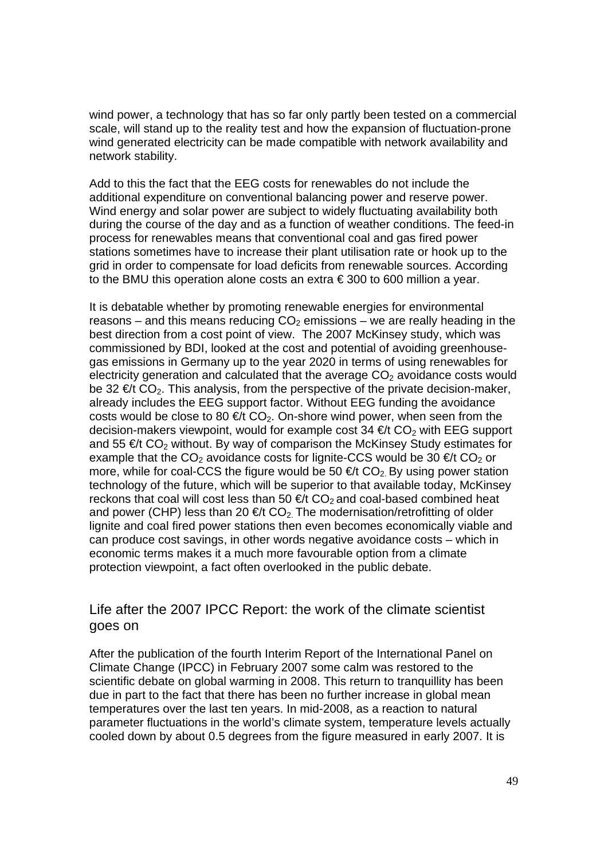wind power, a technology that has so far only partly been tested on a commercial scale, will stand up to the reality test and how the expansion of fluctuation-prone wind generated electricity can be made compatible with network availability and network stability.

Add to this the fact that the EEG costs for renewables do not include the additional expenditure on conventional balancing power and reserve power. Wind energy and solar power are subject to widely fluctuating availability both during the course of the day and as a function of weather conditions. The feed-in process for renewables means that conventional coal and gas fired power stations sometimes have to increase their plant utilisation rate or hook up to the grid in order to compensate for load deficits from renewable sources. According to the BMU this operation alone costs an extra € 300 to 600 million a year.

It is debatable whether by promoting renewable energies for environmental reasons – and this means reducing  $CO<sub>2</sub>$  emissions – we are really heading in the best direction from a cost point of view. The 2007 McKinsey study, which was commissioned by BDI, looked at the cost and potential of avoiding greenhousegas emissions in Germany up to the year 2020 in terms of using renewables for electricity generation and calculated that the average  $CO<sub>2</sub>$  avoidance costs would be 32  $\infty$  CO<sub>2</sub>. This analysis, from the perspective of the private decision-maker, already includes the EEG support factor. Without EEG funding the avoidance costs would be close to 80  $\epsilon/t$  CO<sub>2</sub>. On-shore wind power, when seen from the decision-makers viewpoint, would for example cost  $34 \in \mathcal{C}$  with EEG support and 55  $\epsilon$ t CO<sub>2</sub> without. By way of comparison the McKinsey Study estimates for example that the CO<sub>2</sub> avoidance costs for lignite-CCS would be 30  $\epsilon/t$  CO<sub>2</sub> or more, while for coal-CCS the figure would be 50  $\epsilon$  t CO<sub>2</sub>. By using power station technology of the future, which will be superior to that available today, McKinsey reckons that coal will cost less than 50  $\epsilon$ t CO<sub>2</sub> and coal-based combined heat and power (CHP) less than 20  $\in \mathcal{C}$  CO<sub>2</sub>. The modernisation/retrofitting of older lignite and coal fired power stations then even becomes economically viable and can produce cost savings, in other words negative avoidance costs – which in economic terms makes it a much more favourable option from a climate protection viewpoint, a fact often overlooked in the public debate.

## Life after the 2007 IPCC Report: the work of the climate scientist goes on

After the publication of the fourth Interim Report of the International Panel on Climate Change (IPCC) in February 2007 some calm was restored to the scientific debate on global warming in 2008. This return to tranquillity has been due in part to the fact that there has been no further increase in global mean temperatures over the last ten years. In mid-2008, as a reaction to natural parameter fluctuations in the world's climate system, temperature levels actually cooled down by about 0.5 degrees from the figure measured in early 2007. It is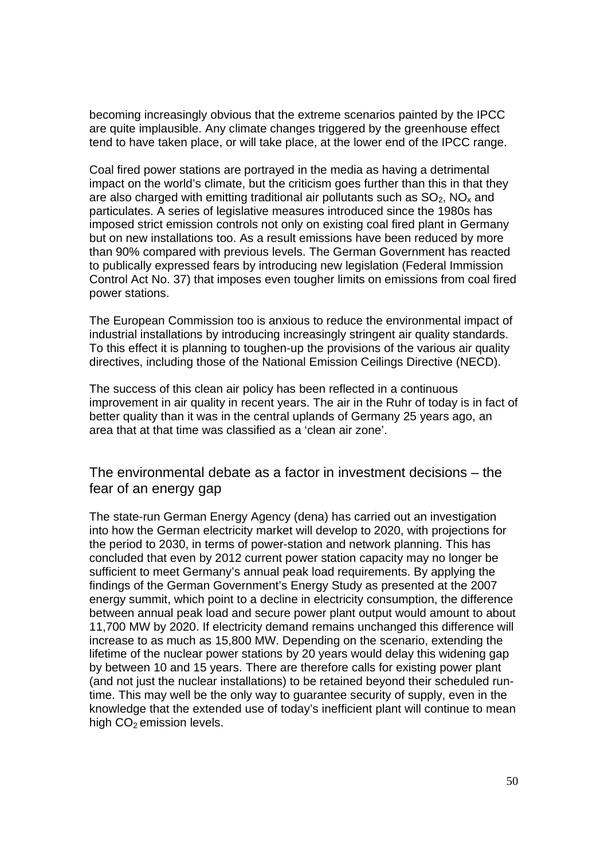becoming increasingly obvious that the extreme scenarios painted by the IPCC are quite implausible. Any climate changes triggered by the greenhouse effect tend to have taken place, or will take place, at the lower end of the IPCC range.

Coal fired power stations are portrayed in the media as having a detrimental impact on the world's climate, but the criticism goes further than this in that they are also charged with emitting traditional air pollutants such as  $SO<sub>2</sub>$ , NO<sub>x</sub> and particulates. A series of legislative measures introduced since the 1980s has imposed strict emission controls not only on existing coal fired plant in Germany but on new installations too. As a result emissions have been reduced by more than 90% compared with previous levels. The German Government has reacted to publically expressed fears by introducing new legislation (Federal Immission Control Act No. 37) that imposes even tougher limits on emissions from coal fired power stations.

The European Commission too is anxious to reduce the environmental impact of industrial installations by introducing increasingly stringent air quality standards. To this effect it is planning to toughen-up the provisions of the various air quality directives, including those of the National Emission Ceilings Directive (NECD).

The success of this clean air policy has been reflected in a continuous improvement in air quality in recent years. The air in the Ruhr of today is in fact of better quality than it was in the central uplands of Germany 25 years ago, an area that at that time was classified as a 'clean air zone'.

The environmental debate as a factor in investment decisions – the fear of an energy gap

The state-run German Energy Agency (dena) has carried out an investigation into how the German electricity market will develop to 2020, with projections for the period to 2030, in terms of power-station and network planning. This has concluded that even by 2012 current power station capacity may no longer be sufficient to meet Germany's annual peak load requirements. By applying the findings of the German Government's Energy Study as presented at the 2007 energy summit, which point to a decline in electricity consumption, the difference between annual peak load and secure power plant output would amount to about 11,700 MW by 2020. If electricity demand remains unchanged this difference will increase to as much as 15,800 MW. Depending on the scenario, extending the lifetime of the nuclear power stations by 20 years would delay this widening gap by between 10 and 15 years. There are therefore calls for existing power plant (and not just the nuclear installations) to be retained beyond their scheduled runtime. This may well be the only way to guarantee security of supply, even in the knowledge that the extended use of today's inefficient plant will continue to mean high  $CO<sub>2</sub>$  emission levels.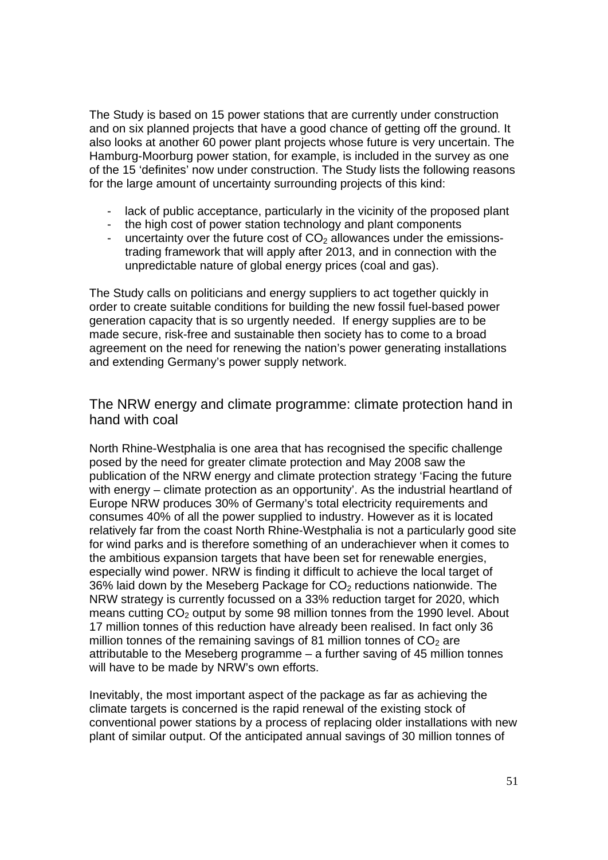The Study is based on 15 power stations that are currently under construction and on six planned projects that have a good chance of getting off the ground. It also looks at another 60 power plant projects whose future is very uncertain. The Hamburg-Moorburg power station, for example, is included in the survey as one of the 15 'definites' now under construction. The Study lists the following reasons for the large amount of uncertainty surrounding projects of this kind:

- lack of public acceptance, particularly in the vicinity of the proposed plant
- the high cost of power station technology and plant components
- uncertainty over the future cost of  $CO<sub>2</sub>$  allowances under the emissionstrading framework that will apply after 2013, and in connection with the unpredictable nature of global energy prices (coal and gas).

The Study calls on politicians and energy suppliers to act together quickly in order to create suitable conditions for building the new fossil fuel-based power generation capacity that is so urgently needed. If energy supplies are to be made secure, risk-free and sustainable then society has to come to a broad agreement on the need for renewing the nation's power generating installations and extending Germany's power supply network.

## The NRW energy and climate programme: climate protection hand in hand with coal

North Rhine-Westphalia is one area that has recognised the specific challenge posed by the need for greater climate protection and May 2008 saw the publication of the NRW energy and climate protection strategy 'Facing the future with energy – climate protection as an opportunity'. As the industrial heartland of Europe NRW produces 30% of Germany's total electricity requirements and consumes 40% of all the power supplied to industry. However as it is located relatively far from the coast North Rhine-Westphalia is not a particularly good site for wind parks and is therefore something of an underachiever when it comes to the ambitious expansion targets that have been set for renewable energies, especially wind power. NRW is finding it difficult to achieve the local target of 36% laid down by the Meseberg Package for  $CO<sub>2</sub>$  reductions nationwide. The NRW strategy is currently focussed on a 33% reduction target for 2020, which means cutting  $CO<sub>2</sub>$  output by some 98 million tonnes from the 1990 level. About 17 million tonnes of this reduction have already been realised. In fact only 36 million tonnes of the remaining savings of 81 million tonnes of  $CO<sub>2</sub>$  are attributable to the Meseberg programme – a further saving of 45 million tonnes will have to be made by NRW's own efforts.

Inevitably, the most important aspect of the package as far as achieving the climate targets is concerned is the rapid renewal of the existing stock of conventional power stations by a process of replacing older installations with new plant of similar output. Of the anticipated annual savings of 30 million tonnes of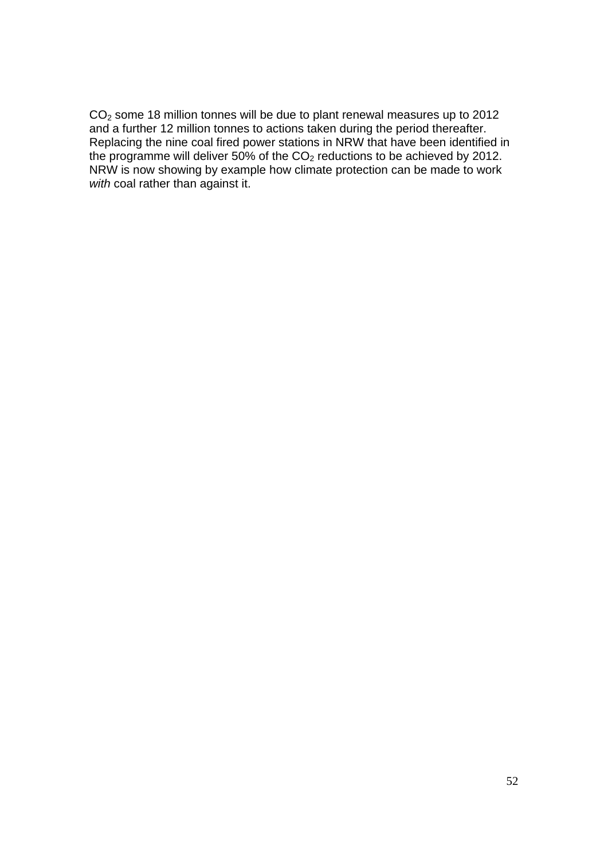CO2 some 18 million tonnes will be due to plant renewal measures up to 2012 and a further 12 million tonnes to actions taken during the period thereafter. Replacing the nine coal fired power stations in NRW that have been identified in the programme will deliver 50% of the  $CO<sub>2</sub>$  reductions to be achieved by 2012. NRW is now showing by example how climate protection can be made to work *with* coal rather than against it.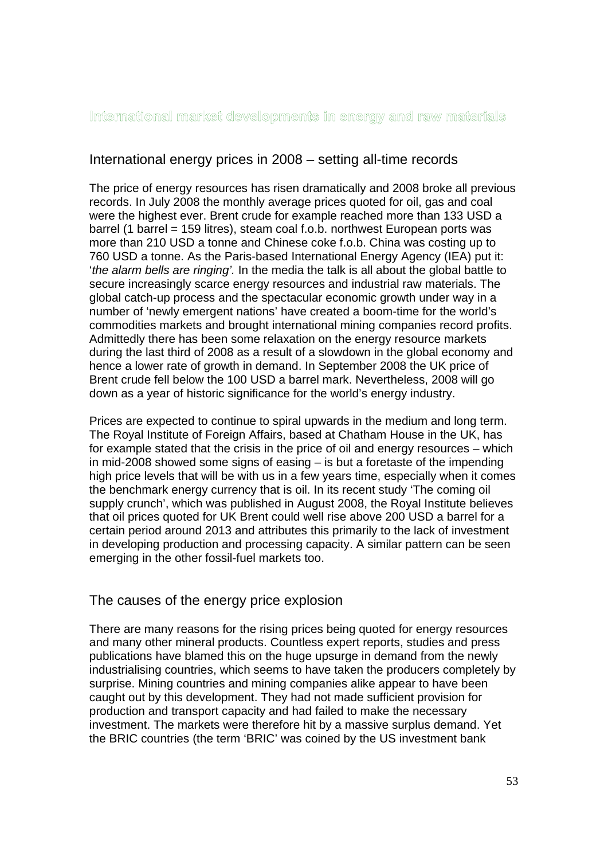International market developments in energy and raw materials

## International energy prices in 2008 – setting all-time records

The price of energy resources has risen dramatically and 2008 broke all previous records. In July 2008 the monthly average prices quoted for oil, gas and coal were the highest ever. Brent crude for example reached more than 133 USD a barrel (1 barrel = 159 litres), steam coal f.o.b. northwest European ports was more than 210 USD a tonne and Chinese coke f.o.b. China was costing up to 760 USD a tonne. As the Paris-based International Energy Agency (IEA) put it: '*the alarm bells are ringing'.* In the media the talk is all about the global battle to secure increasingly scarce energy resources and industrial raw materials. The global catch-up process and the spectacular economic growth under way in a number of 'newly emergent nations' have created a boom-time for the world's commodities markets and brought international mining companies record profits. Admittedly there has been some relaxation on the energy resource markets during the last third of 2008 as a result of a slowdown in the global economy and hence a lower rate of growth in demand. In September 2008 the UK price of Brent crude fell below the 100 USD a barrel mark. Nevertheless, 2008 will go down as a year of historic significance for the world's energy industry.

Prices are expected to continue to spiral upwards in the medium and long term. The Royal Institute of Foreign Affairs, based at Chatham House in the UK, has for example stated that the crisis in the price of oil and energy resources – which in mid-2008 showed some signs of easing – is but a foretaste of the impending high price levels that will be with us in a few years time, especially when it comes the benchmark energy currency that is oil. In its recent study 'The coming oil supply crunch', which was published in August 2008, the Royal Institute believes that oil prices quoted for UK Brent could well rise above 200 USD a barrel for a certain period around 2013 and attributes this primarily to the lack of investment in developing production and processing capacity. A similar pattern can be seen emerging in the other fossil-fuel markets too.

## The causes of the energy price explosion

There are many reasons for the rising prices being quoted for energy resources and many other mineral products. Countless expert reports, studies and press publications have blamed this on the huge upsurge in demand from the newly industrialising countries, which seems to have taken the producers completely by surprise. Mining countries and mining companies alike appear to have been caught out by this development. They had not made sufficient provision for production and transport capacity and had failed to make the necessary investment. The markets were therefore hit by a massive surplus demand. Yet the BRIC countries (the term 'BRIC' was coined by the US investment bank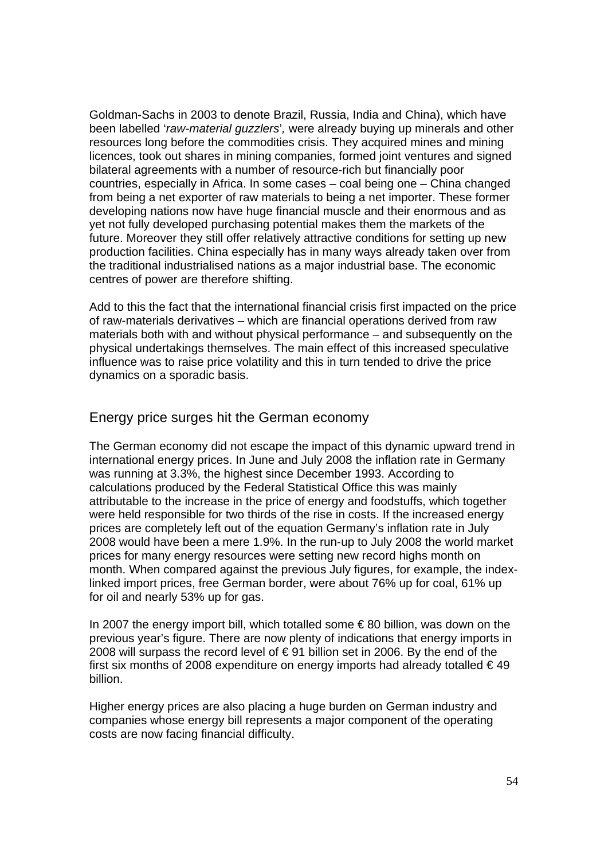Goldman-Sachs in 2003 to denote Brazil, Russia, India and China), which have been labelled '*raw-material guzzlers*'*,* were already buying up minerals and other resources long before the commodities crisis. They acquired mines and mining licences, took out shares in mining companies, formed joint ventures and signed bilateral agreements with a number of resource-rich but financially poor countries, especially in Africa. In some cases – coal being one – China changed from being a net exporter of raw materials to being a net importer. These former developing nations now have huge financial muscle and their enormous and as yet not fully developed purchasing potential makes them the markets of the future. Moreover they still offer relatively attractive conditions for setting up new production facilities. China especially has in many ways already taken over from the traditional industrialised nations as a major industrial base. The economic centres of power are therefore shifting.

Add to this the fact that the international financial crisis first impacted on the price of raw-materials derivatives – which are financial operations derived from raw materials both with and without physical performance – and subsequently on the physical undertakings themselves. The main effect of this increased speculative influence was to raise price volatility and this in turn tended to drive the price dynamics on a sporadic basis.

#### Energy price surges hit the German economy

The German economy did not escape the impact of this dynamic upward trend in international energy prices. In June and July 2008 the inflation rate in Germany was running at 3.3%, the highest since December 1993. According to calculations produced by the Federal Statistical Office this was mainly attributable to the increase in the price of energy and foodstuffs, which together were held responsible for two thirds of the rise in costs. If the increased energy prices are completely left out of the equation Germany's inflation rate in July 2008 would have been a mere 1.9%. In the run-up to July 2008 the world market prices for many energy resources were setting new record highs month on month. When compared against the previous July figures, for example, the indexlinked import prices, free German border, were about 76% up for coal, 61% up for oil and nearly 53% up for gas.

In 2007 the energy import bill, which totalled some  $\epsilon$ 80 billion, was down on the previous year's figure. There are now plenty of indications that energy imports in 2008 will surpass the record level of €91 billion set in 2006. By the end of the first six months of 2008 expenditure on energy imports had already totalled  $\epsilon$  49 billion.

Higher energy prices are also placing a huge burden on German industry and companies whose energy bill represents a major component of the operating costs are now facing financial difficulty.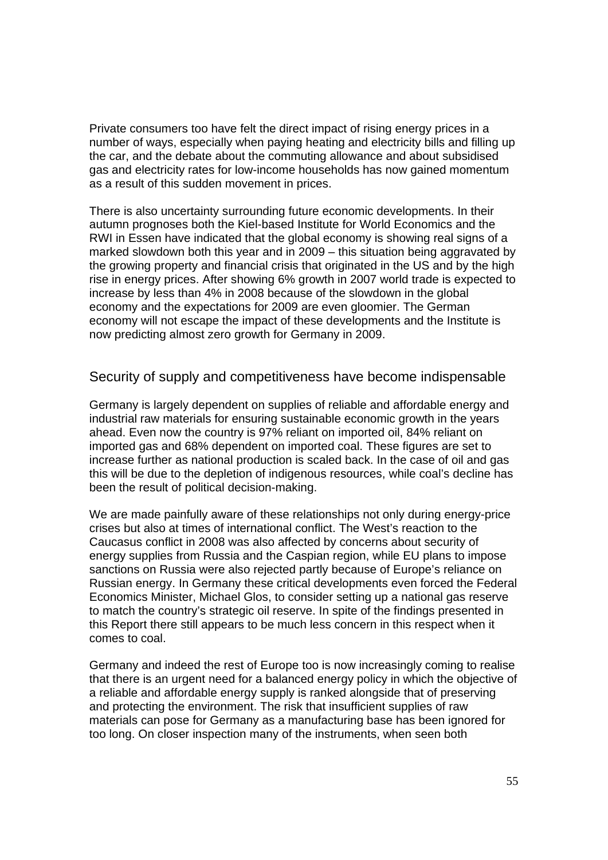Private consumers too have felt the direct impact of rising energy prices in a number of ways, especially when paying heating and electricity bills and filling up the car, and the debate about the commuting allowance and about subsidised gas and electricity rates for low-income households has now gained momentum as a result of this sudden movement in prices.

There is also uncertainty surrounding future economic developments. In their autumn prognoses both the Kiel-based Institute for World Economics and the RWI in Essen have indicated that the global economy is showing real signs of a marked slowdown both this year and in 2009 – this situation being aggravated by the growing property and financial crisis that originated in the US and by the high rise in energy prices. After showing 6% growth in 2007 world trade is expected to increase by less than 4% in 2008 because of the slowdown in the global economy and the expectations for 2009 are even gloomier. The German economy will not escape the impact of these developments and the Institute is now predicting almost zero growth for Germany in 2009.

Security of supply and competitiveness have become indispensable

Germany is largely dependent on supplies of reliable and affordable energy and industrial raw materials for ensuring sustainable economic growth in the years ahead. Even now the country is 97% reliant on imported oil, 84% reliant on imported gas and 68% dependent on imported coal. These figures are set to increase further as national production is scaled back. In the case of oil and gas this will be due to the depletion of indigenous resources, while coal's decline has been the result of political decision-making.

We are made painfully aware of these relationships not only during energy-price crises but also at times of international conflict. The West's reaction to the Caucasus conflict in 2008 was also affected by concerns about security of energy supplies from Russia and the Caspian region, while EU plans to impose sanctions on Russia were also rejected partly because of Europe's reliance on Russian energy. In Germany these critical developments even forced the Federal Economics Minister, Michael Glos, to consider setting up a national gas reserve to match the country's strategic oil reserve. In spite of the findings presented in this Report there still appears to be much less concern in this respect when it comes to coal.

Germany and indeed the rest of Europe too is now increasingly coming to realise that there is an urgent need for a balanced energy policy in which the objective of a reliable and affordable energy supply is ranked alongside that of preserving and protecting the environment. The risk that insufficient supplies of raw materials can pose for Germany as a manufacturing base has been ignored for too long. On closer inspection many of the instruments, when seen both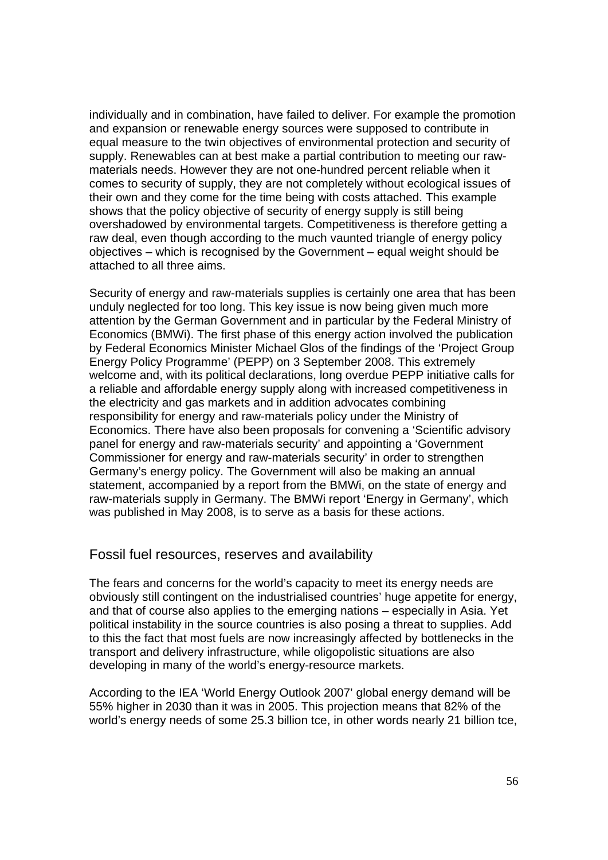individually and in combination, have failed to deliver. For example the promotion and expansion or renewable energy sources were supposed to contribute in equal measure to the twin objectives of environmental protection and security of supply. Renewables can at best make a partial contribution to meeting our rawmaterials needs. However they are not one-hundred percent reliable when it comes to security of supply, they are not completely without ecological issues of their own and they come for the time being with costs attached. This example shows that the policy objective of security of energy supply is still being overshadowed by environmental targets. Competitiveness is therefore getting a raw deal, even though according to the much vaunted triangle of energy policy objectives – which is recognised by the Government – equal weight should be attached to all three aims.

Security of energy and raw-materials supplies is certainly one area that has been unduly neglected for too long. This key issue is now being given much more attention by the German Government and in particular by the Federal Ministry of Economics (BMWi). The first phase of this energy action involved the publication by Federal Economics Minister Michael Glos of the findings of the 'Project Group Energy Policy Programme' (PEPP) on 3 September 2008. This extremely welcome and, with its political declarations, long overdue PEPP initiative calls for a reliable and affordable energy supply along with increased competitiveness in the electricity and gas markets and in addition advocates combining responsibility for energy and raw-materials policy under the Ministry of Economics. There have also been proposals for convening a 'Scientific advisory panel for energy and raw-materials security' and appointing a 'Government Commissioner for energy and raw-materials security' in order to strengthen Germany's energy policy. The Government will also be making an annual statement, accompanied by a report from the BMWi, on the state of energy and raw-materials supply in Germany. The BMWi report 'Energy in Germany', which was published in May 2008, is to serve as a basis for these actions.

#### Fossil fuel resources, reserves and availability

The fears and concerns for the world's capacity to meet its energy needs are obviously still contingent on the industrialised countries' huge appetite for energy, and that of course also applies to the emerging nations – especially in Asia. Yet political instability in the source countries is also posing a threat to supplies. Add to this the fact that most fuels are now increasingly affected by bottlenecks in the transport and delivery infrastructure, while oligopolistic situations are also developing in many of the world's energy-resource markets.

According to the IEA 'World Energy Outlook 2007' global energy demand will be 55% higher in 2030 than it was in 2005. This projection means that 82% of the world's energy needs of some 25.3 billion tce, in other words nearly 21 billion tce,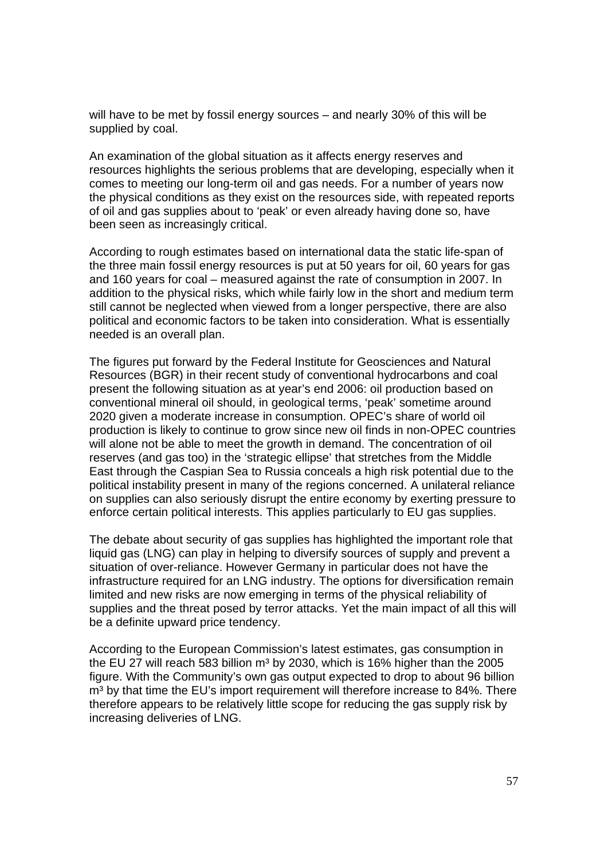will have to be met by fossil energy sources – and nearly 30% of this will be supplied by coal.

An examination of the global situation as it affects energy reserves and resources highlights the serious problems that are developing, especially when it comes to meeting our long-term oil and gas needs. For a number of years now the physical conditions as they exist on the resources side, with repeated reports of oil and gas supplies about to 'peak' or even already having done so, have been seen as increasingly critical.

According to rough estimates based on international data the static life-span of the three main fossil energy resources is put at 50 years for oil, 60 years for gas and 160 years for coal – measured against the rate of consumption in 2007. In addition to the physical risks, which while fairly low in the short and medium term still cannot be neglected when viewed from a longer perspective, there are also political and economic factors to be taken into consideration. What is essentially needed is an overall plan.

The figures put forward by the Federal Institute for Geosciences and Natural Resources (BGR) in their recent study of conventional hydrocarbons and coal present the following situation as at year's end 2006: oil production based on conventional mineral oil should, in geological terms, 'peak' sometime around 2020 given a moderate increase in consumption. OPEC's share of world oil production is likely to continue to grow since new oil finds in non-OPEC countries will alone not be able to meet the growth in demand. The concentration of oil reserves (and gas too) in the 'strategic ellipse' that stretches from the Middle East through the Caspian Sea to Russia conceals a high risk potential due to the political instability present in many of the regions concerned. A unilateral reliance on supplies can also seriously disrupt the entire economy by exerting pressure to enforce certain political interests. This applies particularly to EU gas supplies.

The debate about security of gas supplies has highlighted the important role that liquid gas (LNG) can play in helping to diversify sources of supply and prevent a situation of over-reliance. However Germany in particular does not have the infrastructure required for an LNG industry. The options for diversification remain limited and new risks are now emerging in terms of the physical reliability of supplies and the threat posed by terror attacks. Yet the main impact of all this will be a definite upward price tendency.

According to the European Commission's latest estimates, gas consumption in the EU 27 will reach 583 billion  $m<sup>3</sup>$  by 2030, which is 16% higher than the 2005 figure. With the Community's own gas output expected to drop to about 96 billion m<sup>3</sup> by that time the EU's import requirement will therefore increase to 84%. There therefore appears to be relatively little scope for reducing the gas supply risk by increasing deliveries of LNG.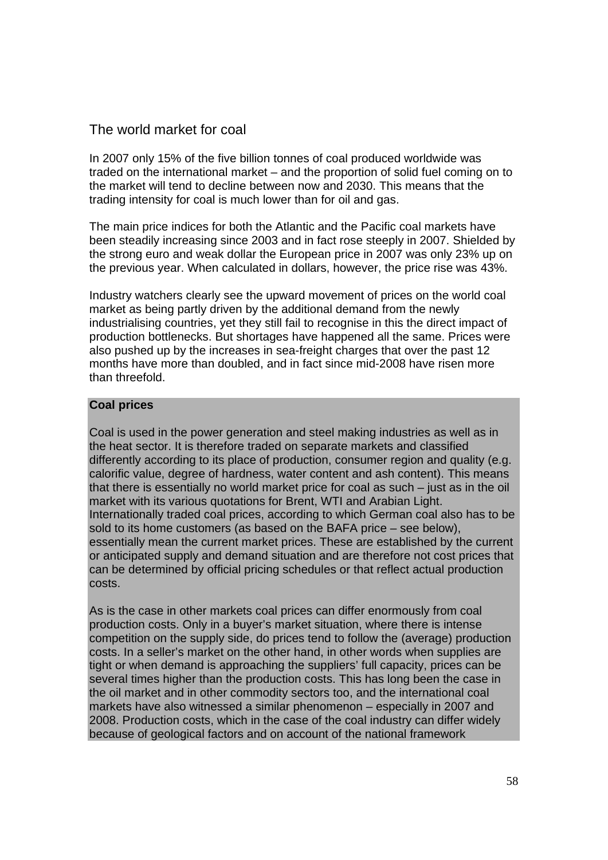## The world market for coal

In 2007 only 15% of the five billion tonnes of coal produced worldwide was traded on the international market – and the proportion of solid fuel coming on to the market will tend to decline between now and 2030. This means that the trading intensity for coal is much lower than for oil and gas.

The main price indices for both the Atlantic and the Pacific coal markets have been steadily increasing since 2003 and in fact rose steeply in 2007. Shielded by the strong euro and weak dollar the European price in 2007 was only 23% up on the previous year. When calculated in dollars, however, the price rise was 43%.

Industry watchers clearly see the upward movement of prices on the world coal market as being partly driven by the additional demand from the newly industrialising countries, yet they still fail to recognise in this the direct impact of production bottlenecks. But shortages have happened all the same. Prices were also pushed up by the increases in sea-freight charges that over the past 12 months have more than doubled, and in fact since mid-2008 have risen more than threefold.

#### **Coal prices**

Coal is used in the power generation and steel making industries as well as in the heat sector. It is therefore traded on separate markets and classified differently according to its place of production, consumer region and quality (e.g. calorific value, degree of hardness, water content and ash content). This means that there is essentially no world market price for coal as such – just as in the oil market with its various quotations for Brent, WTI and Arabian Light. Internationally traded coal prices, according to which German coal also has to be sold to its home customers (as based on the BAFA price – see below), essentially mean the current market prices. These are established by the current or anticipated supply and demand situation and are therefore not cost prices that can be determined by official pricing schedules or that reflect actual production costs.

As is the case in other markets coal prices can differ enormously from coal production costs. Only in a buyer's market situation, where there is intense competition on the supply side, do prices tend to follow the (average) production costs. In a seller's market on the other hand, in other words when supplies are tight or when demand is approaching the suppliers' full capacity, prices can be several times higher than the production costs. This has long been the case in the oil market and in other commodity sectors too, and the international coal markets have also witnessed a similar phenomenon – especially in 2007 and 2008. Production costs, which in the case of the coal industry can differ widely because of geological factors and on account of the national framework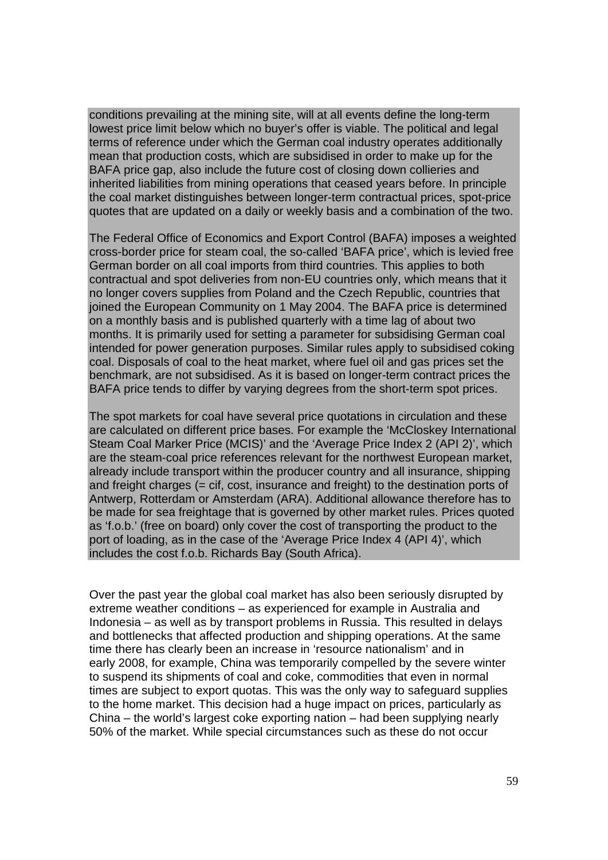conditions prevailing at the mining site, will at all events define the long-term lowest price limit below which no buyer's offer is viable. The political and legal terms of reference under which the German coal industry operates additionally mean that production costs, which are subsidised in order to make up for the BAFA price gap, also include the future cost of closing down collieries and inherited liabilities from mining operations that ceased years before. In principle the coal market distinguishes between longer-term contractual prices, spot-price quotes that are updated on a daily or weekly basis and a combination of the two.

The Federal Office of Economics and Export Control (BAFA) imposes a weighted cross-border price for steam coal, the so-called 'BAFA price', which is levied free German border on all coal imports from third countries. This applies to both contractual and spot deliveries from non-EU countries only, which means that it no longer covers supplies from Poland and the Czech Republic, countries that joined the European Community on 1 May 2004. The BAFA price is determined on a monthly basis and is published quarterly with a time lag of about two months. It is primarily used for setting a parameter for subsidising German coal intended for power generation purposes. Similar rules apply to subsidised coking coal. Disposals of coal to the heat market, where fuel oil and gas prices set the benchmark, are not subsidised. As it is based on longer-term contract prices the BAFA price tends to differ by varying degrees from the short-term spot prices.

The spot markets for coal have several price quotations in circulation and these are calculated on different price bases. For example the 'McCloskey International Steam Coal Marker Price (MCIS)' and the 'Average Price Index 2 (API 2)', which are the steam-coal price references relevant for the northwest European market, already include transport within the producer country and all insurance, shipping and freight charges (= cif, cost, insurance and freight) to the destination ports of Antwerp, Rotterdam or Amsterdam (ARA). Additional allowance therefore has to be made for sea freightage that is governed by other market rules. Prices quoted as 'f.o.b.' (free on board) only cover the cost of transporting the product to the port of loading, as in the case of the 'Average Price Index 4 (API 4)', which includes the cost f.o.b. Richards Bay (South Africa).

Over the past year the global coal market has also been seriously disrupted by extreme weather conditions – as experienced for example in Australia and Indonesia – as well as by transport problems in Russia. This resulted in delays and bottlenecks that affected production and shipping operations. At the same time there has clearly been an increase in 'resource nationalism' and in early 2008, for example, China was temporarily compelled by the severe winter to suspend its shipments of coal and coke, commodities that even in normal times are subject to export quotas. This was the only way to safeguard supplies to the home market. This decision had a huge impact on prices, particularly as China – the world's largest coke exporting nation – had been supplying nearly 50% of the market. While special circumstances such as these do not occur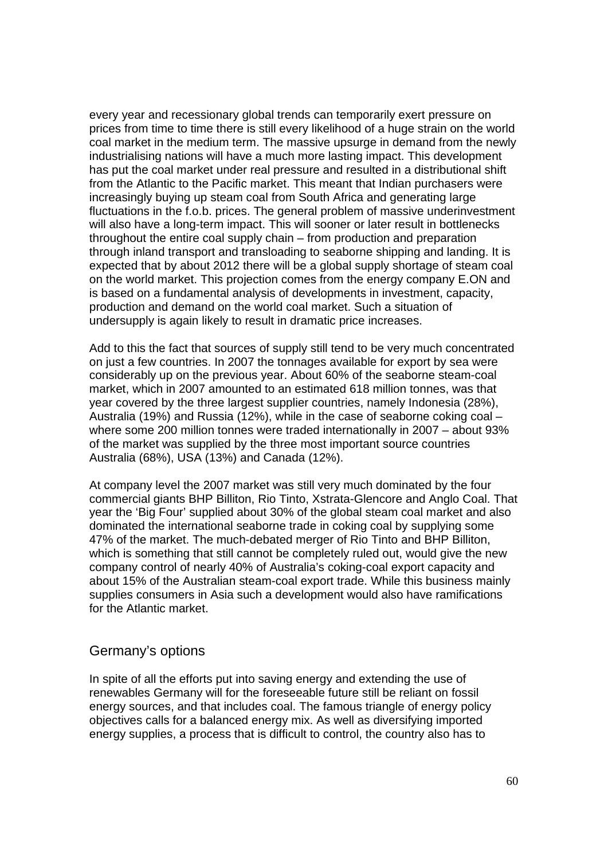every year and recessionary global trends can temporarily exert pressure on prices from time to time there is still every likelihood of a huge strain on the world coal market in the medium term. The massive upsurge in demand from the newly industrialising nations will have a much more lasting impact. This development has put the coal market under real pressure and resulted in a distributional shift from the Atlantic to the Pacific market. This meant that Indian purchasers were increasingly buying up steam coal from South Africa and generating large fluctuations in the f.o.b. prices. The general problem of massive underinvestment will also have a long-term impact. This will sooner or later result in bottlenecks throughout the entire coal supply chain – from production and preparation through inland transport and transloading to seaborne shipping and landing. It is expected that by about 2012 there will be a global supply shortage of steam coal on the world market. This projection comes from the energy company E.ON and is based on a fundamental analysis of developments in investment, capacity, production and demand on the world coal market. Such a situation of undersupply is again likely to result in dramatic price increases.

Add to this the fact that sources of supply still tend to be very much concentrated on just a few countries. In 2007 the tonnages available for export by sea were considerably up on the previous year. About 60% of the seaborne steam-coal market, which in 2007 amounted to an estimated 618 million tonnes, was that year covered by the three largest supplier countries, namely Indonesia (28%), Australia (19%) and Russia (12%), while in the case of seaborne coking coal – where some 200 million tonnes were traded internationally in 2007 – about 93% of the market was supplied by the three most important source countries Australia (68%), USA (13%) and Canada (12%).

At company level the 2007 market was still very much dominated by the four commercial giants BHP Billiton, Rio Tinto, Xstrata-Glencore and Anglo Coal. That year the 'Big Four' supplied about 30% of the global steam coal market and also dominated the international seaborne trade in coking coal by supplying some 47% of the market. The much-debated merger of Rio Tinto and BHP Billiton, which is something that still cannot be completely ruled out, would give the new company control of nearly 40% of Australia's coking-coal export capacity and about 15% of the Australian steam-coal export trade. While this business mainly supplies consumers in Asia such a development would also have ramifications for the Atlantic market.

#### Germany's options

In spite of all the efforts put into saving energy and extending the use of renewables Germany will for the foreseeable future still be reliant on fossil energy sources, and that includes coal. The famous triangle of energy policy objectives calls for a balanced energy mix. As well as diversifying imported energy supplies, a process that is difficult to control, the country also has to